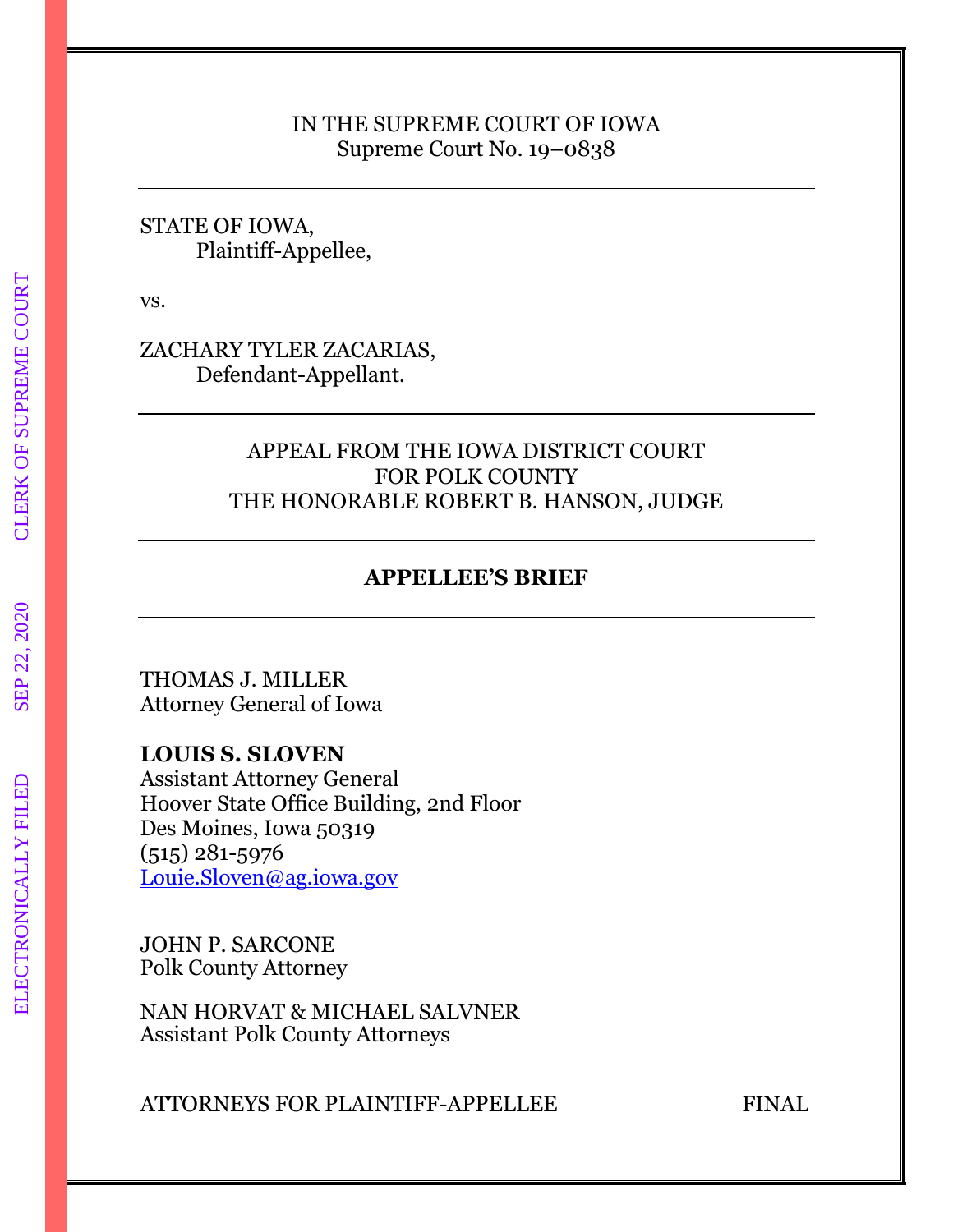#### IN THE SUPREME COURT OF IOWA Supreme Court No. 19–0838

## STATE OF IOWA, Plaintiff-Appellee,

vs.

ZACHARY TYLER ZACARIAS, Defendant-Appellant.

# APPEAL FROM THE IOWA DISTRICT COURT FOR POLK COUNTY THE HONORABLE ROBERT B. HANSON, JUDGE

# **APPELLEE'S BRIEF**

THOMAS J. MILLER Attorney General of Iowa

**LOUIS S. SLOVEN** Assistant Attorney General Hoover State Office Building, 2nd Floor Des Moines, Iowa 50319 (515) 281-5976 [Louie.Sloven@ag.iowa.gov](mailto:Louie.Sloven@ag.iowa.gov)

JOHN P. SARCONE Polk County Attorney

NAN HORVAT & MICHAEL SALVNER Assistant Polk County Attorneys

ATTORNEYS FOR PLAINTIFF-APPELLEE FINAL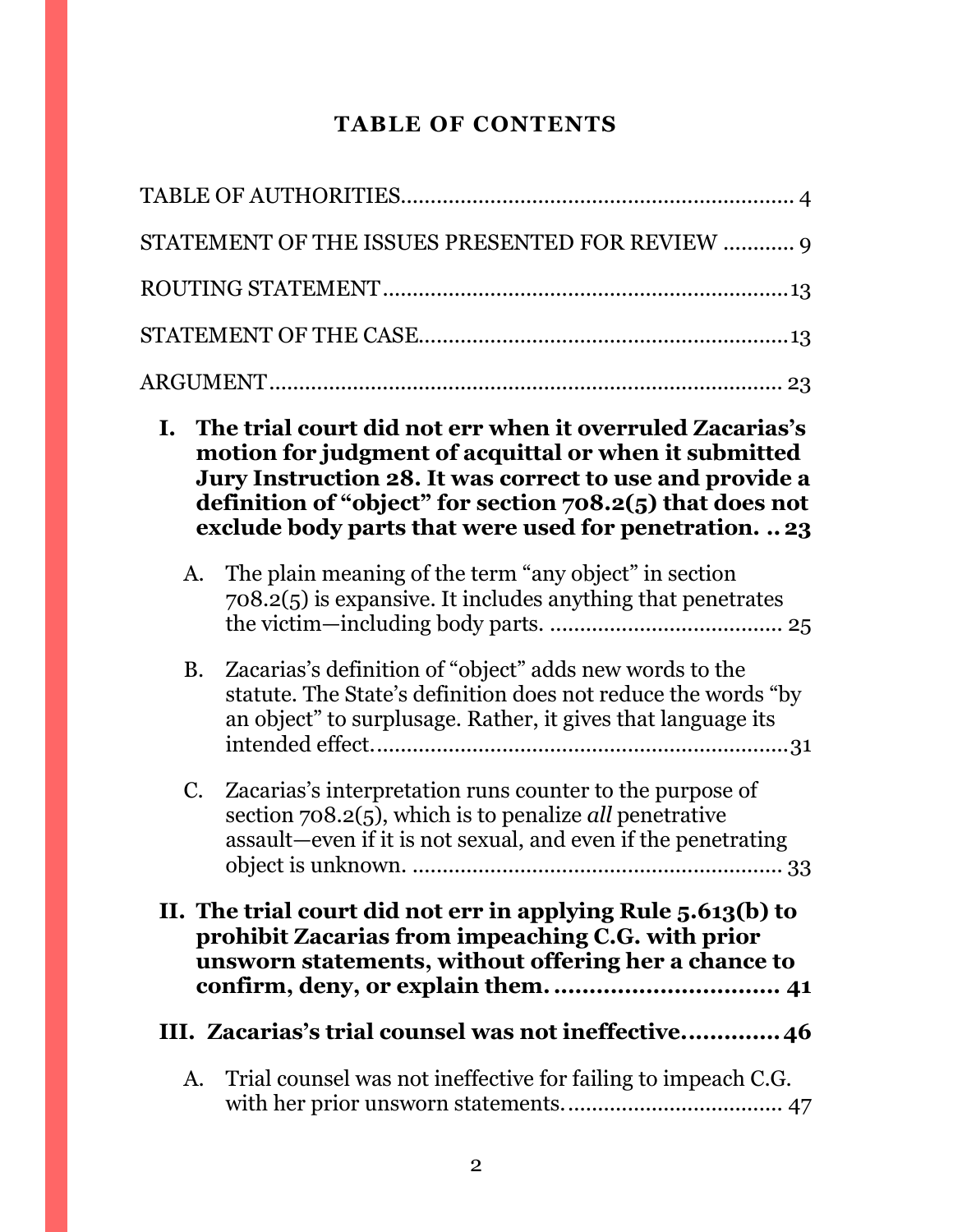# **TABLE OF CONTENTS**

|    | STATEMENT OF THE ISSUES PRESENTED FOR REVIEW  9                                                                                                                                                                                                                                                        |
|----|--------------------------------------------------------------------------------------------------------------------------------------------------------------------------------------------------------------------------------------------------------------------------------------------------------|
|    |                                                                                                                                                                                                                                                                                                        |
|    |                                                                                                                                                                                                                                                                                                        |
|    |                                                                                                                                                                                                                                                                                                        |
|    | I. The trial court did not err when it overruled Zacarias's<br>motion for judgment of acquittal or when it submitted<br>Jury Instruction 28. It was correct to use and provide a<br>definition of "object" for section $708.2(5)$ that does not<br>exclude body parts that were used for penetration23 |
|    | A. The plain meaning of the term "any object" in section<br>708.2(5) is expansive. It includes anything that penetrates                                                                                                                                                                                |
|    | B. Zacarias's definition of "object" adds new words to the<br>statute. The State's definition does not reduce the words "by<br>an object" to surplusage. Rather, it gives that language its                                                                                                            |
| C. | Zacarias's interpretation runs counter to the purpose of<br>section $708.2(5)$ , which is to penalize <i>all</i> penetrative<br>assault—even if it is not sexual, and even if the penetrating                                                                                                          |
|    | II. The trial court did not err in applying Rule 5.613(b) to<br>prohibit Zacarias from impeaching C.G. with prior<br>unsworn statements, without offering her a chance to<br>III. Zacarias's trial counsel was not ineffective46                                                                       |
| A. | Trial counsel was not ineffective for failing to impeach C.G.                                                                                                                                                                                                                                          |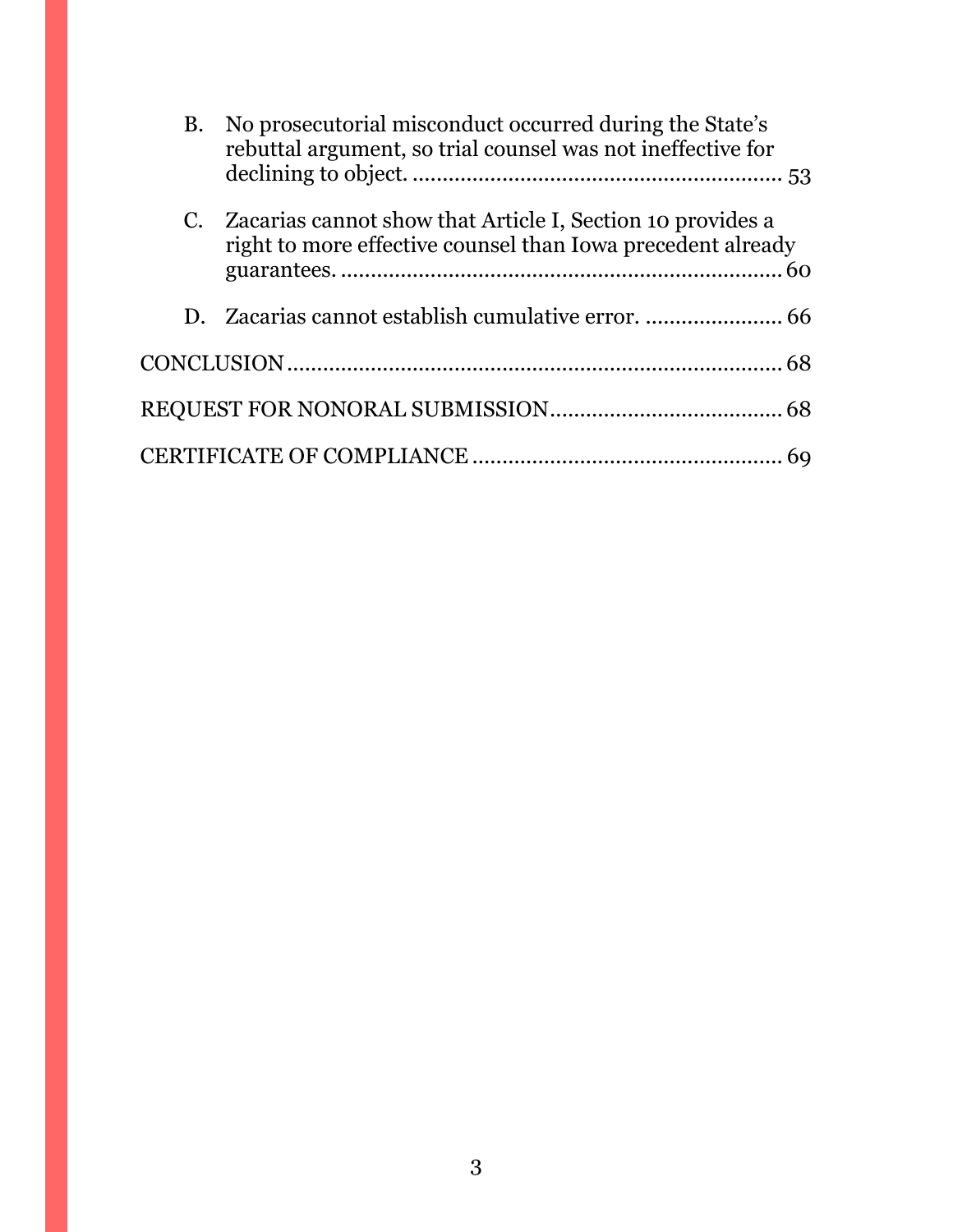| <b>B.</b> | No prosecutorial misconduct occurred during the State's<br>rebuttal argument, so trial counsel was not ineffective for       |  |
|-----------|------------------------------------------------------------------------------------------------------------------------------|--|
|           | C. Zacarias cannot show that Article I, Section 10 provides a<br>right to more effective counsel than Iowa precedent already |  |
|           |                                                                                                                              |  |
|           |                                                                                                                              |  |
|           |                                                                                                                              |  |
|           |                                                                                                                              |  |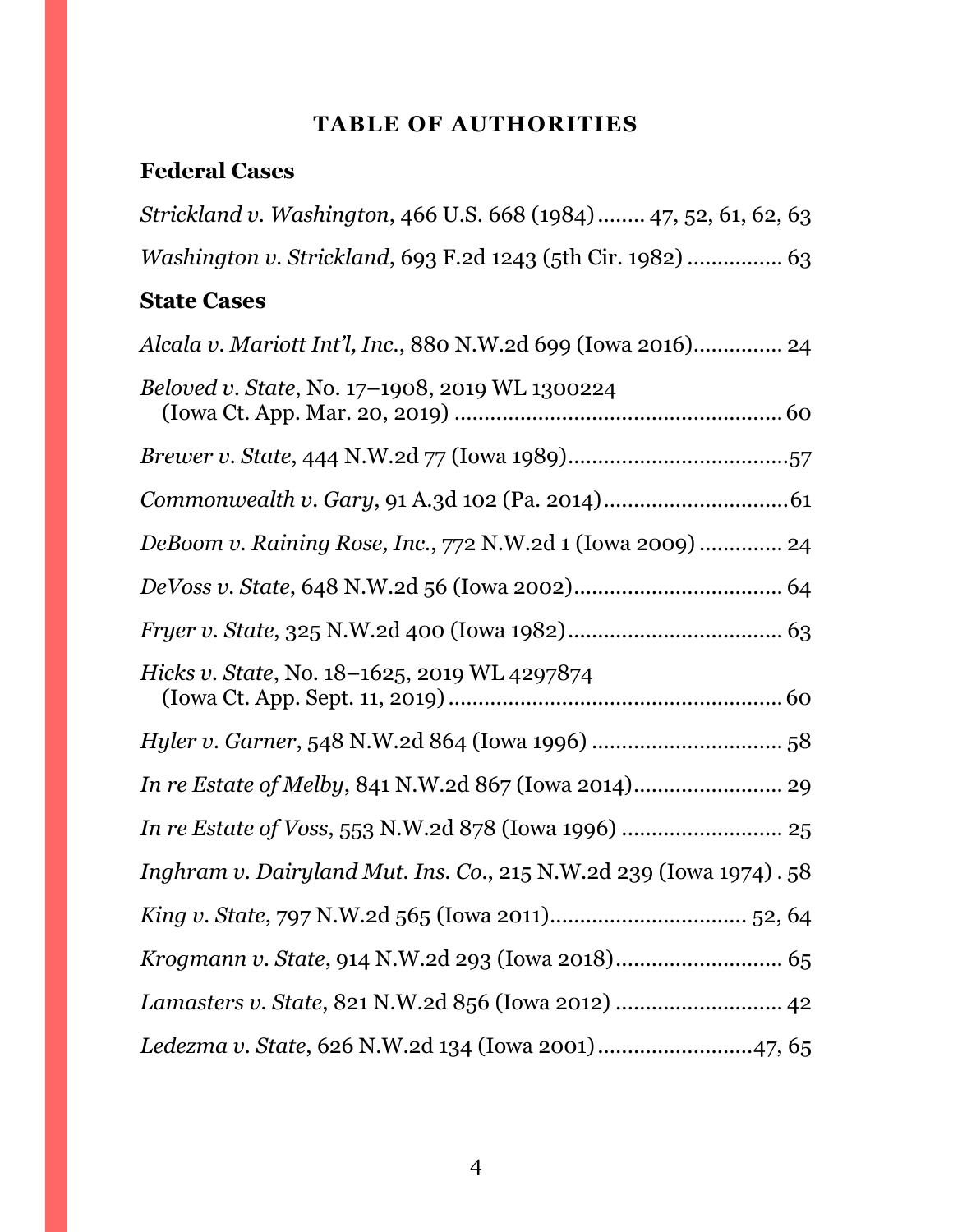# **TABLE OF AUTHORITIES**

# <span id="page-3-0"></span>**Federal Cases**

| Strickland v. Washington, 466 U.S. 668 (1984)  47, 52, 61, 62, 63  |
|--------------------------------------------------------------------|
| Washington v. Strickland, 693 F.2d 1243 (5th Cir. 1982)  63        |
| <b>State Cases</b>                                                 |
| Alcala v. Mariott Int'l, Inc., 880 N.W.2d 699 (Iowa 2016) 24       |
| Beloved v. State, No. 17-1908, 2019 WL 1300224                     |
|                                                                    |
|                                                                    |
| DeBoom v. Raining Rose, Inc., 772 N.W.2d 1 (Iowa 2009)  24         |
|                                                                    |
|                                                                    |
| Hicks v. State, No. 18-1625, 2019 WL 4297874                       |
|                                                                    |
|                                                                    |
|                                                                    |
| Inghram v. Dairyland Mut. Ins. Co., 215 N.W.2d 239 (Iowa 1974). 58 |
|                                                                    |
|                                                                    |
| Lamasters v. State, 821 N.W.2d 856 (Iowa 2012)  42                 |
| Ledezma v. State, 626 N.W.2d 134 (Iowa 2001) 47, 65                |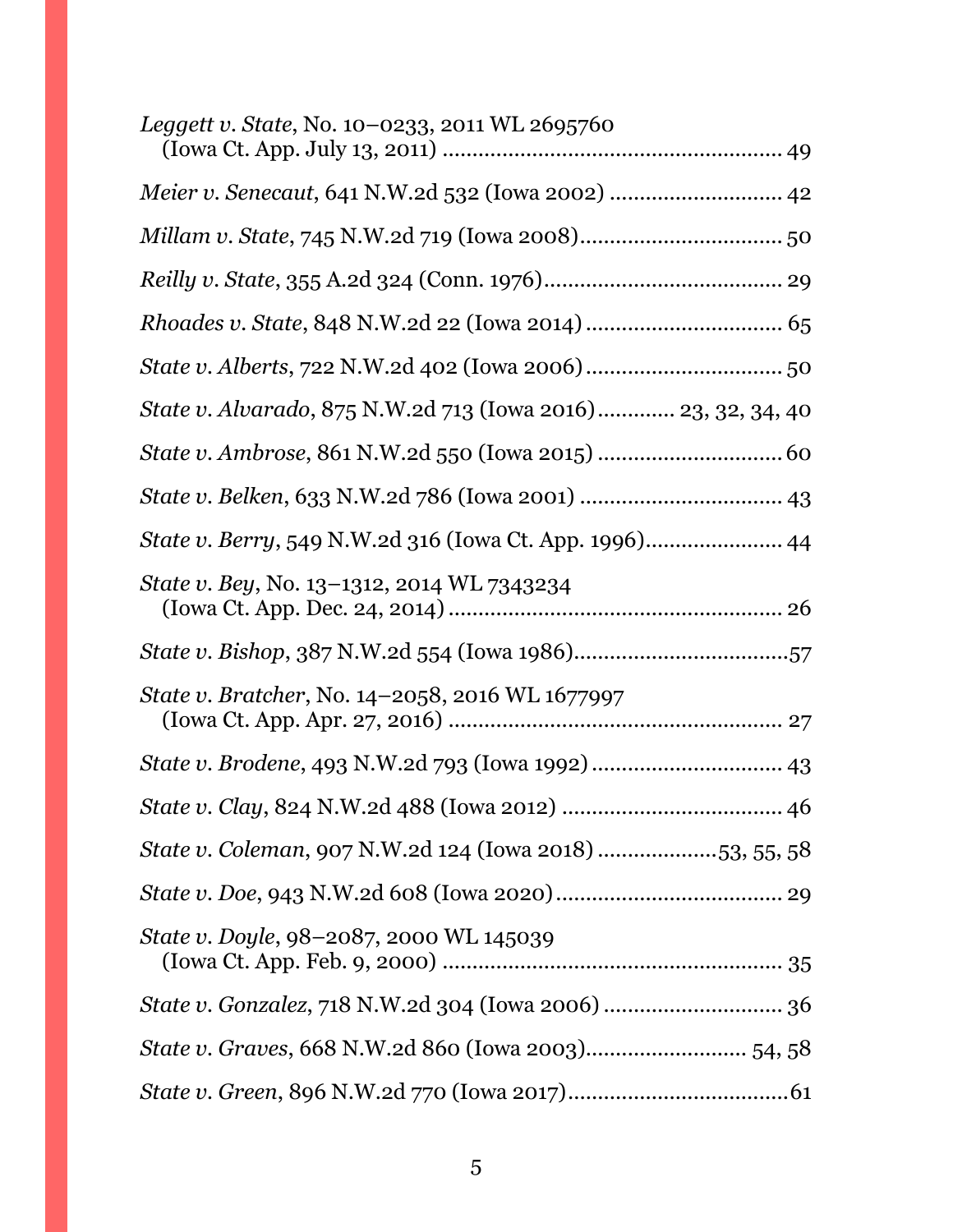| Leggett v. State, No. 10–0233, 2011 WL 2695760               |
|--------------------------------------------------------------|
| Meier v. Senecaut, 641 N.W.2d 532 (Iowa 2002)  42            |
|                                                              |
|                                                              |
|                                                              |
|                                                              |
| State v. Alvarado, 875 N.W.2d 713 (Iowa 2016) 23, 32, 34, 40 |
|                                                              |
|                                                              |
|                                                              |
| State v. Bey, No. 13-1312, 2014 WL 7343234                   |
|                                                              |
| <i>State v. Bratcher, No.</i> 14–2058, 2016 WL 1677997       |
|                                                              |
|                                                              |
| State v. Coleman, 907 N.W.2d 124 (Iowa 2018) 53, 55, 58      |
|                                                              |
| State v. Doyle, 98-2087, 2000 WL 145039                      |
|                                                              |
| State v. Graves, 668 N.W.2d 860 (Iowa 2003) 54, 58           |
|                                                              |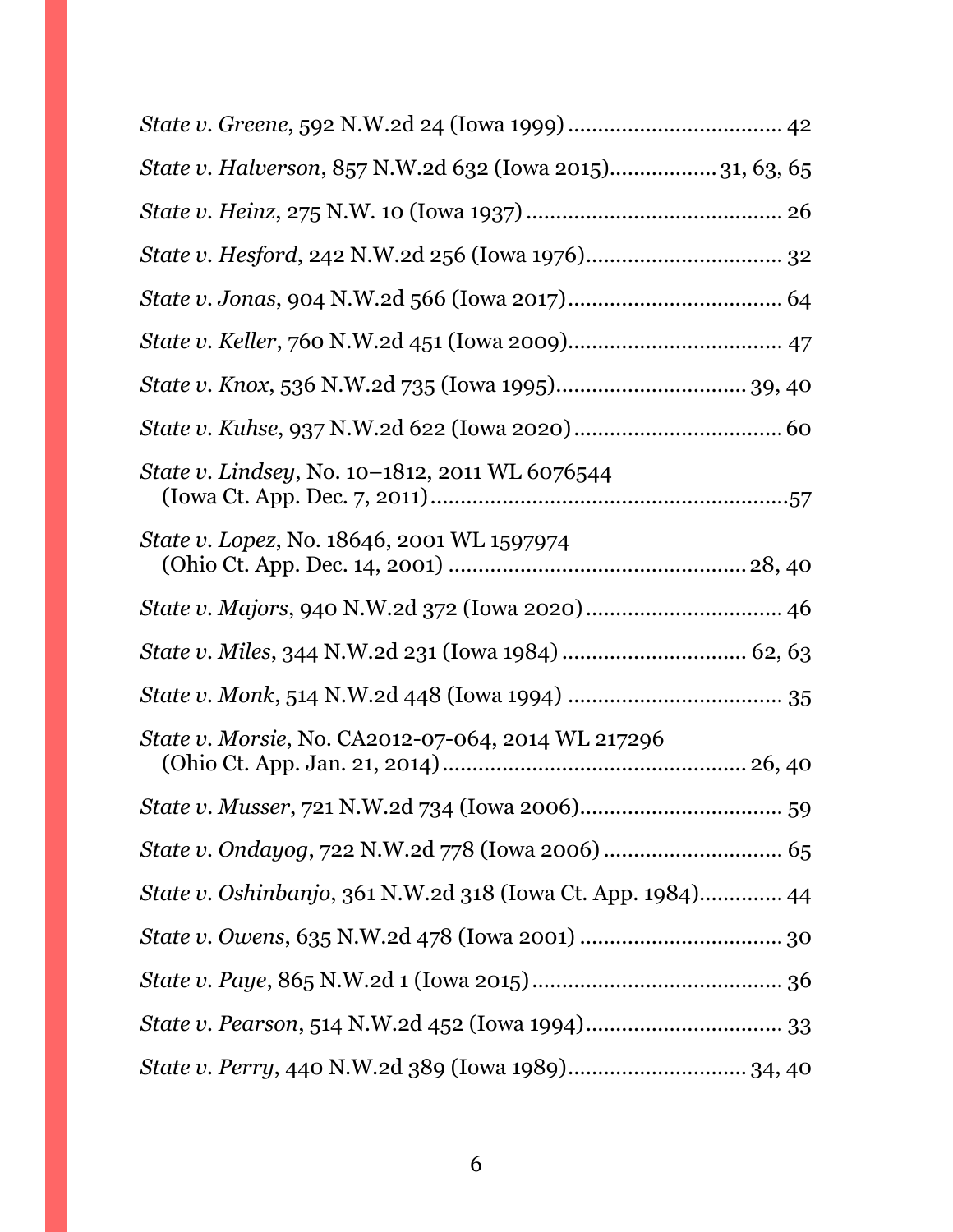| State v. Halverson, 857 N.W.2d 632 (Iowa 2015)31, 63, 65    |  |
|-------------------------------------------------------------|--|
|                                                             |  |
|                                                             |  |
|                                                             |  |
|                                                             |  |
|                                                             |  |
|                                                             |  |
| State v. Lindsey, No. 10–1812, 2011 WL 6076544              |  |
| State v. Lopez, No. 18646, 2001 WL 1597974                  |  |
|                                                             |  |
|                                                             |  |
|                                                             |  |
| State v. Morsie, No. CA2012-07-064, 2014 WL 217296          |  |
|                                                             |  |
|                                                             |  |
| State v. Oshinbanjo, 361 N.W.2d 318 (Iowa Ct. App. 1984) 44 |  |
|                                                             |  |
|                                                             |  |
|                                                             |  |
| State v. Perry, 440 N.W.2d 389 (Iowa 1989) 34, 40           |  |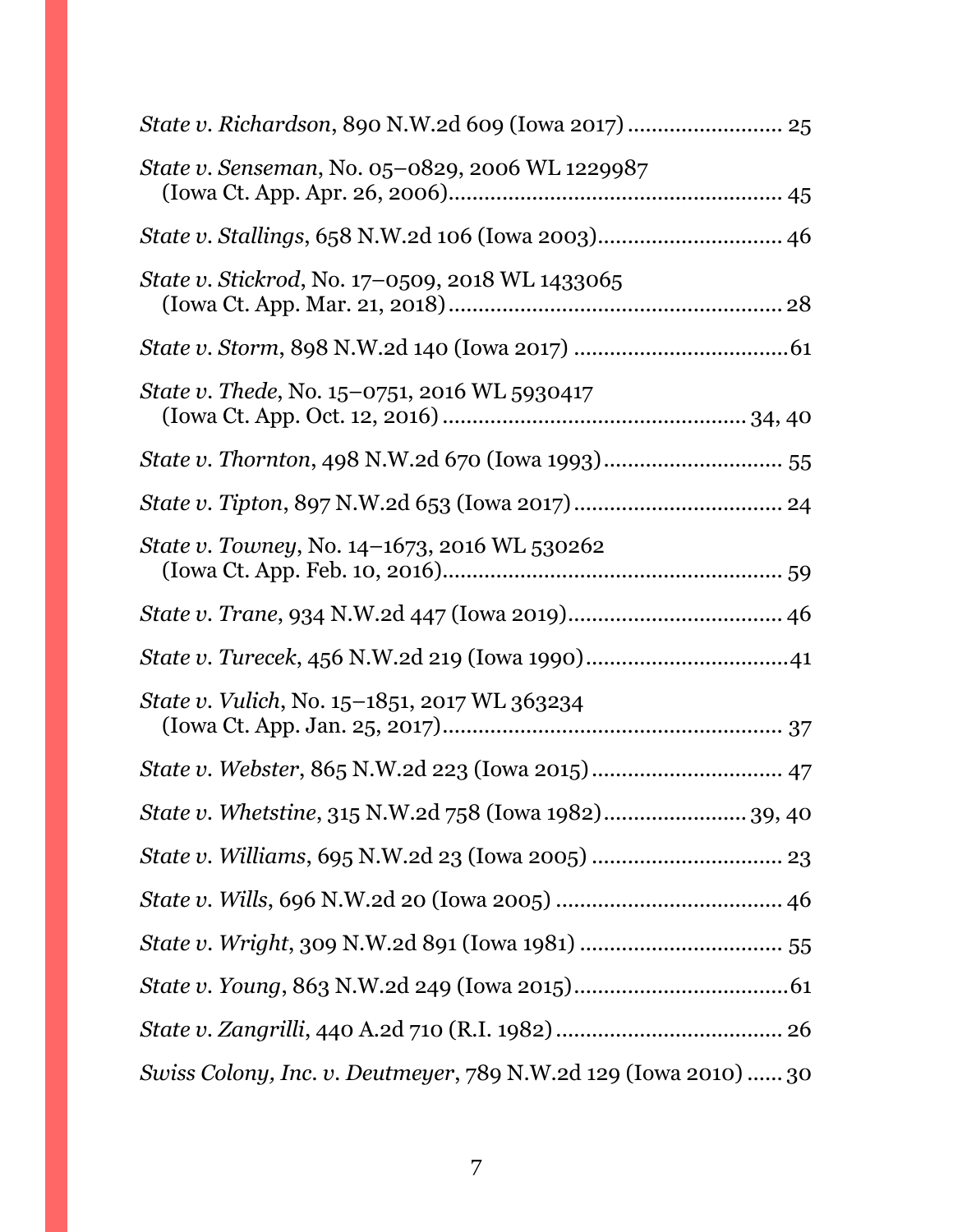| State v. Senseman, No. 05-0829, 2006 WL 1229987                 |
|-----------------------------------------------------------------|
| State v. Stallings, 658 N.W.2d 106 (Iowa 2003) 46               |
| <i>State v. Stickrod, No.</i> 17–0509, 2018 WL 1433065          |
|                                                                 |
| State v. Thede, No. 15-0751, 2016 WL 5930417                    |
|                                                                 |
|                                                                 |
| <i>State v. Towney, No.</i> 14–1673, 2016 WL 530262             |
|                                                                 |
|                                                                 |
| State v. Vulich, No. 15-1851, 2017 WL 363234                    |
|                                                                 |
| State v. Whetstine, 315 N.W.2d 758 (Iowa 1982) 39, 40           |
|                                                                 |
|                                                                 |
|                                                                 |
|                                                                 |
|                                                                 |
| Swiss Colony, Inc. v. Deutmeyer, 789 N.W.2d 129 (Iowa 2010)  30 |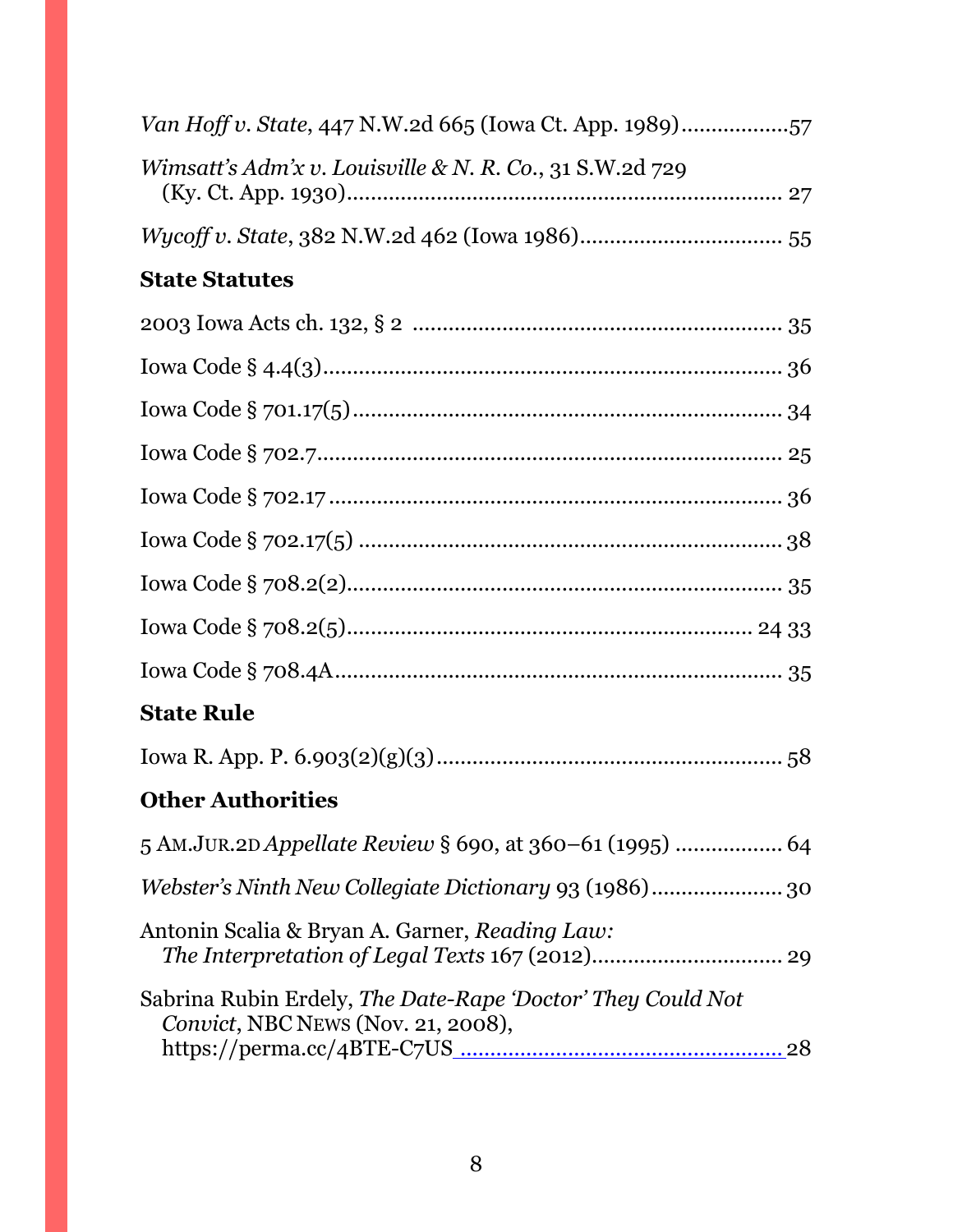| Van Hoff v. State, 447 N.W.2d 665 (Iowa Ct. App. 1989)57                                          |
|---------------------------------------------------------------------------------------------------|
| Wimsatt's Adm'x v. Louisville & N. R. Co., 31 S.W.2d 729                                          |
|                                                                                                   |
| <b>State Statutes</b>                                                                             |
|                                                                                                   |
|                                                                                                   |
|                                                                                                   |
|                                                                                                   |
|                                                                                                   |
|                                                                                                   |
|                                                                                                   |
|                                                                                                   |
|                                                                                                   |
| <b>State Rule</b>                                                                                 |
|                                                                                                   |
| <b>Other Authorities</b>                                                                          |
| 5 AM.JUR.2D Appellate Review § 690, at 360-61 (1995)  64                                          |
| Webster's Ninth New Collegiate Dictionary 93 (1986) 30                                            |
| Antonin Scalia & Bryan A. Garner, Reading Law:                                                    |
| Sabrina Rubin Erdely, The Date-Rape 'Doctor' They Could Not<br>Convict, NBC NEWS (Nov. 21, 2008), |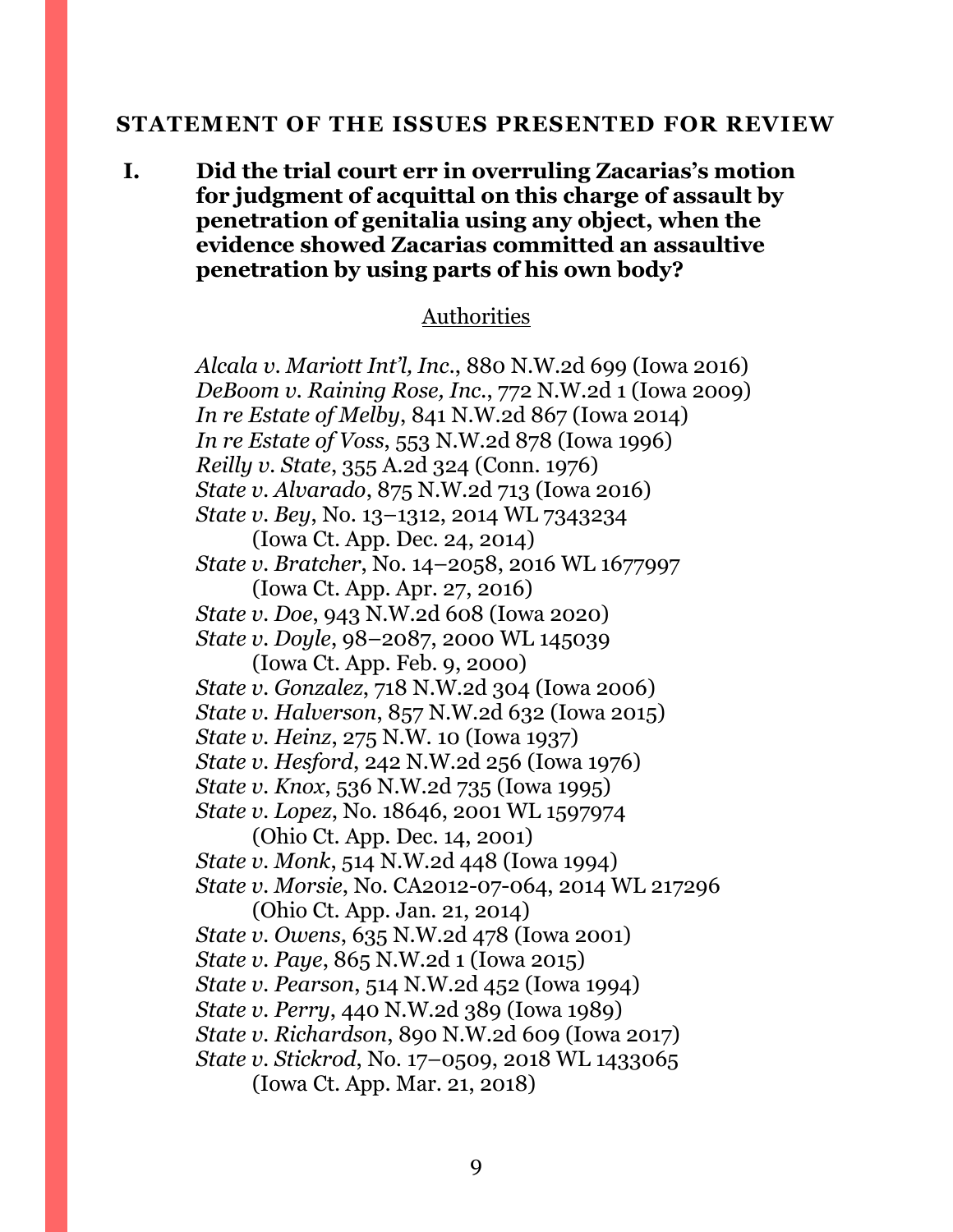#### <span id="page-8-0"></span>**STATEMENT OF THE ISSUES PRESENTED FOR REVIEW**

**I. Did the trial court err in overruling Zacarias's motion for judgment of acquittal on this charge of assault by penetration of genitalia using any object, when the evidence showed Zacarias committed an assaultive penetration by using parts of his own body?** 

#### Authorities

*Alcala v. Mariott Int'l, Inc.*, 880 N.W.2d 699 (Iowa 2016) *DeBoom v. Raining Rose, Inc.*, 772 N.W.2d 1 (Iowa 2009) *In re Estate of Melby*, 841 N.W.2d 867 (Iowa 2014) *In re Estate of Voss*, 553 N.W.2d 878 (Iowa 1996) *Reilly v. State*, 355 A.2d 324 (Conn. 1976) *State v. Alvarado*, 875 N.W.2d 713 (Iowa 2016) *State v. Bey*, No. 13–1312, 2014 WL 7343234 (Iowa Ct. App. Dec. 24, 2014) *State v. Bratcher*, No. 14–2058, 2016 WL 1677997 (Iowa Ct. App. Apr. 27, 2016) *State v. Doe*, 943 N.W.2d 608 (Iowa 2020) *State v. Doyle*, 98–2087, 2000 WL 145039 (Iowa Ct. App. Feb. 9, 2000) *State v. Gonzalez*, 718 N.W.2d 304 (Iowa 2006) *State v. Halverson*, 857 N.W.2d 632 (Iowa 2015) *State v. Heinz*, 275 N.W. 10 (Iowa 1937) *State v. Hesford*, 242 N.W.2d 256 (Iowa 1976) *State v. Knox*, 536 N.W.2d 735 (Iowa 1995) *State v. Lopez*, No. 18646, 2001 WL 1597974 (Ohio Ct. App. Dec. 14, 2001) *State v. Monk*, 514 N.W.2d 448 (Iowa 1994) *State v. Morsie*, No. CA2012-07-064, 2014 WL 217296 (Ohio Ct. App. Jan. 21, 2014) *State v. Owens*, 635 N.W.2d 478 (Iowa 2001) *State v. Paye*, 865 N.W.2d 1 (Iowa 2015) *State v. Pearson*, 514 N.W.2d 452 (Iowa 1994) *State v. Perry*, 440 N.W.2d 389 (Iowa 1989) *State v. Richardson*, 890 N.W.2d 609 (Iowa 2017) *State v. Stickrod*, No. 17–0509, 2018 WL 1433065 (Iowa Ct. App. Mar. 21, 2018)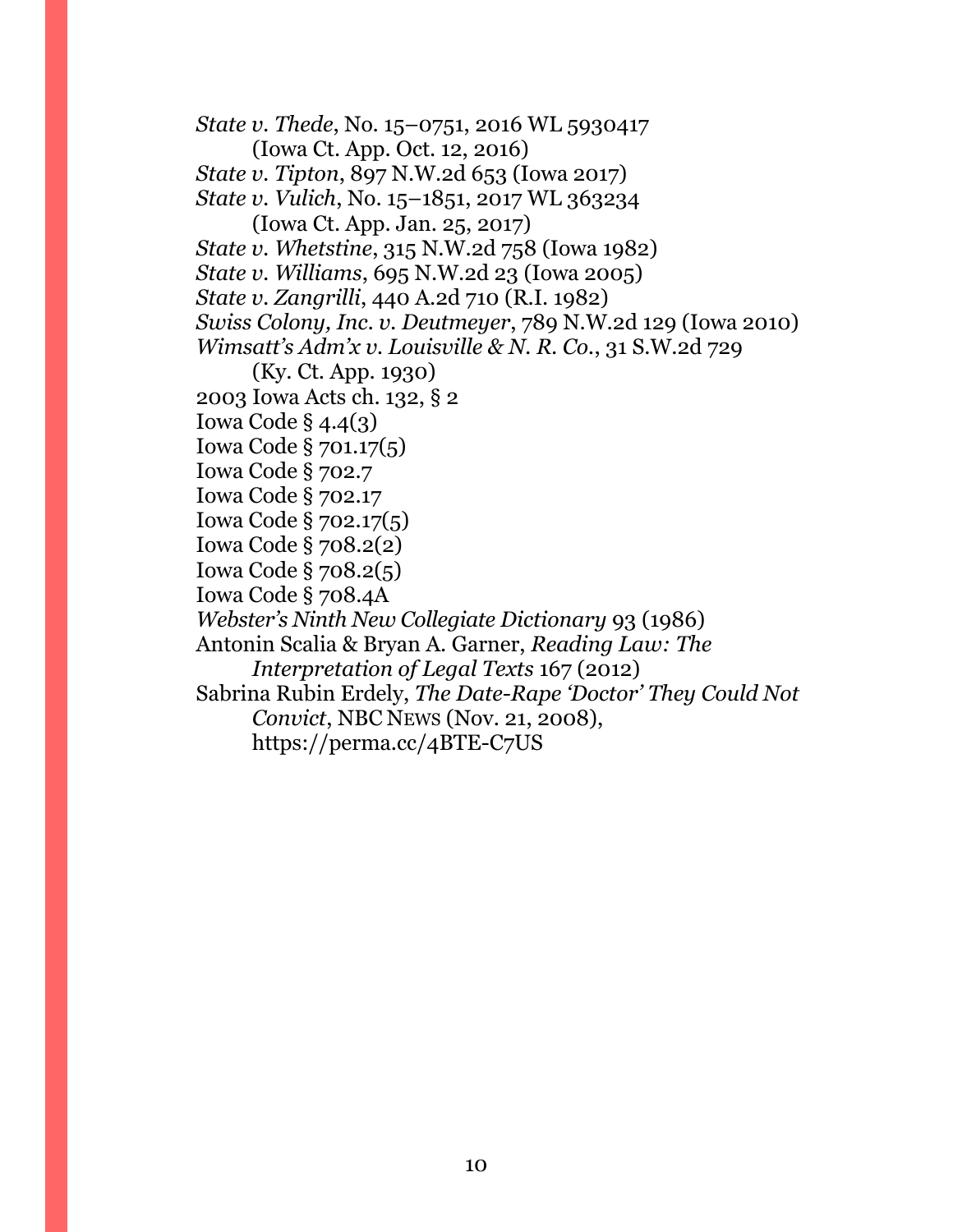*State v. Thede*, No. 15–0751, 2016 WL 5930417 (Iowa Ct. App. Oct. 12, 2016) *State v. Tipton*, 897 N.W.2d 653 (Iowa 2017) *State v. Vulich*, No. 15–1851, 2017 WL 363234 (Iowa Ct. App. Jan. 25, 2017) *State v. Whetstine*, 315 N.W.2d 758 (Iowa 1982) *State v. Williams*, 695 N.W.2d 23 (Iowa 2005) *State v. Zangrilli*, 440 A.2d 710 (R.I. 1982) *Swiss Colony, Inc. v. Deutmeyer*, 789 N.W.2d 129 (Iowa 2010) *Wimsatt's Adm'x v. Louisville & N. R. Co.*, 31 S.W.2d 729 (Ky. Ct. App. 1930) 2003 Iowa Acts ch. 132, § 2 Iowa Code § 4.4(3) Iowa Code § 701.17(5) Iowa Code § 702.7 Iowa Code § 702.17 Iowa Code § 702.17(5) Iowa Code § 708.2(2) Iowa Code § 708.2(5) Iowa Code § 708.4A *Webster's Ninth New Collegiate Dictionary* 93 (1986) Antonin Scalia & Bryan A. Garner, *Reading Law: The Interpretation of Legal Texts* 167 (2012) Sabrina Rubin Erdely, *The Date-Rape 'Doctor' They Could Not Convict*, NBC NEWS (Nov. 21, 2008), https://perma.cc/4BTE-C7US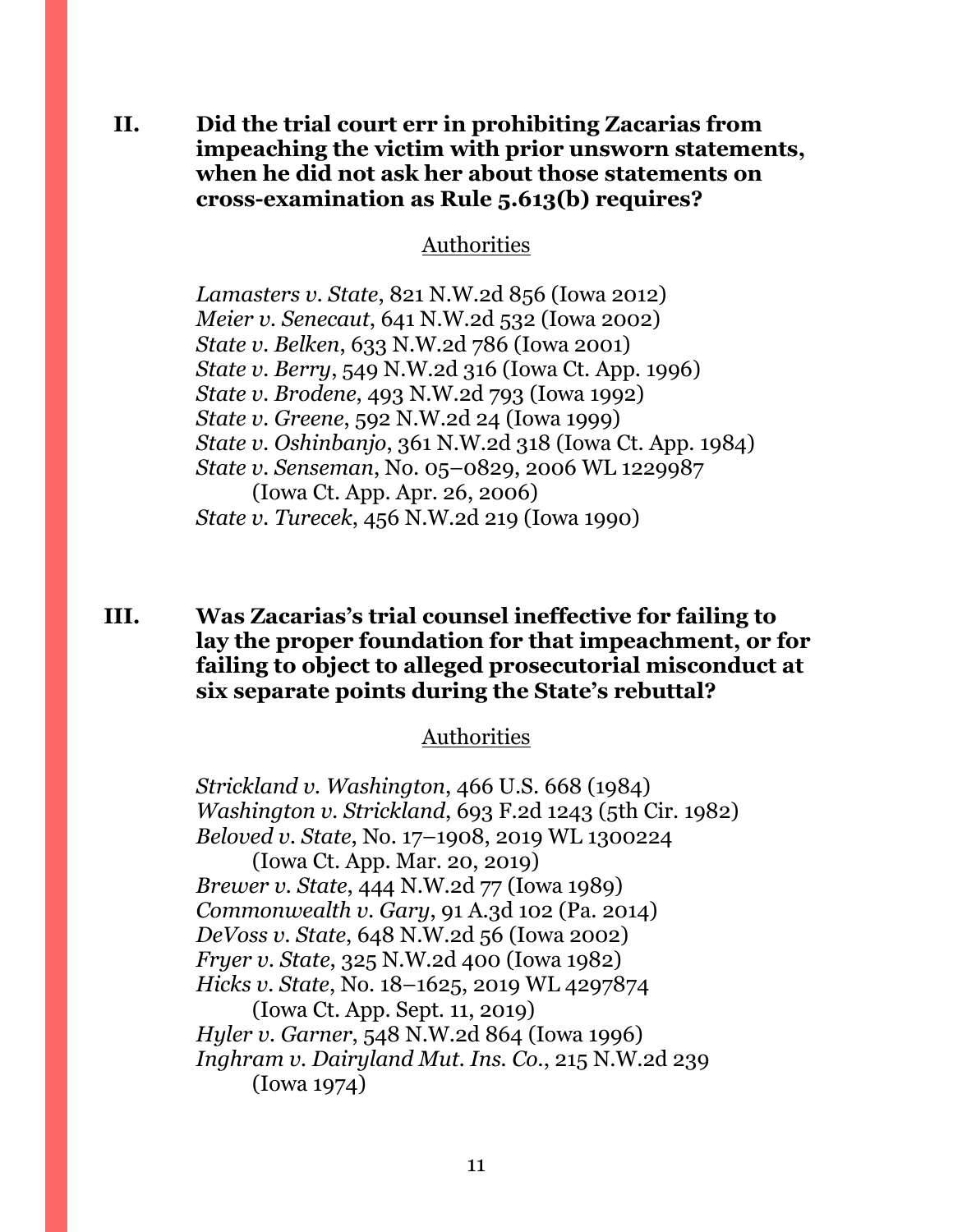**II. Did the trial court err in prohibiting Zacarias from impeaching the victim with prior unsworn statements, when he did not ask her about those statements on cross-examination as Rule 5.613(b) requires?** 

Authorities

*Lamasters v. State*, 821 N.W.2d 856 (Iowa 2012) *Meier v. Senecaut*, 641 N.W.2d 532 (Iowa 2002) *State v. Belken*, 633 N.W.2d 786 (Iowa 2001) *State v. Berry*, 549 N.W.2d 316 (Iowa Ct. App. 1996) *State v. Brodene*, 493 N.W.2d 793 (Iowa 1992) *State v. Greene*, 592 N.W.2d 24 (Iowa 1999) *State v. Oshinbanjo*, 361 N.W.2d 318 (Iowa Ct. App. 1984) *State v. Senseman*, No. 05–0829, 2006 WL 1229987 (Iowa Ct. App. Apr. 26, 2006) *State v. Turecek*, 456 N.W.2d 219 (Iowa 1990)

## **III. Was Zacarias's trial counsel ineffective for failing to lay the proper foundation for that impeachment, or for failing to object to alleged prosecutorial misconduct at six separate points during the State's rebuttal?**

#### Authorities

*Strickland v. Washington*, 466 U.S. 668 (1984) *Washington v. Strickland*, 693 F.2d 1243 (5th Cir. 1982) *Beloved v. State*, No. 17–1908, 2019 WL 1300224 (Iowa Ct. App. Mar. 20, 2019) *Brewer v. State*, 444 N.W.2d 77 (Iowa 1989) *Commonwealth v. Gary*, 91 A.3d 102 (Pa. 2014) *DeVoss v. State*, 648 N.W.2d 56 (Iowa 2002) *Fryer v. State*, 325 N.W.2d 400 (Iowa 1982) *Hicks v. State*, No. 18–1625, 2019 WL 4297874 (Iowa Ct. App. Sept. 11, 2019) *Hyler v. Garner*, 548 N.W.2d 864 (Iowa 1996) *Inghram v. Dairyland Mut. Ins. Co.*, 215 N.W.2d 239 (Iowa 1974)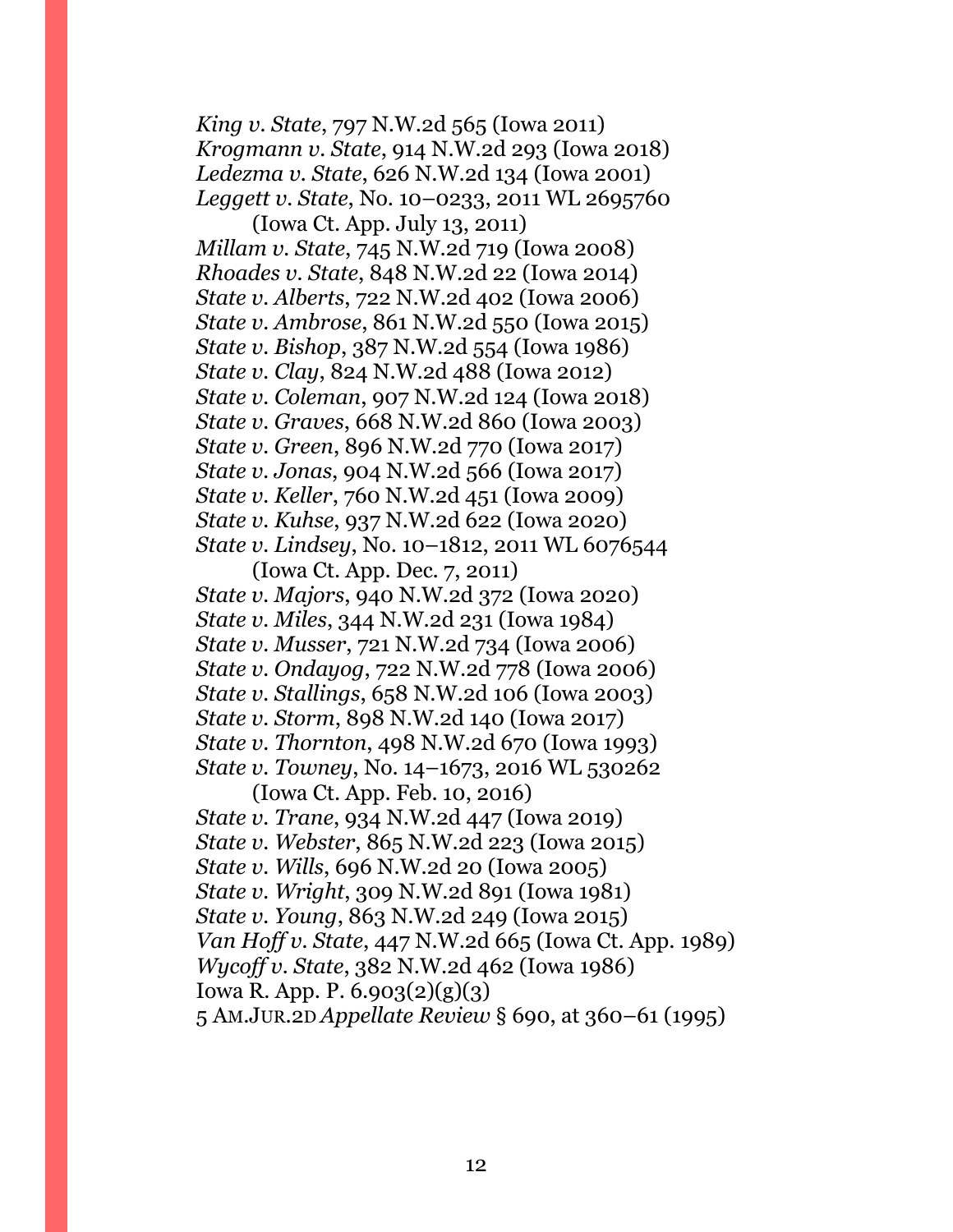*King v. State*, 797 N.W.2d 565 (Iowa 2011) *Krogmann v. State*, 914 N.W.2d 293 (Iowa 2018) *Ledezma v. State*, 626 N.W.2d 134 (Iowa 2001) *Leggett v. State*, No. 10–0233, 2011 WL 2695760

(Iowa Ct. App. July 13, 2011) *Millam v. State*, 745 N.W.2d 719 (Iowa 2008) *Rhoades v. State*, 848 N.W.2d 22 (Iowa 2014) *State v. Alberts*, 722 N.W.2d 402 (Iowa 2006) *State v. Ambrose*, 861 N.W.2d 550 (Iowa 2015) *State v. Bishop*, 387 N.W.2d 554 (Iowa 1986) *State v. Clay*, 824 N.W.2d 488 (Iowa 2012) *State v. Coleman*, 907 N.W.2d 124 (Iowa 2018) *State v. Graves*, 668 N.W.2d 860 (Iowa 2003) *State v. Green*, 896 N.W.2d 770 (Iowa 2017) *State v. Jonas*, 904 N.W.2d 566 (Iowa 2017) *State v. Keller*, 760 N.W.2d 451 (Iowa 2009) *State v. Kuhse*, 937 N.W.2d 622 (Iowa 2020) *State v. Lindsey*, No. 10–1812, 2011 WL 6076544

(Iowa Ct. App. Dec. 7, 2011) *State v. Majors*, 940 N.W.2d 372 (Iowa 2020) *State v. Miles*, 344 N.W.2d 231 (Iowa 1984) *State v. Musser*, 721 N.W.2d 734 (Iowa 2006) *State v. Ondayog*, 722 N.W.2d 778 (Iowa 2006) *State v. Stallings*, 658 N.W.2d 106 (Iowa 2003) *State v. Storm*, 898 N.W.2d 140 (Iowa 2017) *State v. Thornton*, 498 N.W.2d 670 (Iowa 1993) *State v. Towney*, No. 14–1673, 2016 WL 530262

(Iowa Ct. App. Feb. 10, 2016) *State v. Trane*, 934 N.W.2d 447 (Iowa 2019) *State v. Webster*, 865 N.W.2d 223 (Iowa 2015) *State v. Wills*, 696 N.W.2d 20 (Iowa 2005) *State v. Wright*, 309 N.W.2d 891 (Iowa 1981) *State v. Young*, 863 N.W.2d 249 (Iowa 2015) *Van Hoff v. State*, 447 N.W.2d 665 (Iowa Ct. App. 1989) *Wycoff v. State*, 382 N.W.2d 462 (Iowa 1986) Iowa R. App. P. 6.903(2)(g)(3) 5 AM.JUR.2D *Appellate Review* § 690, at 360–61 (1995)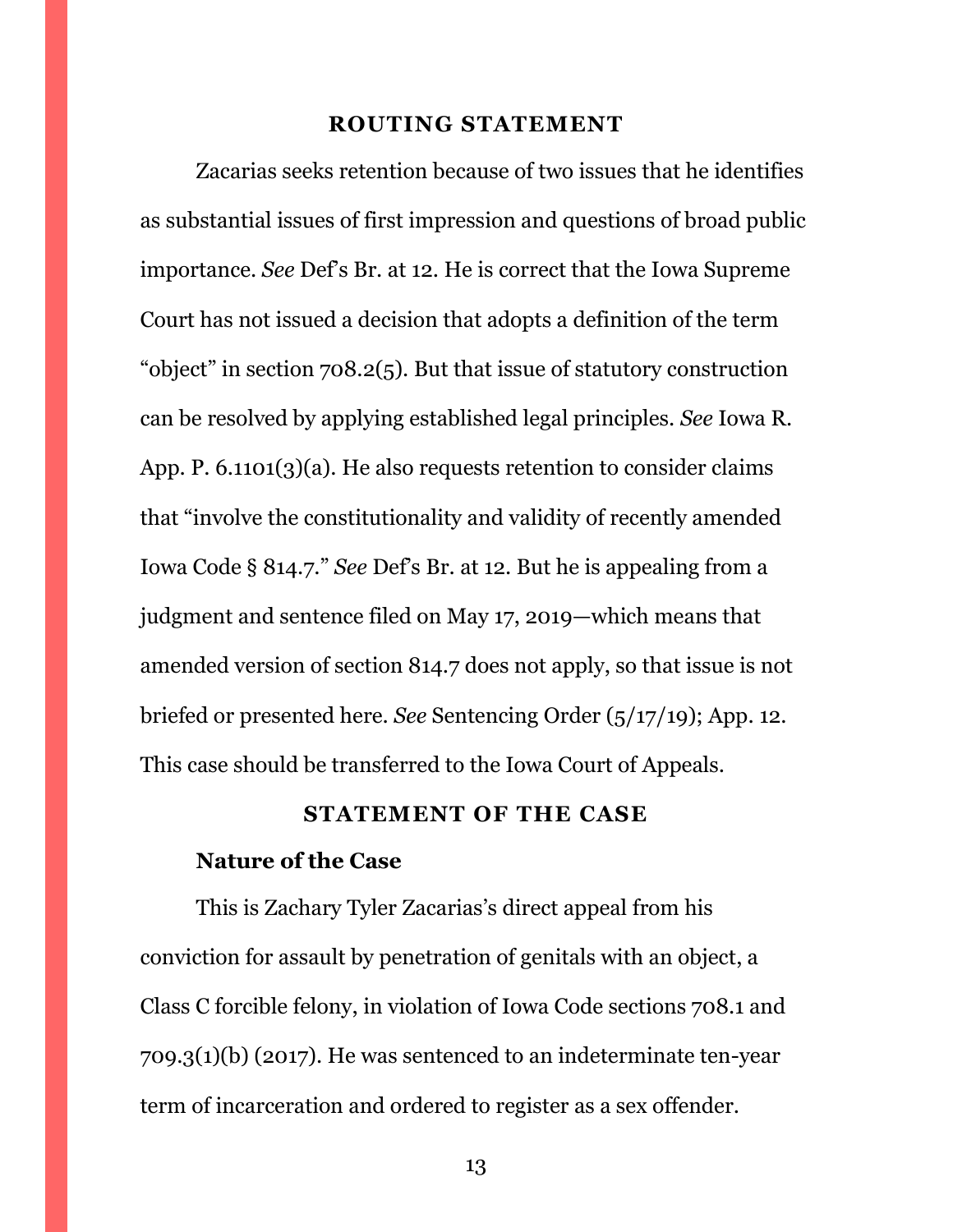#### **ROUTING STATEMENT**

<span id="page-12-0"></span>Zacarias seeks retention because of two issues that he identifies as substantial issues of first impression and questions of broad public importance. *See* Def's Br. at 12. He is correct that the Iowa Supreme Court has not issued a decision that adopts a definition of the term "object" in section 708.2(5). But that issue of statutory construction can be resolved by applying established legal principles. *See* Iowa R. App. P. 6.1101(3)(a). He also requests retention to consider claims that "involve the constitutionality and validity of recently amended Iowa Code § 814.7." *See* Def's Br. at 12. But he is appealing from a judgment and sentence filed on May 17, 2019—which means that amended version of section 814.7 does not apply, so that issue is not briefed or presented here. *See* Sentencing Order (5/17/19); App. 12. This case should be transferred to the Iowa Court of Appeals.

#### **STATEMENT OF THE CASE**

#### <span id="page-12-1"></span>**Nature of the Case**

This is Zachary Tyler Zacarias's direct appeal from his conviction for assault by penetration of genitals with an object, a Class C forcible felony, in violation of Iowa Code sections 708.1 and 709.3(1)(b) (2017). He was sentenced to an indeterminate ten-year term of incarceration and ordered to register as a sex offender.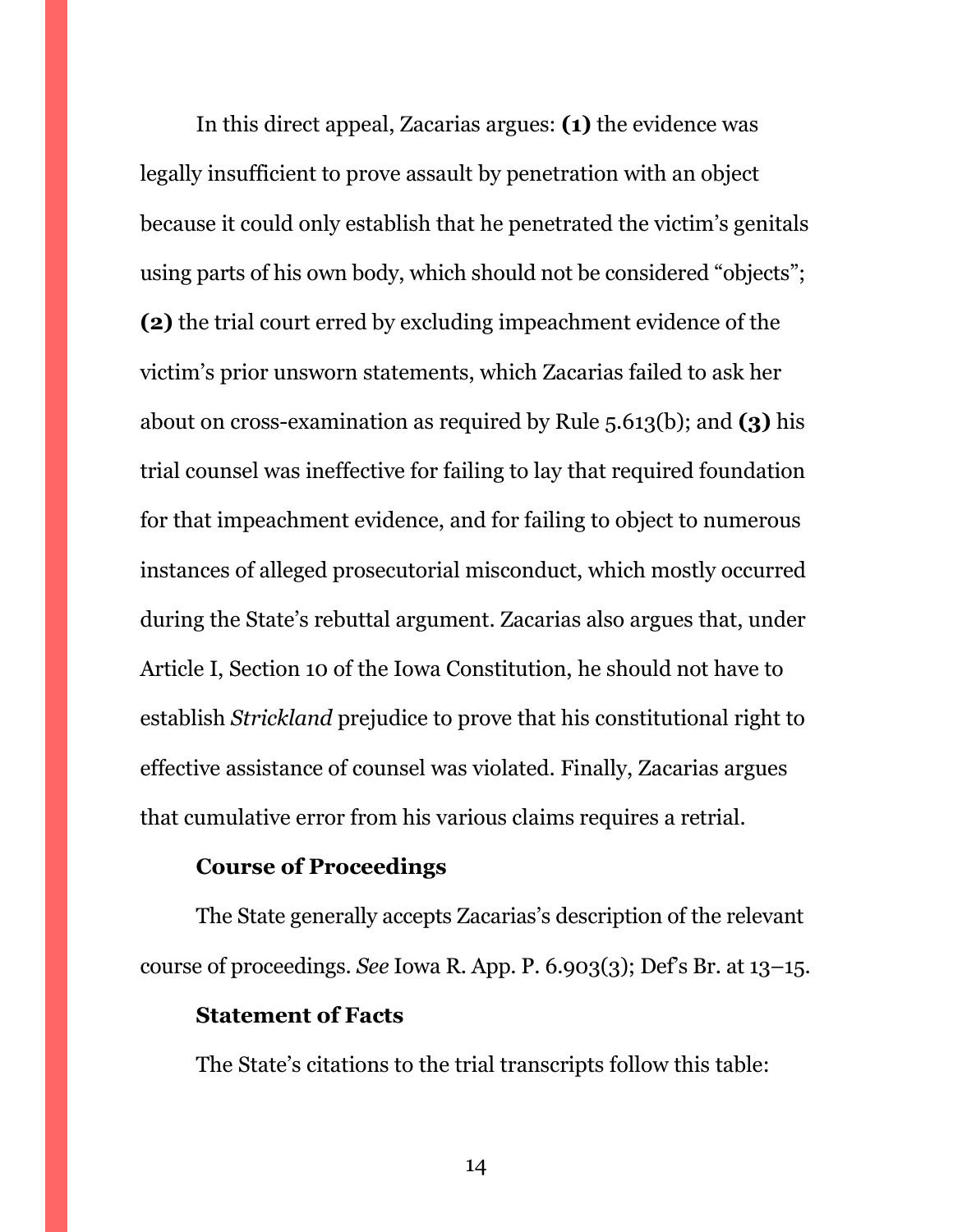In this direct appeal, Zacarias argues: **(1)** the evidence was legally insufficient to prove assault by penetration with an object because it could only establish that he penetrated the victim's genitals using parts of his own body, which should not be considered "objects"; **(2)** the trial court erred by excluding impeachment evidence of the victim's prior unsworn statements, which Zacarias failed to ask her about on cross-examination as required by Rule 5.613(b); and **(3)** his trial counsel was ineffective for failing to lay that required foundation for that impeachment evidence, and for failing to object to numerous instances of alleged prosecutorial misconduct, which mostly occurred during the State's rebuttal argument. Zacarias also argues that, under Article I, Section 10 of the Iowa Constitution, he should not have to establish *Strickland* prejudice to prove that his constitutional right to effective assistance of counsel was violated. Finally, Zacarias argues that cumulative error from his various claims requires a retrial.

# **Course of Proceedings**

The State generally accepts Zacarias's description of the relevant course of proceedings. *See* Iowa R. App. P. 6.903(3); Def's Br. at 13–15.

#### **Statement of Facts**

The State's citations to the trial transcripts follow this table: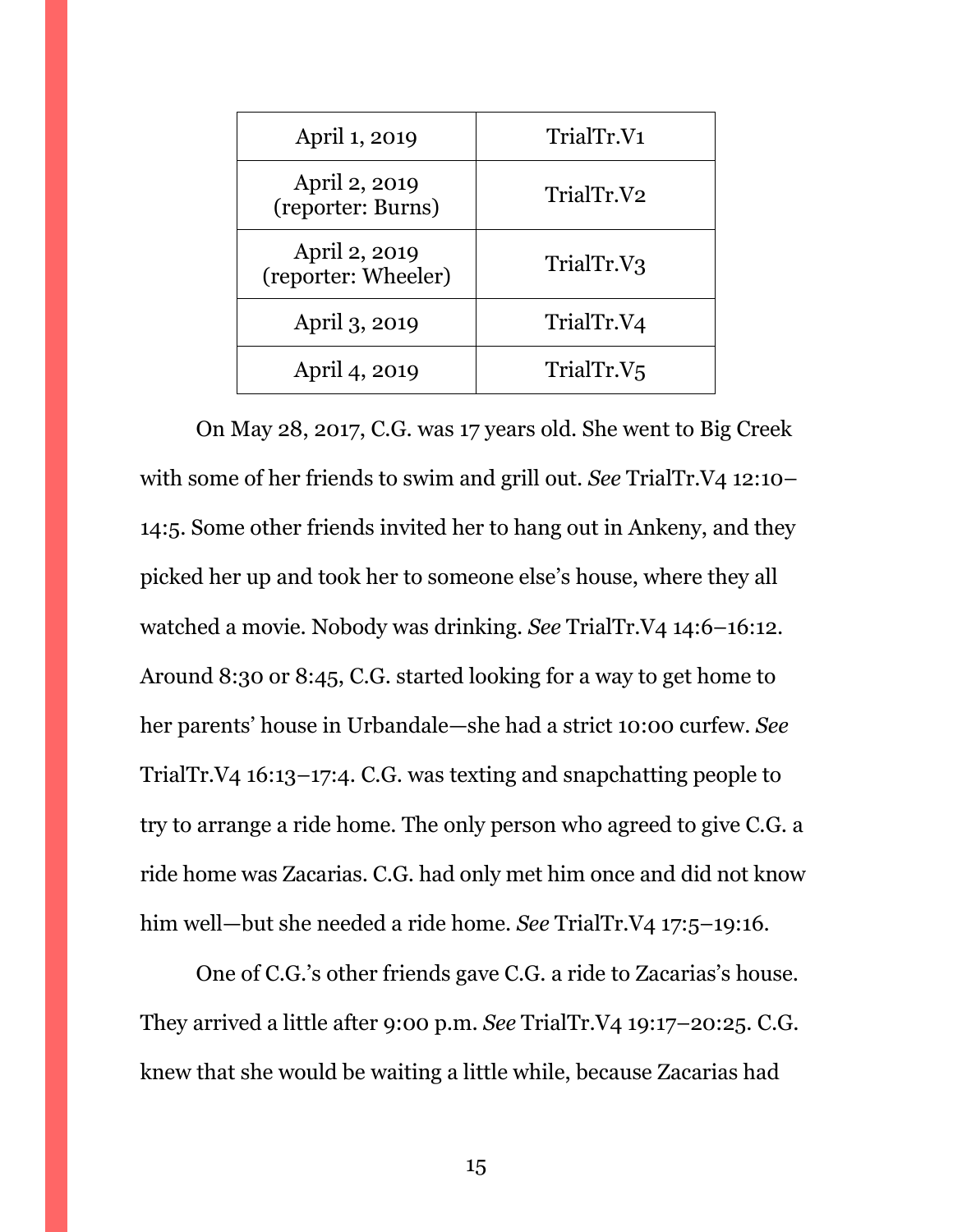| April 1, 2019                        | TrialTr.V1             |
|--------------------------------------|------------------------|
| April 2, 2019<br>(reporter: Burns)   | TrialTr.V2             |
| April 2, 2019<br>(reporter: Wheeler) | TrialTr.V3             |
| April 3, 2019                        | TrialTr.V4             |
| April 4, 2019                        | TrialTr.V <sub>5</sub> |

On May 28, 2017, C.G. was 17 years old. She went to Big Creek with some of her friends to swim and grill out. *See* TrialTr.V4 12:10– 14:5. Some other friends invited her to hang out in Ankeny, and they picked her up and took her to someone else's house, where they all watched a movie. Nobody was drinking. *See* TrialTr.V4 14:6–16:12. Around 8:30 or 8:45, C.G. started looking for a way to get home to her parents' house in Urbandale—she had a strict 10:00 curfew. *See*  TrialTr.V4 16:13–17:4. C.G. was texting and snapchatting people to try to arrange a ride home. The only person who agreed to give C.G. a ride home was Zacarias. C.G. had only met him once and did not know him well—but she needed a ride home. *See* TrialTr.V4 17:5–19:16.

One of C.G.'s other friends gave C.G. a ride to Zacarias's house. They arrived a little after 9:00 p.m. *See* TrialTr.V4 19:17–20:25. C.G. knew that she would be waiting a little while, because Zacarias had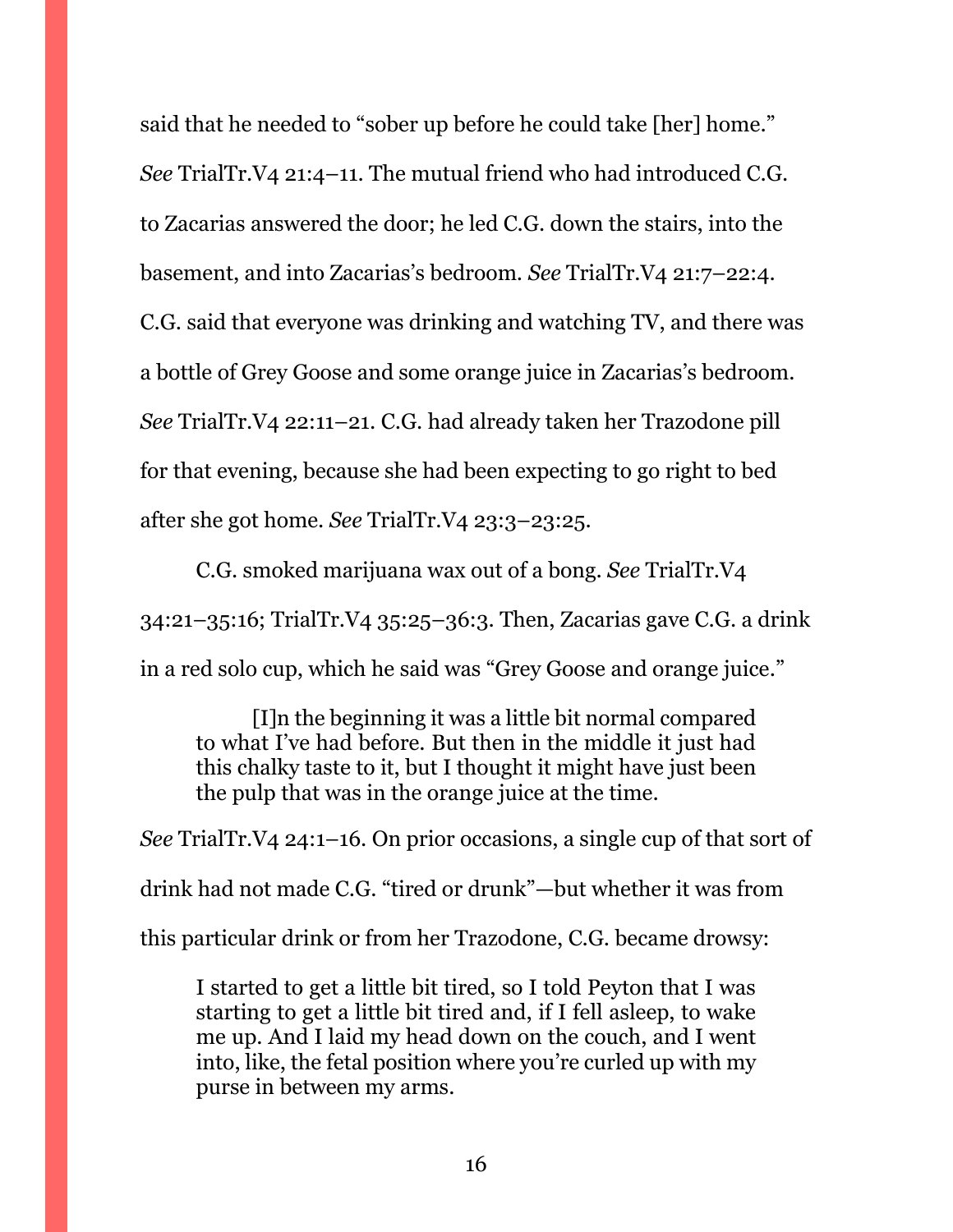said that he needed to "sober up before he could take [her] home." *See* TrialTr.V4 21:4–11. The mutual friend who had introduced C.G. to Zacarias answered the door; he led C.G. down the stairs, into the basement, and into Zacarias's bedroom. *See* TrialTr.V4 21:7–22:4. C.G. said that everyone was drinking and watching TV, and there was a bottle of Grey Goose and some orange juice in Zacarias's bedroom. *See* TrialTr.V4 22:11–21. C.G. had already taken her Trazodone pill for that evening, because she had been expecting to go right to bed after she got home. *See* TrialTr.V4 23:3–23:25.

C.G. smoked marijuana wax out of a bong. *See* TrialTr.V4 34:21–35:16; TrialTr.V4 35:25–36:3. Then, Zacarias gave C.G. a drink in a red solo cup, which he said was "Grey Goose and orange juice."

[I]n the beginning it was a little bit normal compared to what I've had before. But then in the middle it just had this chalky taste to it, but I thought it might have just been the pulp that was in the orange juice at the time.

*See* TrialTr.V4 24:1–16. On prior occasions, a single cup of that sort of drink had not made C.G. "tired or drunk"—but whether it was from this particular drink or from her Trazodone, C.G. became drowsy:

I started to get a little bit tired, so I told Peyton that I was starting to get a little bit tired and, if I fell asleep, to wake me up. And I laid my head down on the couch, and I went into, like, the fetal position where you're curled up with my purse in between my arms.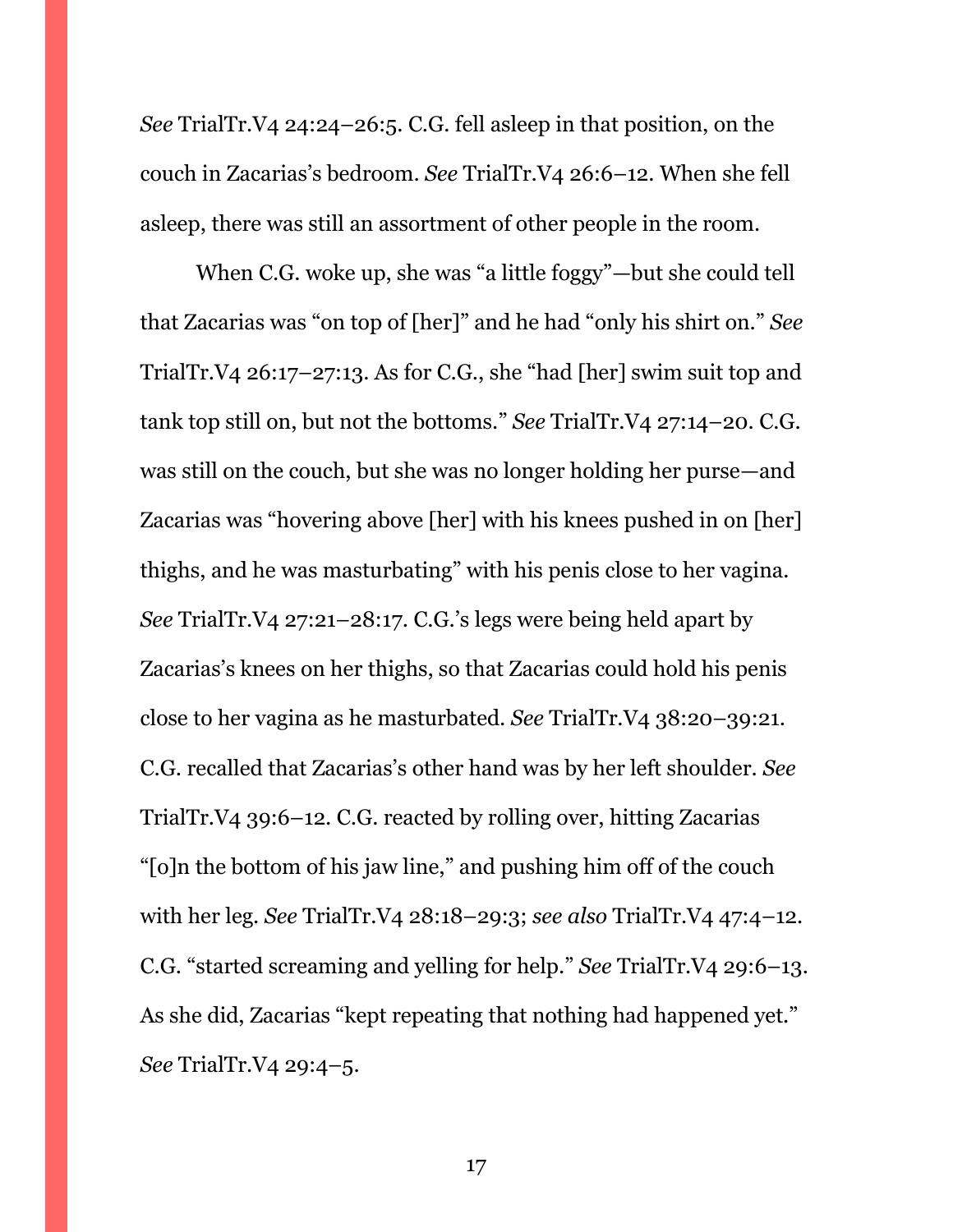*See* TrialTr.V4 24:24–26:5. C.G. fell asleep in that position, on the couch in Zacarias's bedroom. *See* TrialTr.V4 26:6–12. When she fell asleep, there was still an assortment of other people in the room.

When C.G. woke up, she was "a little foggy"—but she could tell that Zacarias was "on top of [her]" and he had "only his shirt on." *See*  TrialTr.V4 26:17–27:13. As for C.G., she "had [her] swim suit top and tank top still on, but not the bottoms." *See* TrialTr.V4 27:14–20. C.G. was still on the couch, but she was no longer holding her purse—and Zacarias was "hovering above [her] with his knees pushed in on [her] thighs, and he was masturbating" with his penis close to her vagina. *See* TrialTr.V4 27:21–28:17. C.G.'s legs were being held apart by Zacarias's knees on her thighs, so that Zacarias could hold his penis close to her vagina as he masturbated. *See* TrialTr.V4 38:20–39:21. C.G. recalled that Zacarias's other hand was by her left shoulder. *See*  TrialTr.V4 39:6–12. C.G. reacted by rolling over, hitting Zacarias "[o]n the bottom of his jaw line," and pushing him off of the couch with her leg. *See* TrialTr.V4 28:18–29:3; *see also* TrialTr.V4 47:4–12. C.G. "started screaming and yelling for help." *See* TrialTr.V4 29:6–13. As she did, Zacarias "kept repeating that nothing had happened yet." *See* TrialTr.V4 29:4–5.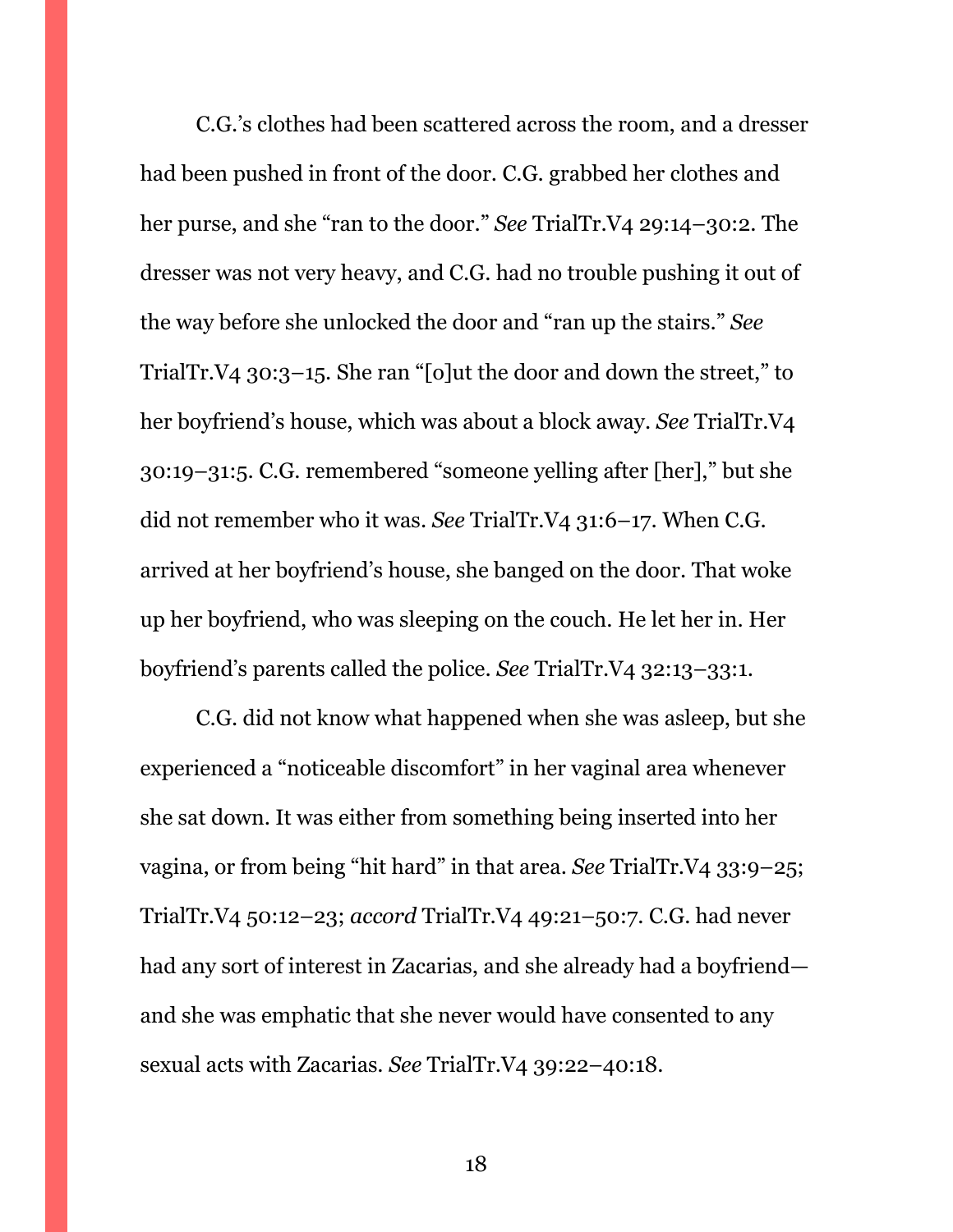C.G.'s clothes had been scattered across the room, and a dresser had been pushed in front of the door. C.G. grabbed her clothes and her purse, and she "ran to the door." *See* TrialTr.V4 29:14–30:2. The dresser was not very heavy, and C.G. had no trouble pushing it out of the way before she unlocked the door and "ran up the stairs." *See*  TrialTr.V4 30:3–15. She ran "[o]ut the door and down the street," to her boyfriend's house, which was about a block away. *See* TrialTr.V4 30:19–31:5. C.G. remembered "someone yelling after [her]," but she did not remember who it was. *See* TrialTr.V4 31:6–17. When C.G. arrived at her boyfriend's house, she banged on the door. That woke up her boyfriend, who was sleeping on the couch. He let her in. Her boyfriend's parents called the police. *See* TrialTr.V4 32:13–33:1.

C.G. did not know what happened when she was asleep, but she experienced a "noticeable discomfort" in her vaginal area whenever she sat down. It was either from something being inserted into her vagina, or from being "hit hard" in that area. *See* TrialTr.V4 33:9–25; TrialTr.V4 50:12–23; *accord* TrialTr.V4 49:21–50:7. C.G. had never had any sort of interest in Zacarias, and she already had a boyfriend and she was emphatic that she never would have consented to any sexual acts with Zacarias. *See* TrialTr.V4 39:22–40:18.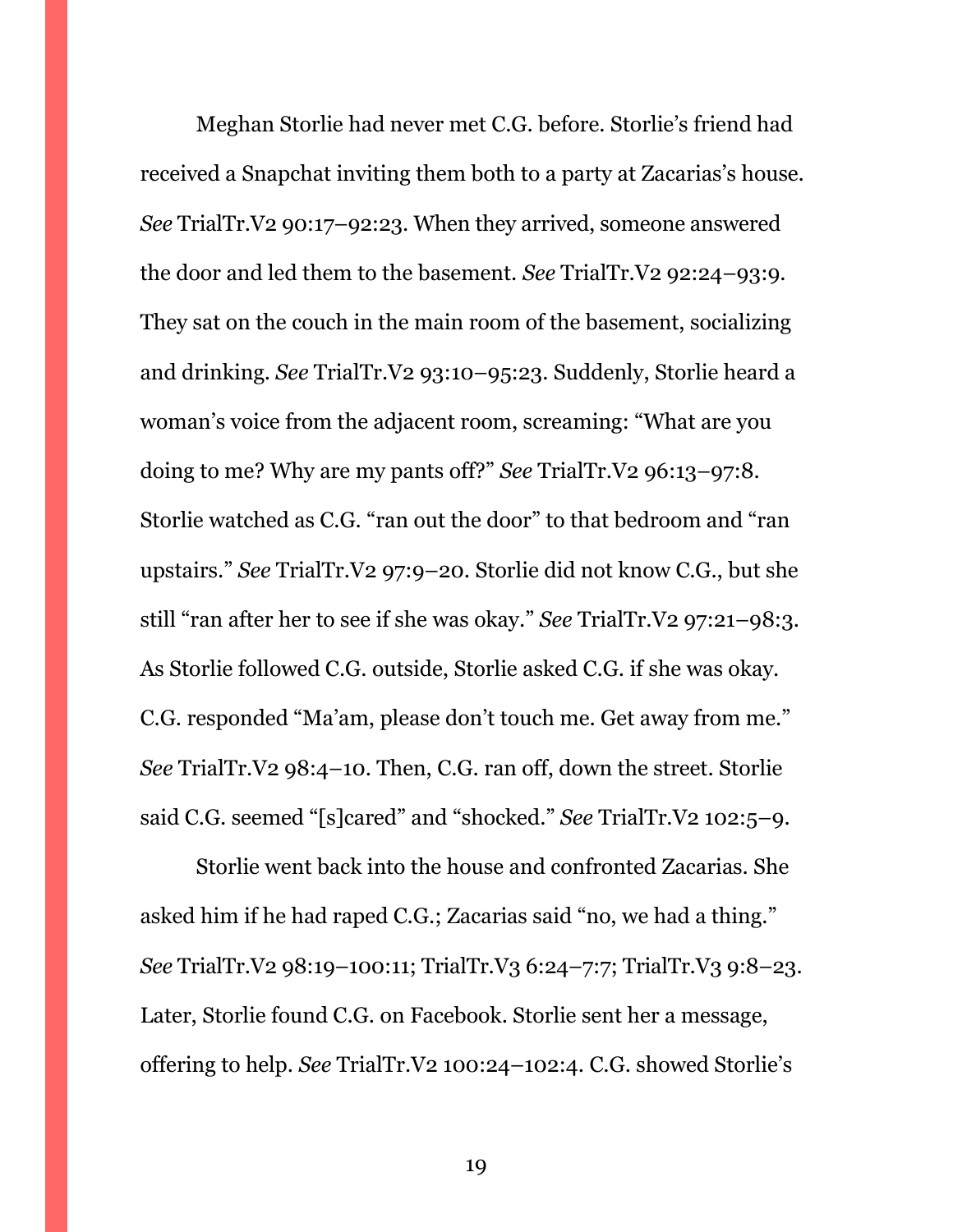Meghan Storlie had never met C.G. before. Storlie's friend had received a Snapchat inviting them both to a party at Zacarias's house. *See* TrialTr.V2 90:17–92:23. When they arrived, someone answered the door and led them to the basement. *See* TrialTr.V2 92:24–93:9. They sat on the couch in the main room of the basement, socializing and drinking. *See* TrialTr.V2 93:10–95:23. Suddenly, Storlie heard a woman's voice from the adjacent room, screaming: "What are you doing to me? Why are my pants off?" *See* TrialTr.V2 96:13–97:8. Storlie watched as C.G. "ran out the door" to that bedroom and "ran upstairs." *See* TrialTr.V2 97:9–20. Storlie did not know C.G., but she still "ran after her to see if she was okay." *See* TrialTr.V2 97:21–98:3. As Storlie followed C.G. outside, Storlie asked C.G. if she was okay. C.G. responded "Ma'am, please don't touch me. Get away from me." *See* TrialTr.V2 98:4–10. Then, C.G. ran off, down the street. Storlie said C.G. seemed "[s]cared" and "shocked." *See* TrialTr.V2 102:5–9.

Storlie went back into the house and confronted Zacarias. She asked him if he had raped C.G.; Zacarias said "no, we had a thing." *See* TrialTr.V2 98:19–100:11; TrialTr.V3 6:24–7:7; TrialTr.V3 9:8–23. Later, Storlie found C.G. on Facebook. Storlie sent her a message, offering to help. *See* TrialTr.V2 100:24–102:4. C.G. showed Storlie's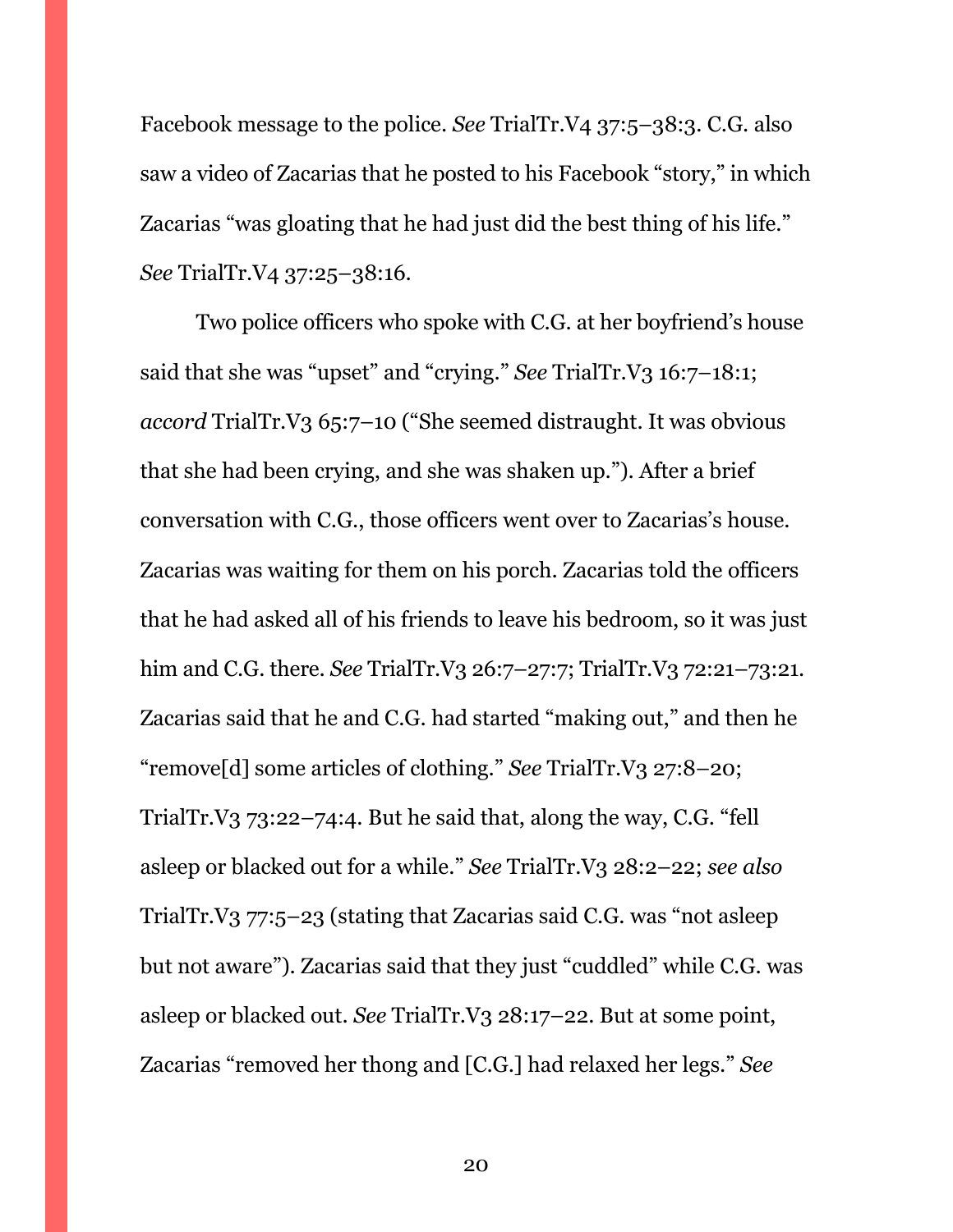Facebook message to the police. *See* TrialTr.V4 37:5–38:3. C.G. also saw a video of Zacarias that he posted to his Facebook "story," in which Zacarias "was gloating that he had just did the best thing of his life." *See* TrialTr.V4 37:25–38:16.

Two police officers who spoke with C.G. at her boyfriend's house said that she was "upset" and "crying." *See* TrialTr.V3 16:7–18:1; *accord* TrialTr.V3 65:7–10 ("She seemed distraught. It was obvious that she had been crying, and she was shaken up."). After a brief conversation with C.G., those officers went over to Zacarias's house. Zacarias was waiting for them on his porch. Zacarias told the officers that he had asked all of his friends to leave his bedroom, so it was just him and C.G. there. *See* TrialTr.V3 26:7–27:7; TrialTr.V3 72:21–73:21. Zacarias said that he and C.G. had started "making out," and then he "remove[d] some articles of clothing." *See* TrialTr.V3 27:8–20; TrialTr.V3 73:22–74:4. But he said that, along the way, C.G. "fell asleep or blacked out for a while." *See* TrialTr.V3 28:2–22; *see also*  TrialTr.V3 77:5–23 (stating that Zacarias said C.G. was "not asleep but not aware"). Zacarias said that they just "cuddled" while C.G. was asleep or blacked out. *See* TrialTr.V3 28:17–22. But at some point, Zacarias "removed her thong and [C.G.] had relaxed her legs." *See*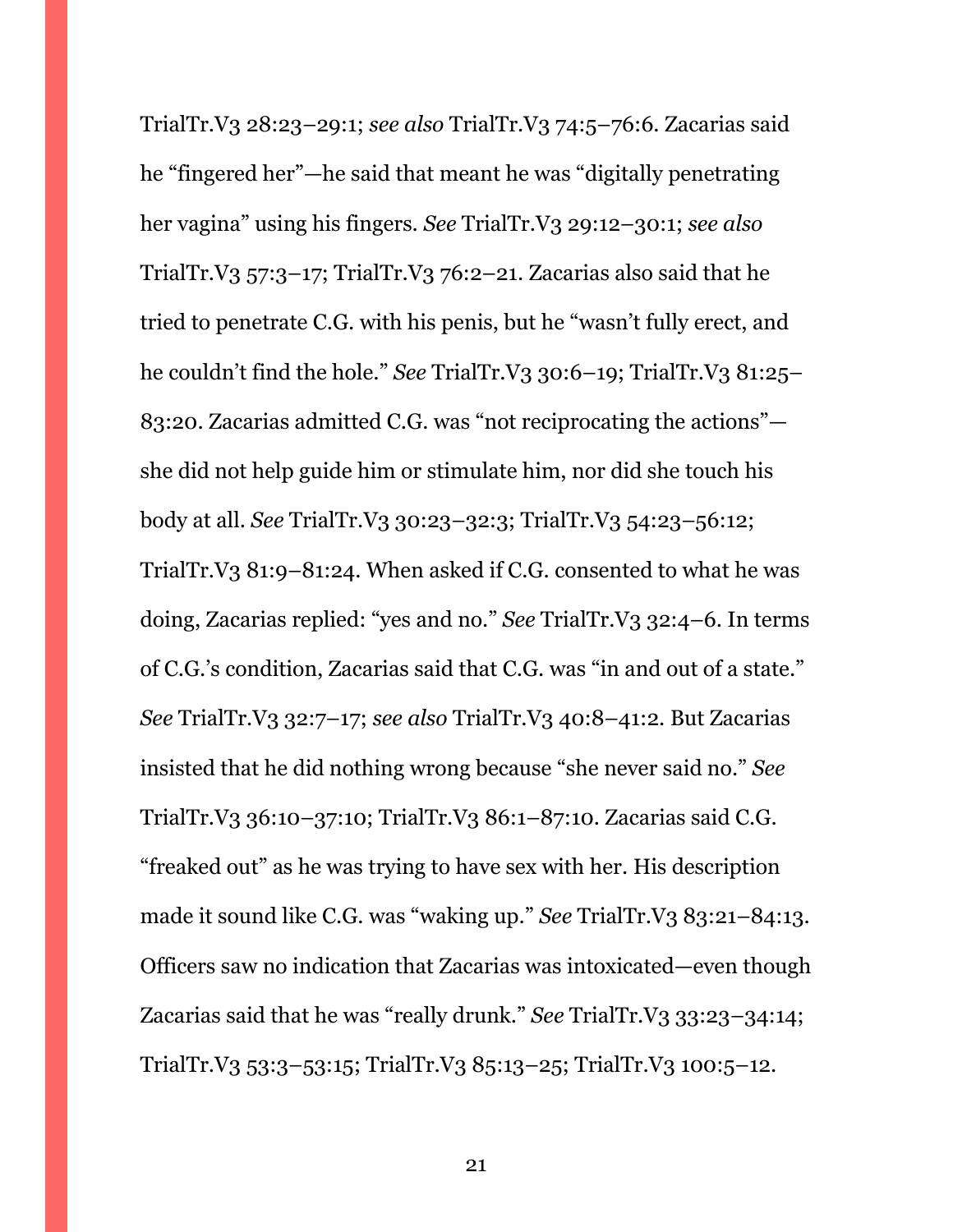TrialTr.V3 28:23–29:1; *see also* TrialTr.V3 74:5–76:6. Zacarias said he "fingered her"—he said that meant he was "digitally penetrating her vagina" using his fingers. *See* TrialTr.V3 29:12–30:1; *see also*  TrialTr.V3 57:3–17; TrialTr.V3 76:2–21. Zacarias also said that he tried to penetrate C.G. with his penis, but he "wasn't fully erect, and he couldn't find the hole." *See* TrialTr.V3 30:6–19; TrialTr.V3 81:25– 83:20. Zacarias admitted C.G. was "not reciprocating the actions" she did not help guide him or stimulate him, nor did she touch his body at all. *See* TrialTr.V3 30:23–32:3; TrialTr.V3 54:23–56:12; TrialTr.V3 81:9–81:24. When asked if C.G. consented to what he was doing, Zacarias replied: "yes and no." *See* TrialTr.V3 32:4–6. In terms of C.G.'s condition, Zacarias said that C.G. was "in and out of a state." *See* TrialTr.V3 32:7–17; *see also* TrialTr.V3 40:8–41:2. But Zacarias insisted that he did nothing wrong because "she never said no." *See*  TrialTr.V3 36:10–37:10; TrialTr.V3 86:1–87:10. Zacarias said C.G. "freaked out" as he was trying to have sex with her. His description made it sound like C.G. was "waking up." *See* TrialTr.V3 83:21–84:13. Officers saw no indication that Zacarias was intoxicated—even though Zacarias said that he was "really drunk." *See* TrialTr.V3 33:23–34:14; TrialTr.V3 53:3–53:15; TrialTr.V3 85:13–25; TrialTr.V3 100:5–12.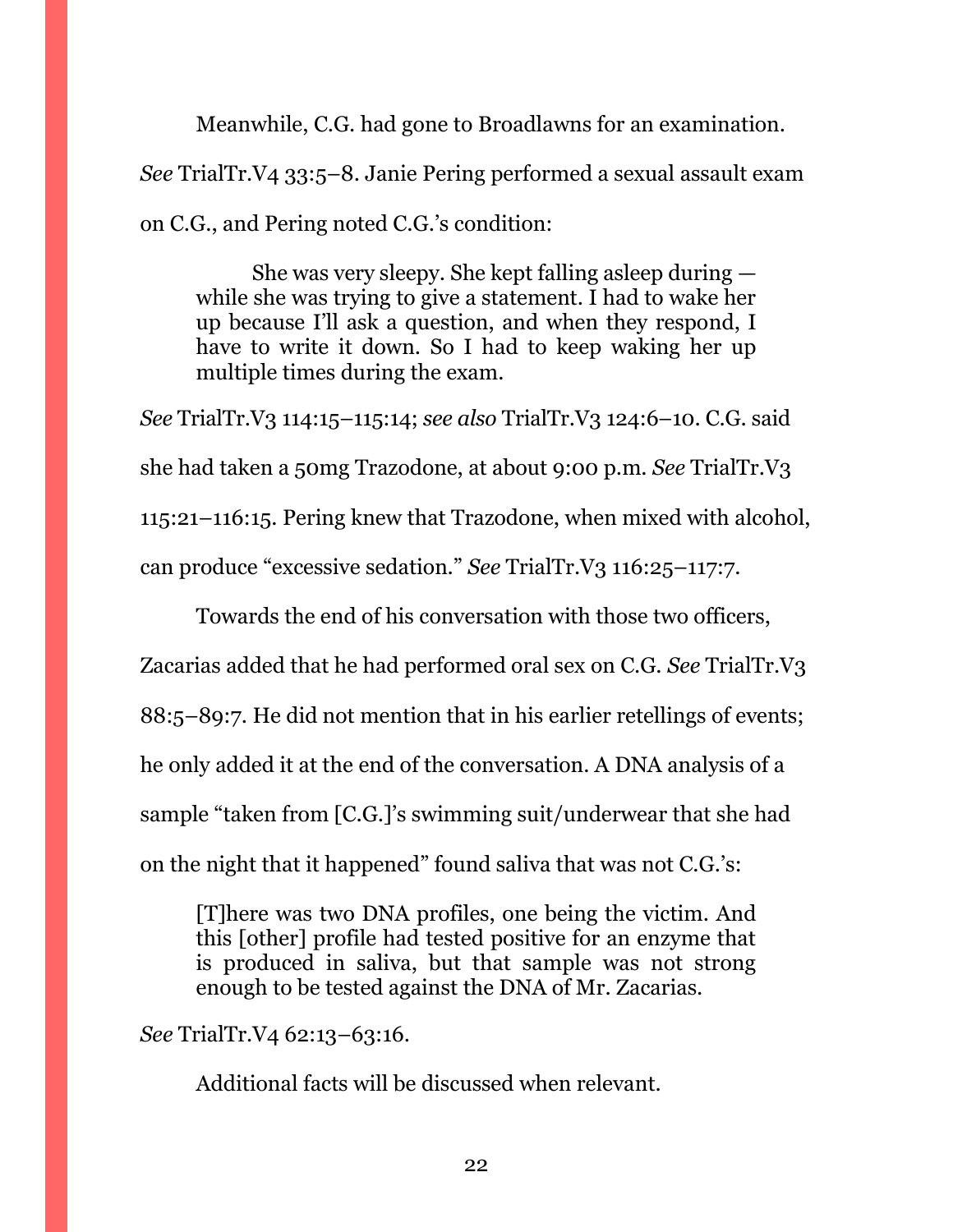Meanwhile, C.G. had gone to Broadlawns for an examination. *See* TrialTr.V4 33:5–8. Janie Pering performed a sexual assault exam on C.G., and Pering noted C.G.'s condition:

She was very sleepy. She kept falling asleep during while she was trying to give a statement. I had to wake her up because I'll ask a question, and when they respond, I have to write it down. So I had to keep waking her up multiple times during the exam.

*See* TrialTr.V3 114:15–115:14; *see also* TrialTr.V3 124:6–10. C.G. said she had taken a 50mg Trazodone, at about 9:00 p.m. *See* TrialTr.V3 115:21–116:15. Pering knew that Trazodone, when mixed with alcohol, can produce "excessive sedation." *See* TrialTr.V3 116:25–117:7.

Towards the end of his conversation with those two officers, Zacarias added that he had performed oral sex on C.G. *See* TrialTr.V3 88:5–89:7. He did not mention that in his earlier retellings of events; he only added it at the end of the conversation. A DNA analysis of a sample "taken from [C.G.]'s swimming suit/underwear that she had on the night that it happened" found saliva that was not C.G.'s:

[T]here was two DNA profiles, one being the victim. And this [other] profile had tested positive for an enzyme that is produced in saliva, but that sample was not strong enough to be tested against the DNA of Mr. Zacarias.

## *See* TrialTr.V4 62:13–63:16.

Additional facts will be discussed when relevant.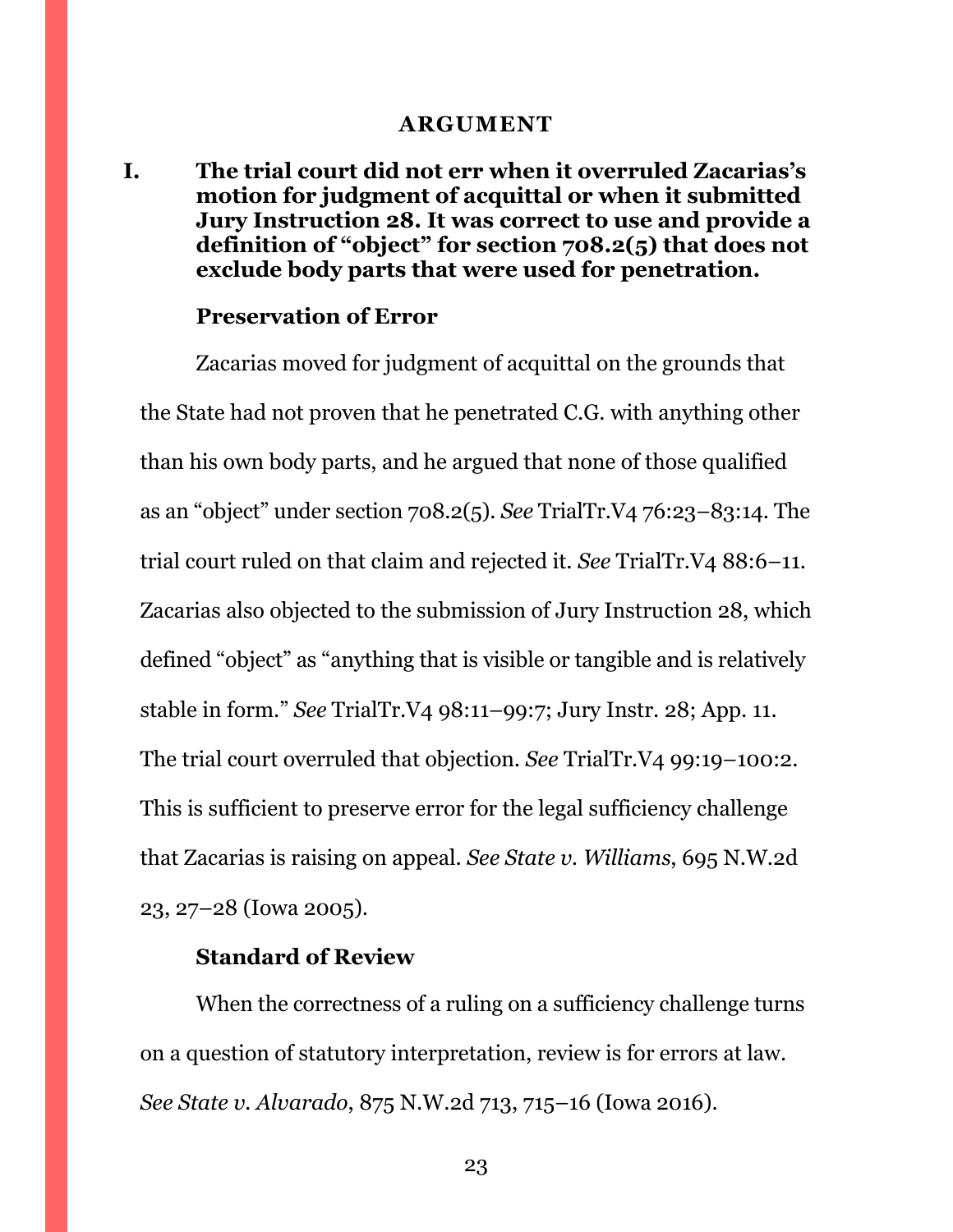#### **ARGUMENT**

<span id="page-22-1"></span><span id="page-22-0"></span>**I. The trial court did not err when it overruled Zacarias's motion for judgment of acquittal or when it submitted Jury Instruction 28. It was correct to use and provide a definition of "object" for section 708.2(5) that does not exclude body parts that were used for penetration.**

#### **Preservation of Error**

Zacarias moved for judgment of acquittal on the grounds that the State had not proven that he penetrated C.G. with anything other than his own body parts, and he argued that none of those qualified as an "object" under section 708.2(5). *See* TrialTr.V4 76:23–83:14. The trial court ruled on that claim and rejected it. *See* TrialTr.V4 88:6–11. Zacarias also objected to the submission of Jury Instruction 28, which defined "object" as "anything that is visible or tangible and is relatively stable in form." *See* TrialTr.V4 98:11–99:7; Jury Instr. 28; App. 11. The trial court overruled that objection. *See* TrialTr.V4 99:19–100:2. This is sufficient to preserve error for the legal sufficiency challenge that Zacarias is raising on appeal. *See State v. Williams*, 695 N.W.2d 23, 27–28 (Iowa 2005).

#### **Standard of Review**

When the correctness of a ruling on a sufficiency challenge turns on a question of statutory interpretation, review is for errors at law. *See State v. Alvarado*, 875 N.W.2d 713, 715–16 (Iowa 2016).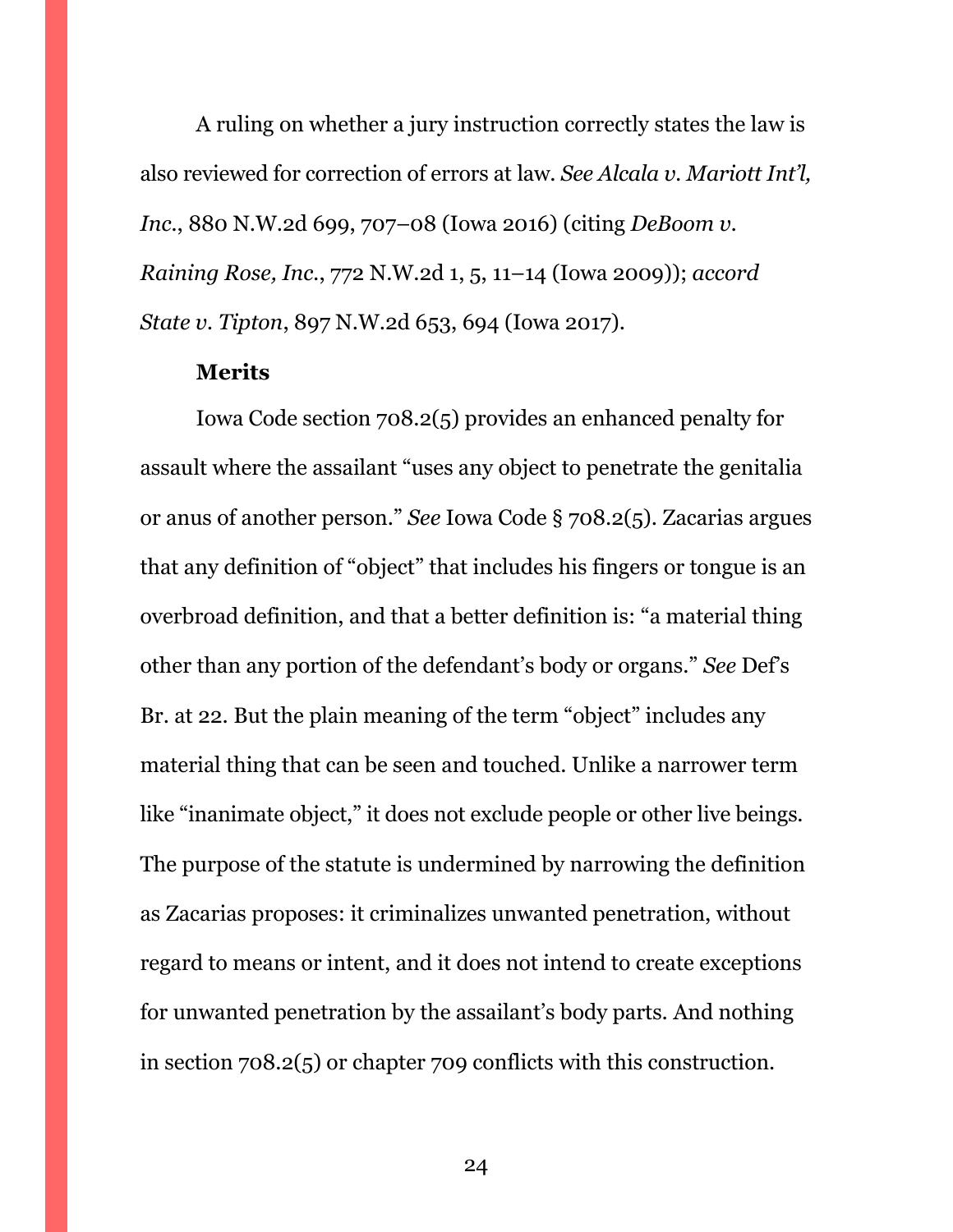A ruling on whether a jury instruction correctly states the law is also reviewed for correction of errors at law. *See Alcala v. Mariott Int'l, Inc.*, 880 N.W.2d 699, 707–08 (Iowa 2016) (citing *DeBoom v. Raining Rose, Inc.*, 772 N.W.2d 1, 5, 11–14 (Iowa 2009)); *accord State v. Tipton*, 897 N.W.2d 653, 694 (Iowa 2017).

#### **Merits**

Iowa Code section 708.2(5) provides an enhanced penalty for assault where the assailant "uses any object to penetrate the genitalia or anus of another person." *See* Iowa Code § 708.2(5). Zacarias argues that any definition of "object" that includes his fingers or tongue is an overbroad definition, and that a better definition is: "a material thing other than any portion of the defendant's body or organs." *See* Def's Br. at 22. But the plain meaning of the term "object" includes any material thing that can be seen and touched. Unlike a narrower term like "inanimate object," it does not exclude people or other live beings. The purpose of the statute is undermined by narrowing the definition as Zacarias proposes: it criminalizes unwanted penetration, without regard to means or intent, and it does not intend to create exceptions for unwanted penetration by the assailant's body parts. And nothing in section 708.2(5) or chapter 709 conflicts with this construction.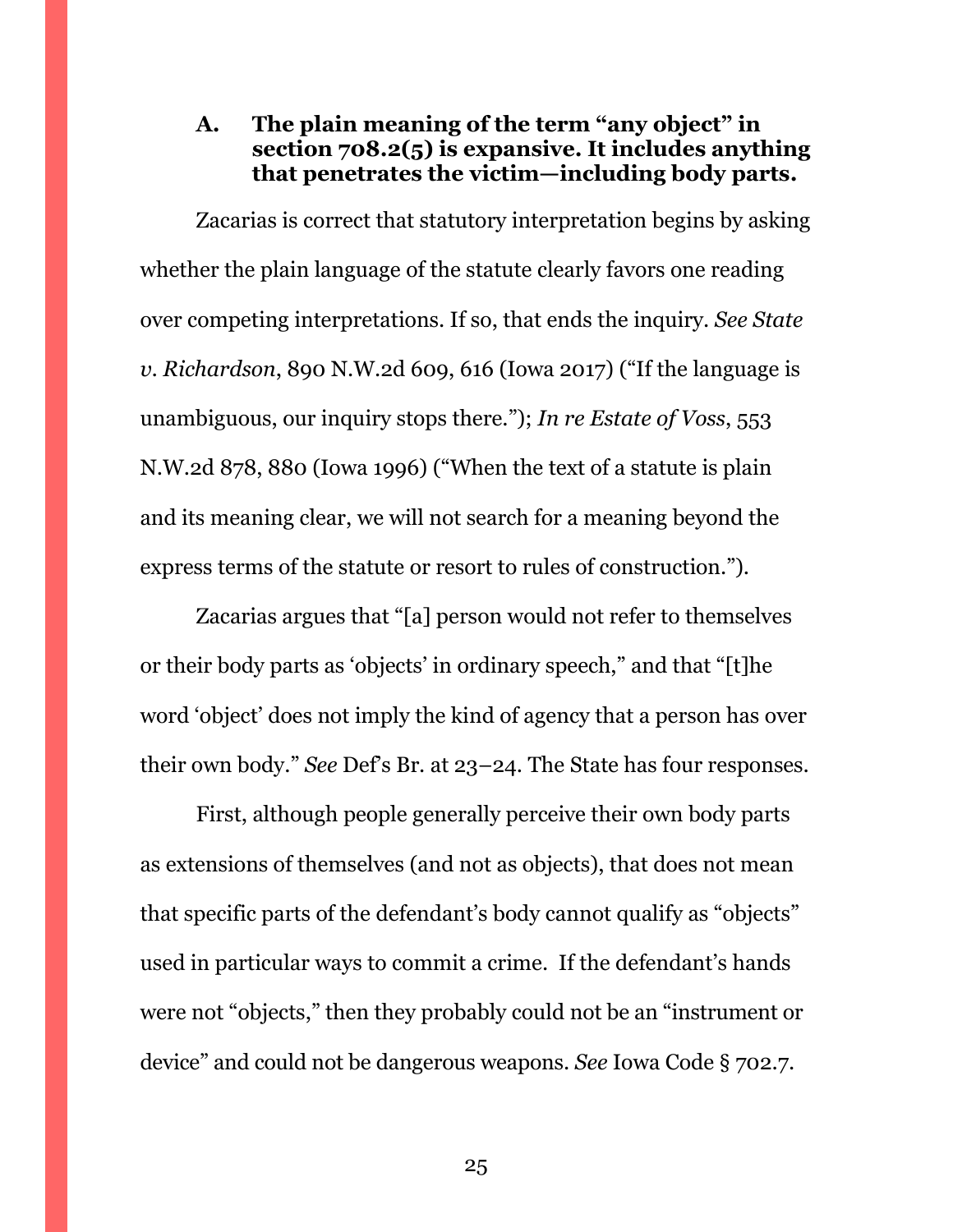# <span id="page-24-0"></span>**A. The plain meaning of the term "any object" in section 708.2(5) is expansive. It includes anything that penetrates the victim—including body parts.**

Zacarias is correct that statutory interpretation begins by asking whether the plain language of the statute clearly favors one reading over competing interpretations. If so, that ends the inquiry. *See State v. Richardson*, 890 N.W.2d 609, 616 (Iowa 2017) ("If the language is unambiguous, our inquiry stops there."); *In re Estate of Voss*, 553 N.W.2d 878, 880 (Iowa 1996) ("When the text of a statute is plain and its meaning clear, we will not search for a meaning beyond the express terms of the statute or resort to rules of construction.").

Zacarias argues that "[a] person would not refer to themselves or their body parts as 'objects' in ordinary speech," and that "[t]he word 'object' does not imply the kind of agency that a person has over their own body." *See* Def's Br. at 23–24. The State has four responses.

First, although people generally perceive their own body parts as extensions of themselves (and not as objects), that does not mean that specific parts of the defendant's body cannot qualify as "objects" used in particular ways to commit a crime. If the defendant's hands were not "objects," then they probably could not be an "instrument or device" and could not be dangerous weapons. *See* Iowa Code § 702.7.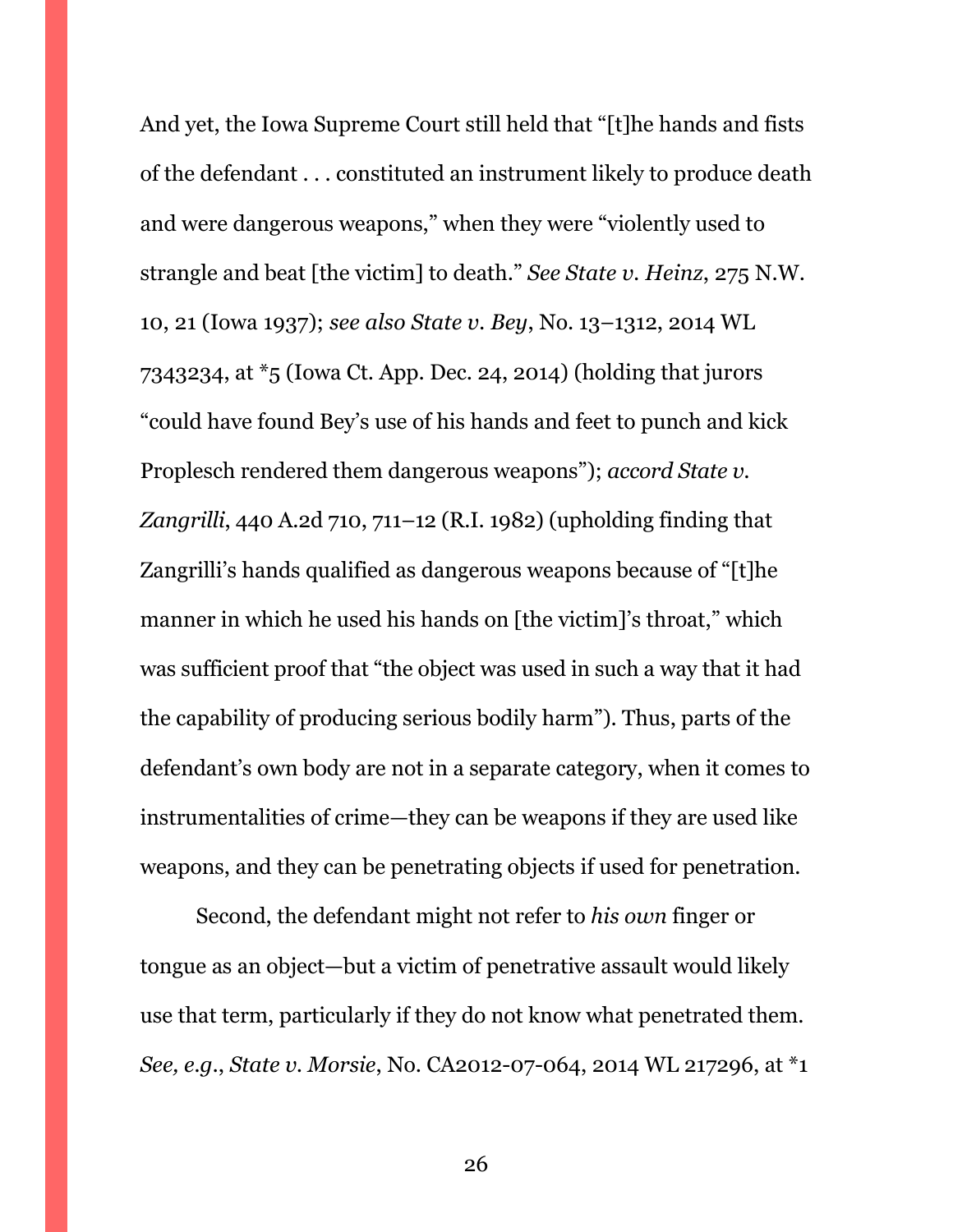And yet, the Iowa Supreme Court still held that "[t]he hands and fists of the defendant . . . constituted an instrument likely to produce death and were dangerous weapons," when they were "violently used to strangle and beat [the victim] to death." *See State v. Heinz*, 275 N.W. 10, 21 (Iowa 1937); *see also State v. Bey*, No. 13–1312, 2014 WL 7343234, at \*5 (Iowa Ct. App. Dec. 24, 2014) (holding that jurors "could have found Bey's use of his hands and feet to punch and kick Proplesch rendered them dangerous weapons"); *accord State v. Zangrilli*, 440 A.2d 710, 711–12 (R.I. 1982) (upholding finding that Zangrilli's hands qualified as dangerous weapons because of "[t]he manner in which he used his hands on [the victim]'s throat," which was sufficient proof that "the object was used in such a way that it had the capability of producing serious bodily harm"). Thus, parts of the defendant's own body are not in a separate category, when it comes to instrumentalities of crime—they can be weapons if they are used like weapons, and they can be penetrating objects if used for penetration.

Second, the defendant might not refer to *his own* finger or tongue as an object—but a victim of penetrative assault would likely use that term, particularly if they do not know what penetrated them. *See, e.g.*, *State v. Morsie*, No. CA2012-07-064, 2014 WL 217296, at \*1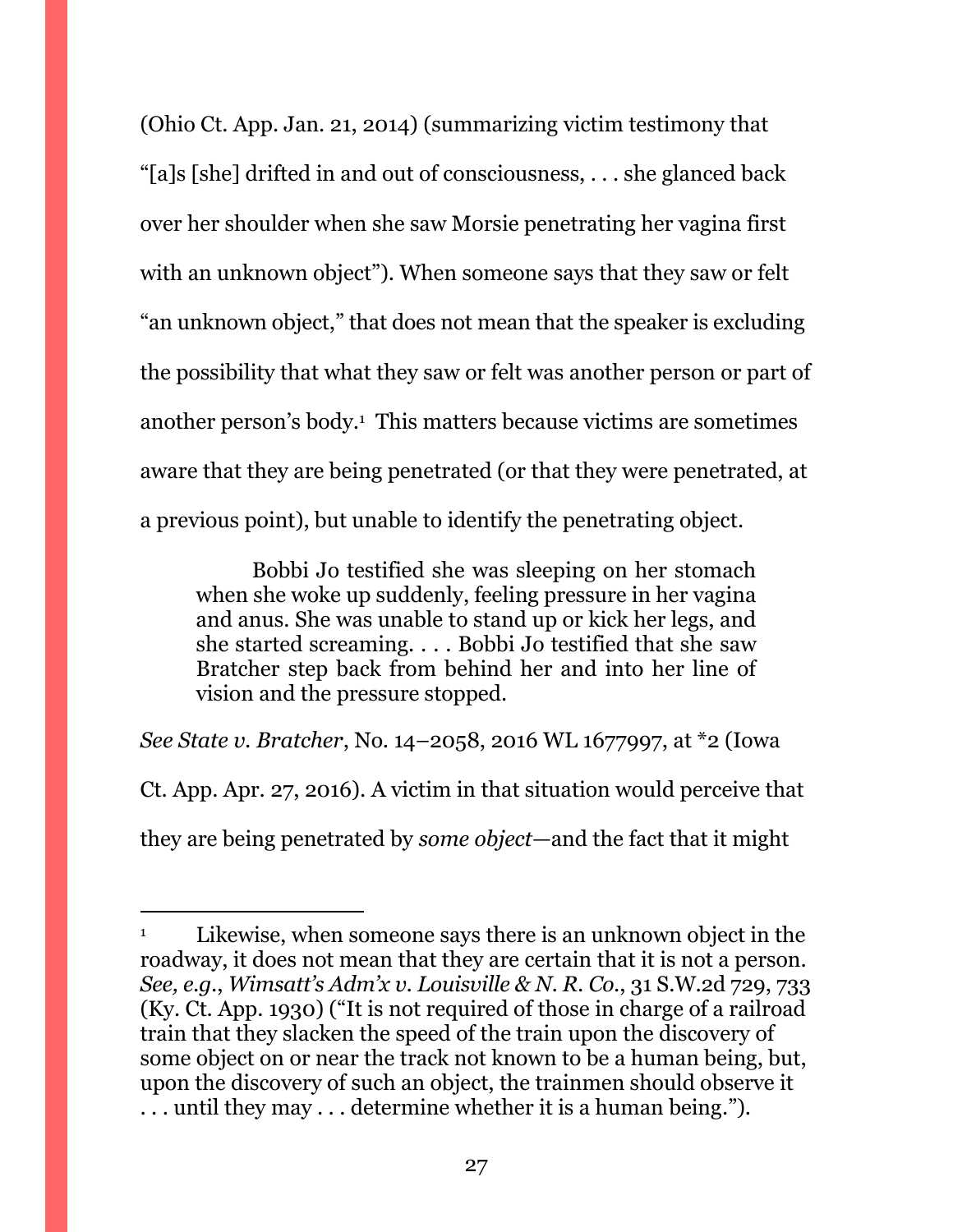(Ohio Ct. App. Jan. 21, 2014) (summarizing victim testimony that "[a]s [she] drifted in and out of consciousness, . . . she glanced back over her shoulder when she saw Morsie penetrating her vagina first with an unknown object"). When someone says that they saw or felt "an unknown object," that does not mean that the speaker is excluding the possibility that what they saw or felt was another person or part of another person's body.<sup>1</sup> This matters because victims are sometimes aware that they are being penetrated (or that they were penetrated, at a previous point), but unable to identify the penetrating object.

Bobbi Jo testified she was sleeping on her stomach when she woke up suddenly, feeling pressure in her vagina and anus. She was unable to stand up or kick her legs, and she started screaming. . . . Bobbi Jo testified that she saw Bratcher step back from behind her and into her line of vision and the pressure stopped.

*See State v. Bratcher*, No. 14–2058, 2016 WL 1677997, at \*2 (Iowa Ct. App. Apr. 27, 2016). A victim in that situation would perceive that they are being penetrated by *some object*—and the fact that it might

<sup>1</sup> Likewise, when someone says there is an unknown object in the roadway, it does not mean that they are certain that it is not a person. *See, e.g.*, *Wimsatt's Adm'x v. Louisville & N. R. Co.*, 31 S.W.2d 729, 733 (Ky. Ct. App. 1930) ("It is not required of those in charge of a railroad train that they slacken the speed of the train upon the discovery of some object on or near the track not known to be a human being, but, upon the discovery of such an object, the trainmen should observe it . . . until they may . . . determine whether it is a human being.").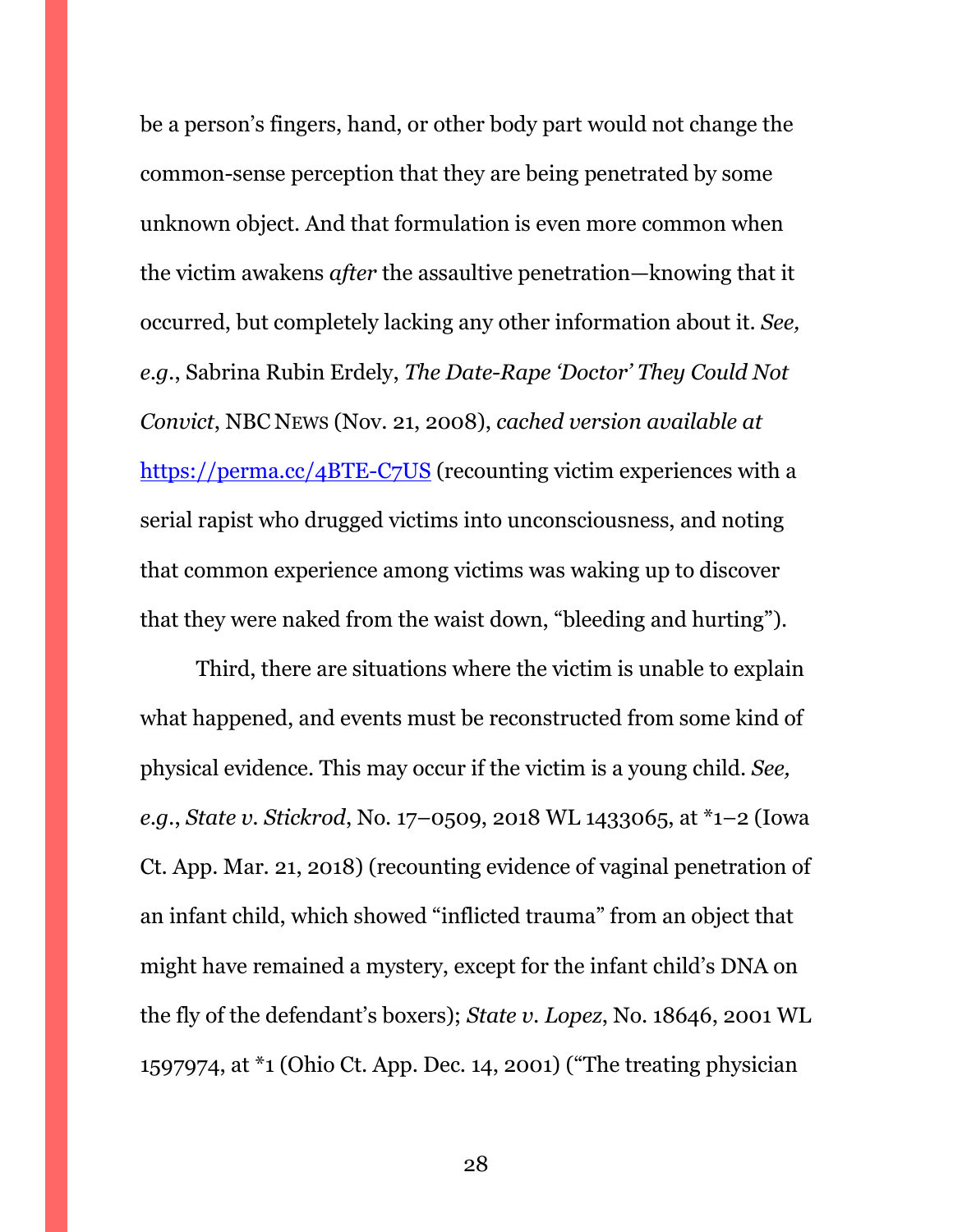be a person's fingers, hand, or other body part would not change the common-sense perception that they are being penetrated by some unknown object. And that formulation is even more common when the victim awakens *after* the assaultive penetration—knowing that it occurred, but completely lacking any other information about it. *See, e.g.*, Sabrina Rubin Erdely, *The Date-Rape 'Doctor' They Could Not Convict*, NBC NEWS (Nov. 21, 2008), *cached version available at*  <https://perma.cc/4BTE-C7US> (recounting victim experiences with a serial rapist who drugged victims into unconsciousness, and noting that common experience among victims was waking up to discover that they were naked from the waist down, "bleeding and hurting").

Third, there are situations where the victim is unable to explain what happened, and events must be reconstructed from some kind of physical evidence. This may occur if the victim is a young child. *See, e.g.*, *State v. Stickrod*, No. 17–0509, 2018 WL 1433065, at \*1–2 (Iowa Ct. App. Mar. 21, 2018) (recounting evidence of vaginal penetration of an infant child, which showed "inflicted trauma" from an object that might have remained a mystery, except for the infant child's DNA on the fly of the defendant's boxers); *State v. Lopez*, No. 18646, 2001 WL 1597974, at \*1 (Ohio Ct. App. Dec. 14, 2001) ("The treating physician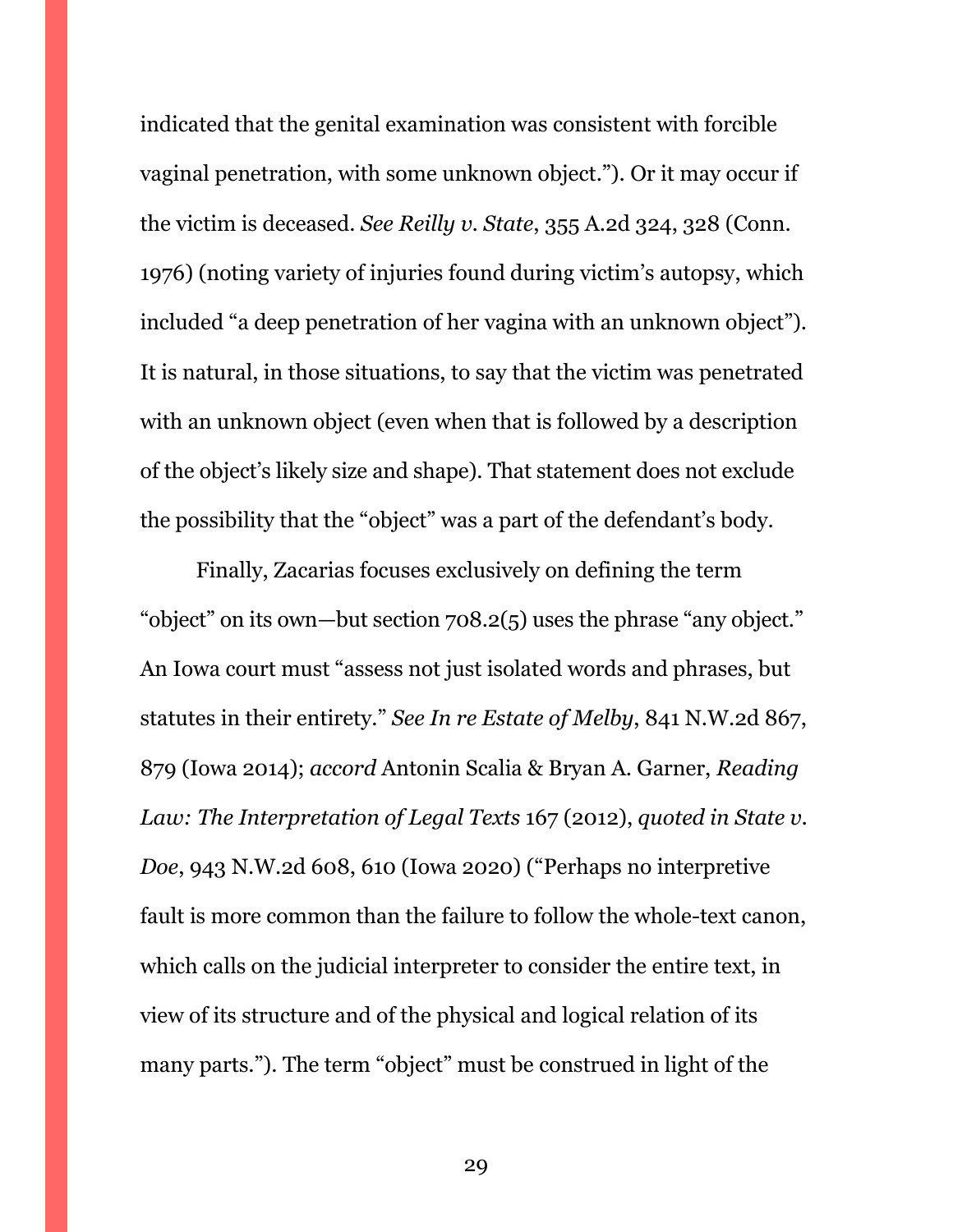indicated that the genital examination was consistent with forcible vaginal penetration, with some unknown object."). Or it may occur if the victim is deceased. *See Reilly v. State*, 355 A.2d 324, 328 (Conn. 1976) (noting variety of injuries found during victim's autopsy, which included "a deep penetration of her vagina with an unknown object"). It is natural, in those situations, to say that the victim was penetrated with an unknown object (even when that is followed by a description of the object's likely size and shape). That statement does not exclude the possibility that the "object" was a part of the defendant's body.

Finally, Zacarias focuses exclusively on defining the term "object" on its own—but section 708.2(5) uses the phrase "any object." An Iowa court must "assess not just isolated words and phrases, but statutes in their entirety." *See In re Estate of Melby*, 841 N.W.2d 867, 879 (Iowa 2014); *accord* Antonin Scalia & Bryan A. Garner, *Reading Law: The Interpretation of Legal Texts* 167 (2012), *quoted in State v. Doe*, 943 N.W.2d 608, 610 (Iowa 2020) ("Perhaps no interpretive fault is more common than the failure to follow the whole-text canon, which calls on the judicial interpreter to consider the entire text, in view of its structure and of the physical and logical relation of its many parts."). The term "object" must be construed in light of the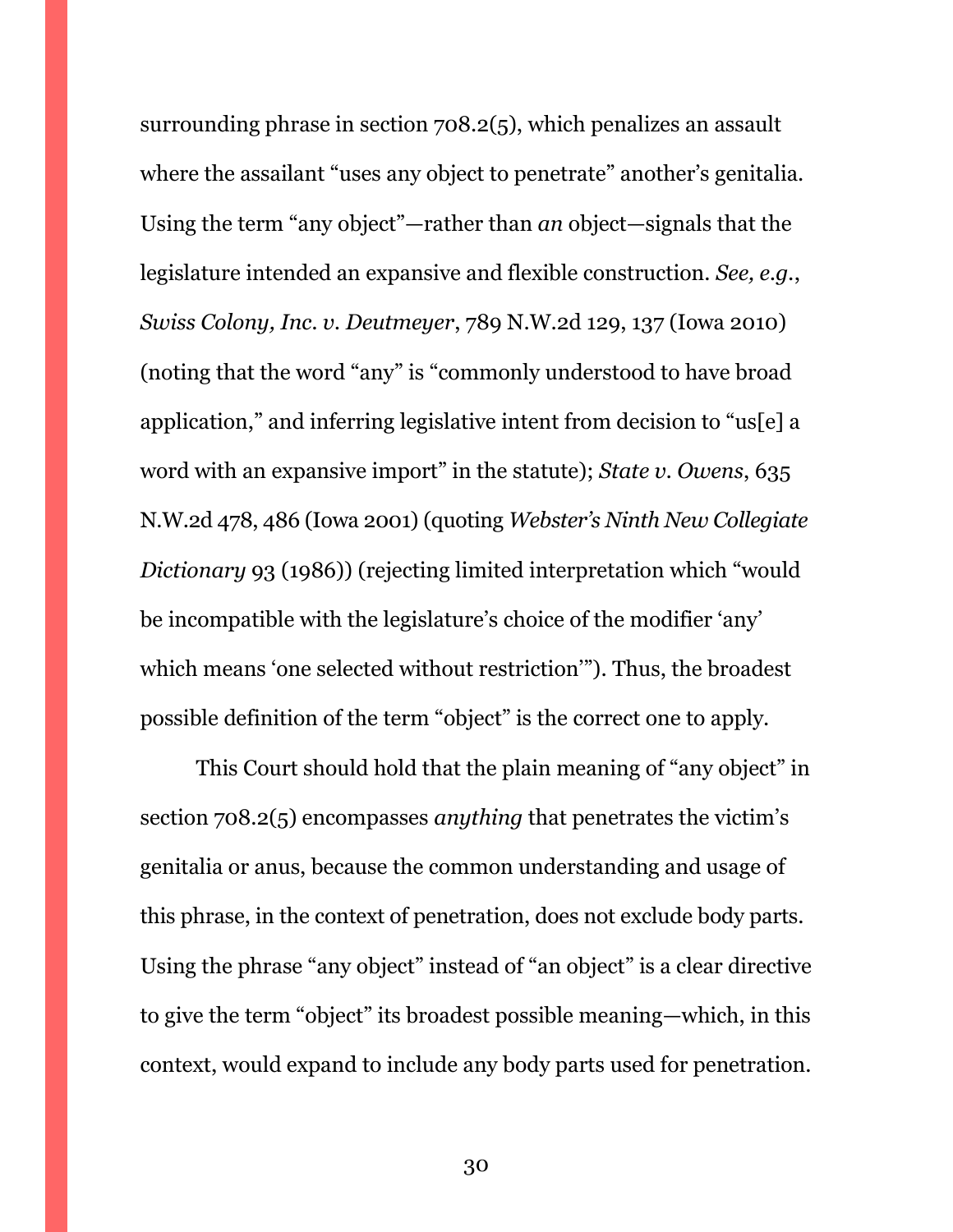surrounding phrase in section 708.2(5), which penalizes an assault where the assailant "uses any object to penetrate" another's genitalia. Using the term "any object"—rather than *an* object—signals that the legislature intended an expansive and flexible construction. *See, e.g.*, *Swiss Colony, Inc. v. Deutmeyer*, 789 N.W.2d 129, 137 (Iowa 2010) (noting that the word "any" is "commonly understood to have broad application," and inferring legislative intent from decision to "us[e] a word with an expansive import" in the statute); *State v. Owens*, 635 N.W.2d 478, 486 (Iowa 2001) (quoting *Webster's Ninth New Collegiate Dictionary* 93 (1986)) (rejecting limited interpretation which "would be incompatible with the legislature's choice of the modifier 'any' which means 'one selected without restriction'"). Thus, the broadest possible definition of the term "object" is the correct one to apply.

This Court should hold that the plain meaning of "any object" in section 708.2(5) encompasses *anything* that penetrates the victim's genitalia or anus, because the common understanding and usage of this phrase, in the context of penetration, does not exclude body parts. Using the phrase "any object" instead of "an object" is a clear directive to give the term "object" its broadest possible meaning—which, in this context, would expand to include any body parts used for penetration.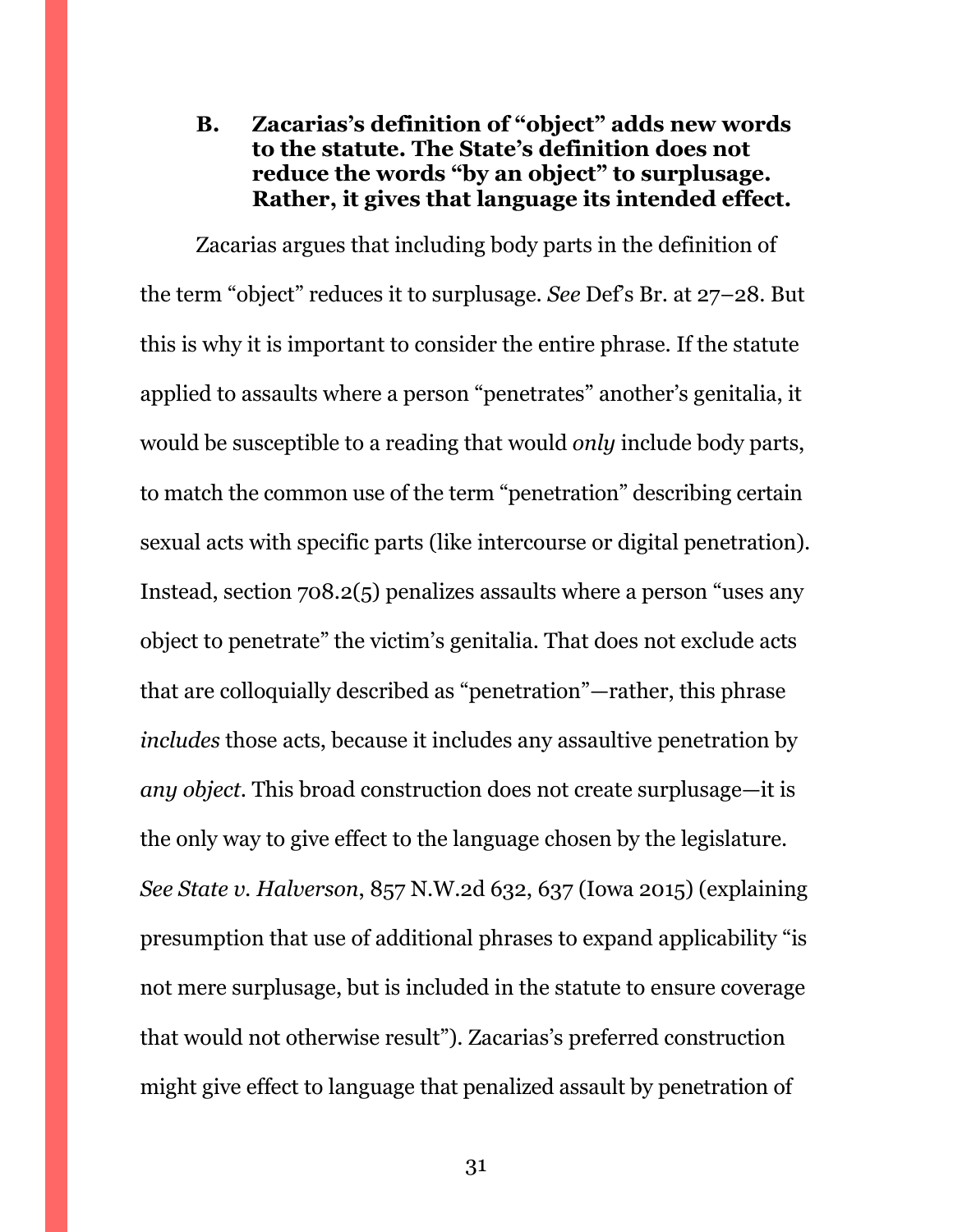# <span id="page-30-0"></span>**B. Zacarias's definition of "object" adds new words to the statute. The State's definition does not reduce the words "by an object" to surplusage. Rather, it gives that language its intended effect.**

Zacarias argues that including body parts in the definition of the term "object" reduces it to surplusage. *See* Def's Br. at 27–28. But this is why it is important to consider the entire phrase. If the statute applied to assaults where a person "penetrates" another's genitalia, it would be susceptible to a reading that would *only* include body parts, to match the common use of the term "penetration" describing certain sexual acts with specific parts (like intercourse or digital penetration). Instead, section 708.2(5) penalizes assaults where a person "uses any object to penetrate" the victim's genitalia. That does not exclude acts that are colloquially described as "penetration"—rather, this phrase *includes* those acts, because it includes any assaultive penetration by *any object*. This broad construction does not create surplusage—it is the only way to give effect to the language chosen by the legislature. *See State v. Halverson*, 857 N.W.2d 632, 637 (Iowa 2015) (explaining presumption that use of additional phrases to expand applicability "is not mere surplusage, but is included in the statute to ensure coverage that would not otherwise result"). Zacarias's preferred construction might give effect to language that penalized assault by penetration of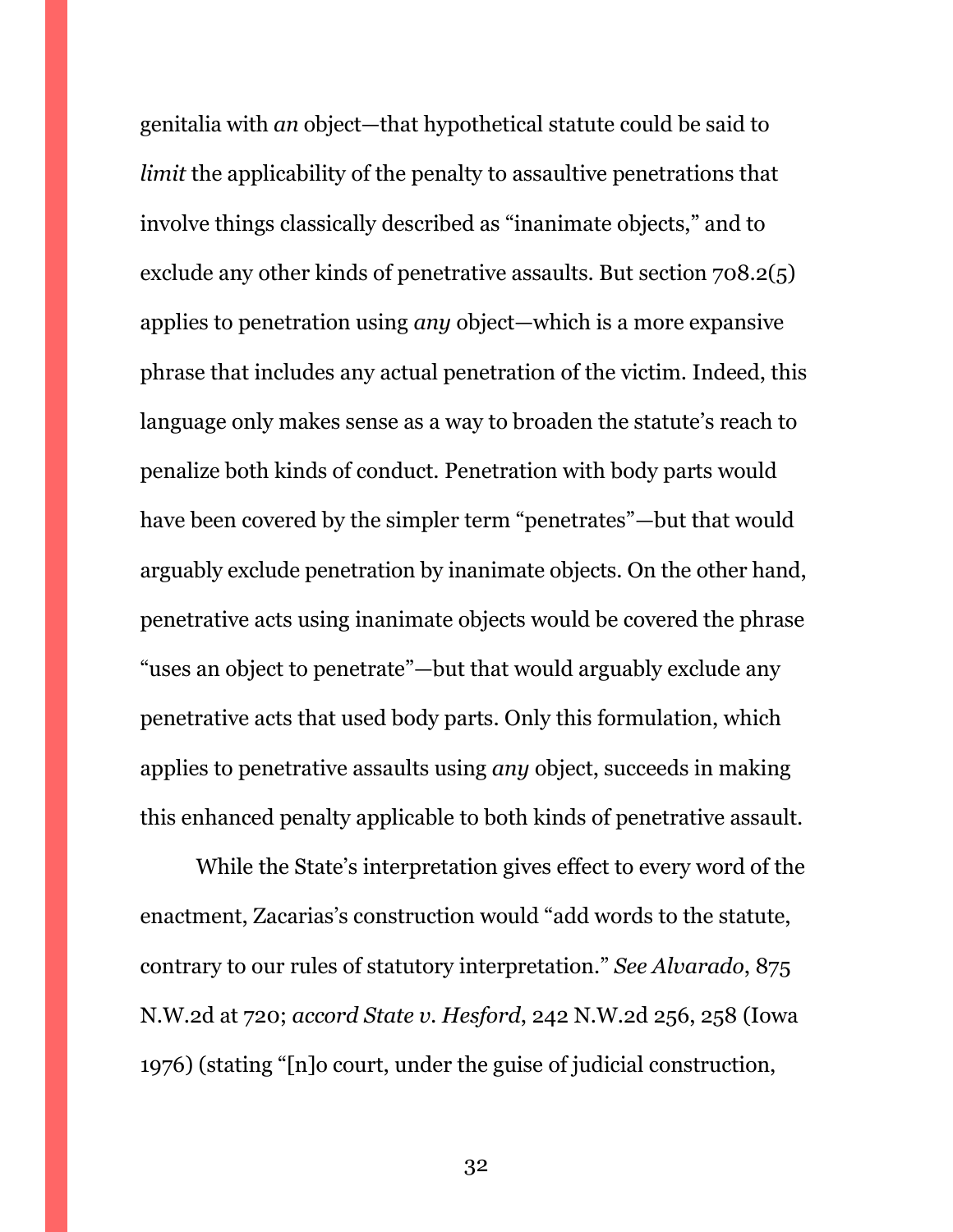genitalia with *an* object—that hypothetical statute could be said to *limit* the applicability of the penalty to assaultive penetrations that involve things classically described as "inanimate objects," and to exclude any other kinds of penetrative assaults. But section 708.2(5) applies to penetration using *any* object—which is a more expansive phrase that includes any actual penetration of the victim. Indeed, this language only makes sense as a way to broaden the statute's reach to penalize both kinds of conduct. Penetration with body parts would have been covered by the simpler term "penetrates"—but that would arguably exclude penetration by inanimate objects. On the other hand, penetrative acts using inanimate objects would be covered the phrase "uses an object to penetrate"—but that would arguably exclude any penetrative acts that used body parts. Only this formulation, which applies to penetrative assaults using *any* object, succeeds in making this enhanced penalty applicable to both kinds of penetrative assault.

While the State's interpretation gives effect to every word of the enactment, Zacarias's construction would "add words to the statute, contrary to our rules of statutory interpretation." *See Alvarado*, 875 N.W.2d at 720; *accord State v. Hesford*, 242 N.W.2d 256, 258 (Iowa 1976) (stating "[n]o court, under the guise of judicial construction,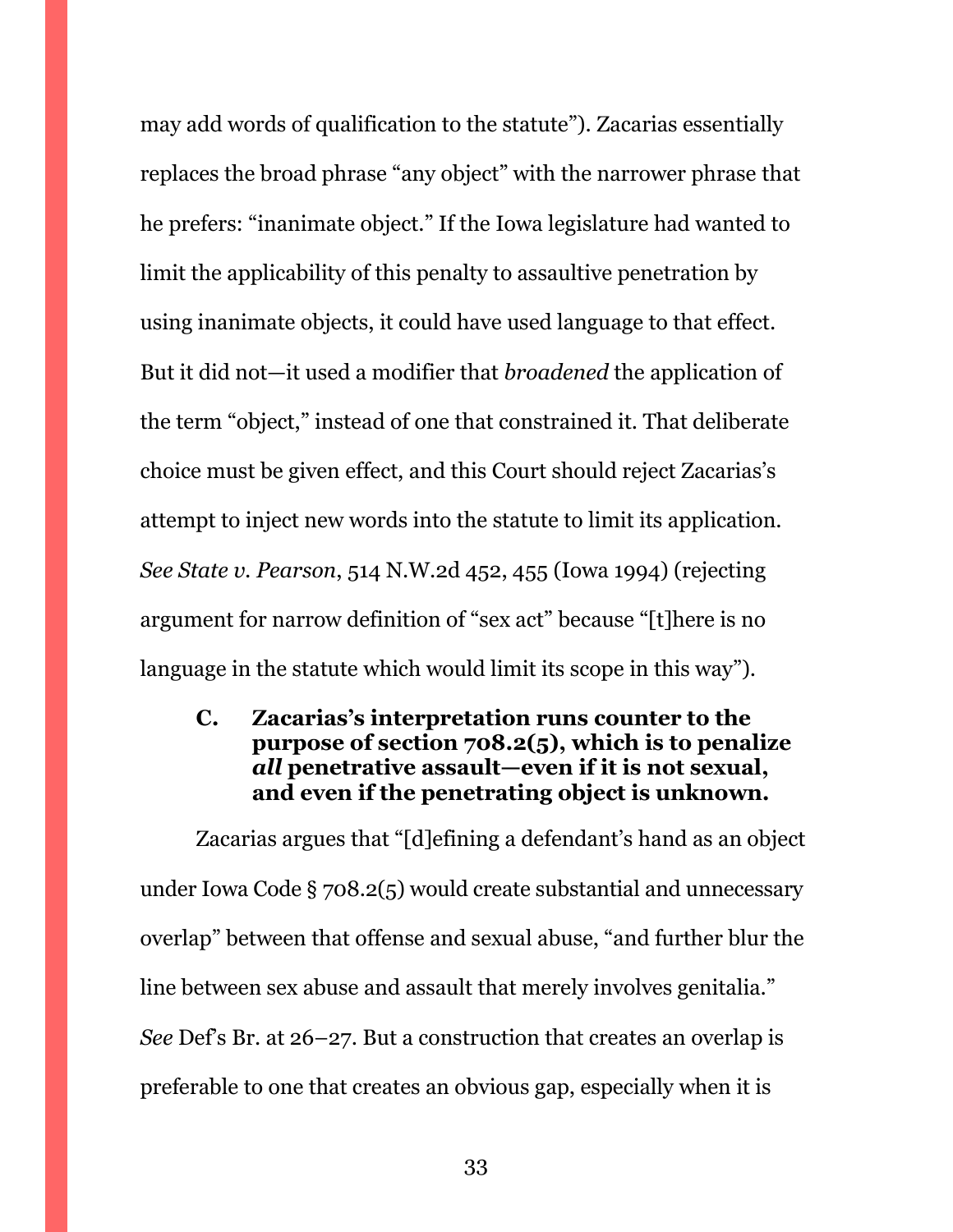may add words of qualification to the statute"). Zacarias essentially replaces the broad phrase "any object" with the narrower phrase that he prefers: "inanimate object." If the Iowa legislature had wanted to limit the applicability of this penalty to assaultive penetration by using inanimate objects, it could have used language to that effect. But it did not—it used a modifier that *broadened* the application of the term "object," instead of one that constrained it. That deliberate choice must be given effect, and this Court should reject Zacarias's attempt to inject new words into the statute to limit its application. *See State v. Pearson*, 514 N.W.2d 452, 455 (Iowa 1994) (rejecting argument for narrow definition of "sex act" because "[t]here is no language in the statute which would limit its scope in this way").

<span id="page-32-0"></span>**C. Zacarias's interpretation runs counter to the purpose of section 708.2(5), which is to penalize**  *all* **penetrative assault—even if it is not sexual, and even if the penetrating object is unknown.**

Zacarias argues that "[d]efining a defendant's hand as an object under Iowa Code § 708.2(5) would create substantial and unnecessary overlap" between that offense and sexual abuse, "and further blur the line between sex abuse and assault that merely involves genitalia." *See* Def's Br. at 26–27. But a construction that creates an overlap is preferable to one that creates an obvious gap, especially when it is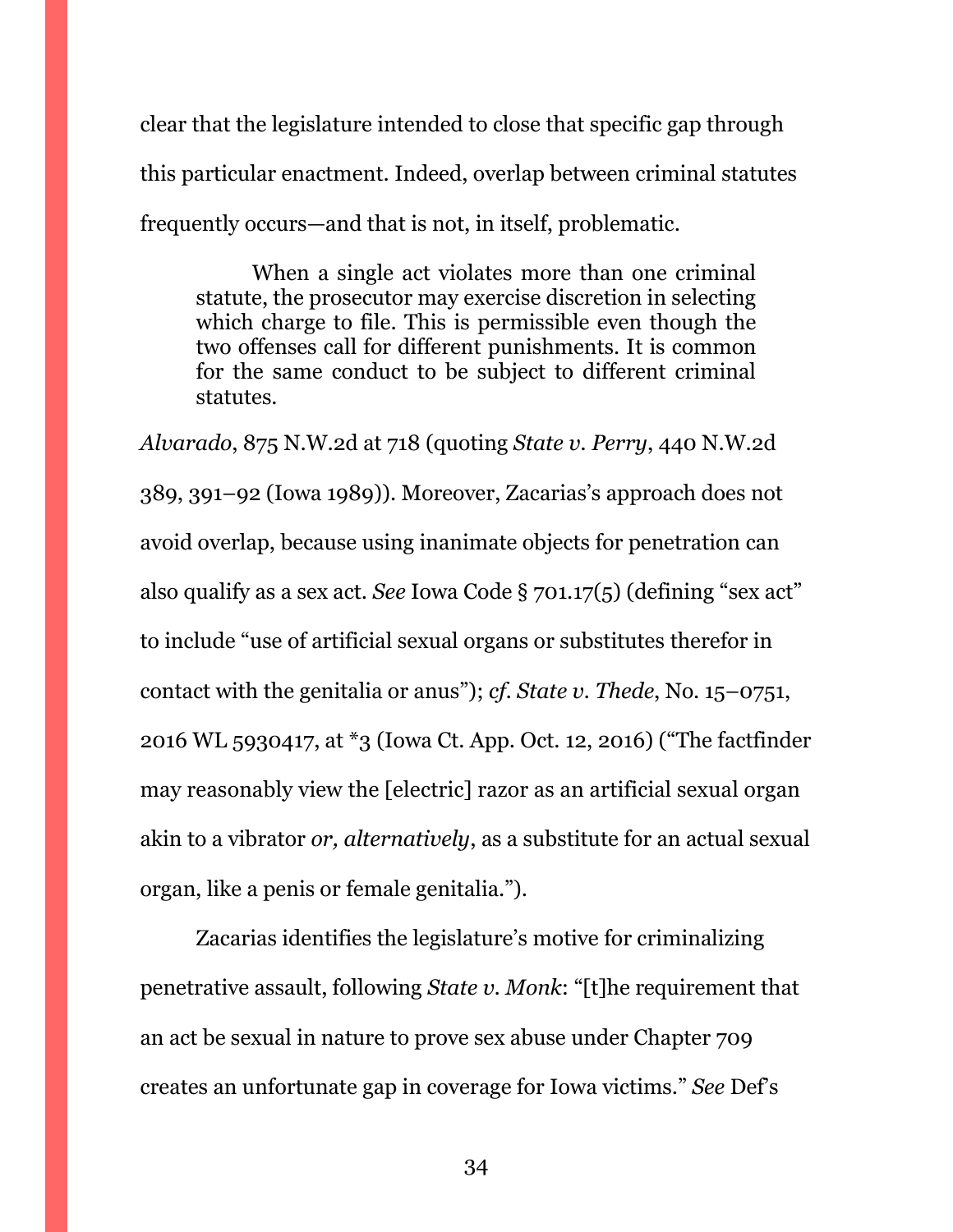clear that the legislature intended to close that specific gap through this particular enactment. Indeed, overlap between criminal statutes frequently occurs—and that is not, in itself, problematic.

When a single act violates more than one criminal statute, the prosecutor may exercise discretion in selecting which charge to file. This is permissible even though the two offenses call for different punishments. It is common for the same conduct to be subject to different criminal statutes.

*Alvarado*, 875 N.W.2d at 718 (quoting *State v. Perry*, 440 N.W.2d 389, 391–92 (Iowa 1989)). Moreover, Zacarias's approach does not avoid overlap, because using inanimate objects for penetration can also qualify as a sex act. *See* Iowa Code § 701.17(5) (defining "sex act" to include "use of artificial sexual organs or substitutes therefor in contact with the genitalia or anus"); *cf. State v. Thede*, No. 15–0751, 2016 WL 5930417, at \*3 (Iowa Ct. App. Oct. 12, 2016) ("The factfinder may reasonably view the [electric] razor as an artificial sexual organ akin to a vibrator *or, alternatively*, as a substitute for an actual sexual organ, like a penis or female genitalia.").

Zacarias identifies the legislature's motive for criminalizing penetrative assault, following *State v. Monk*: "[t]he requirement that an act be sexual in nature to prove sex abuse under Chapter 709 creates an unfortunate gap in coverage for Iowa victims." *See* Def's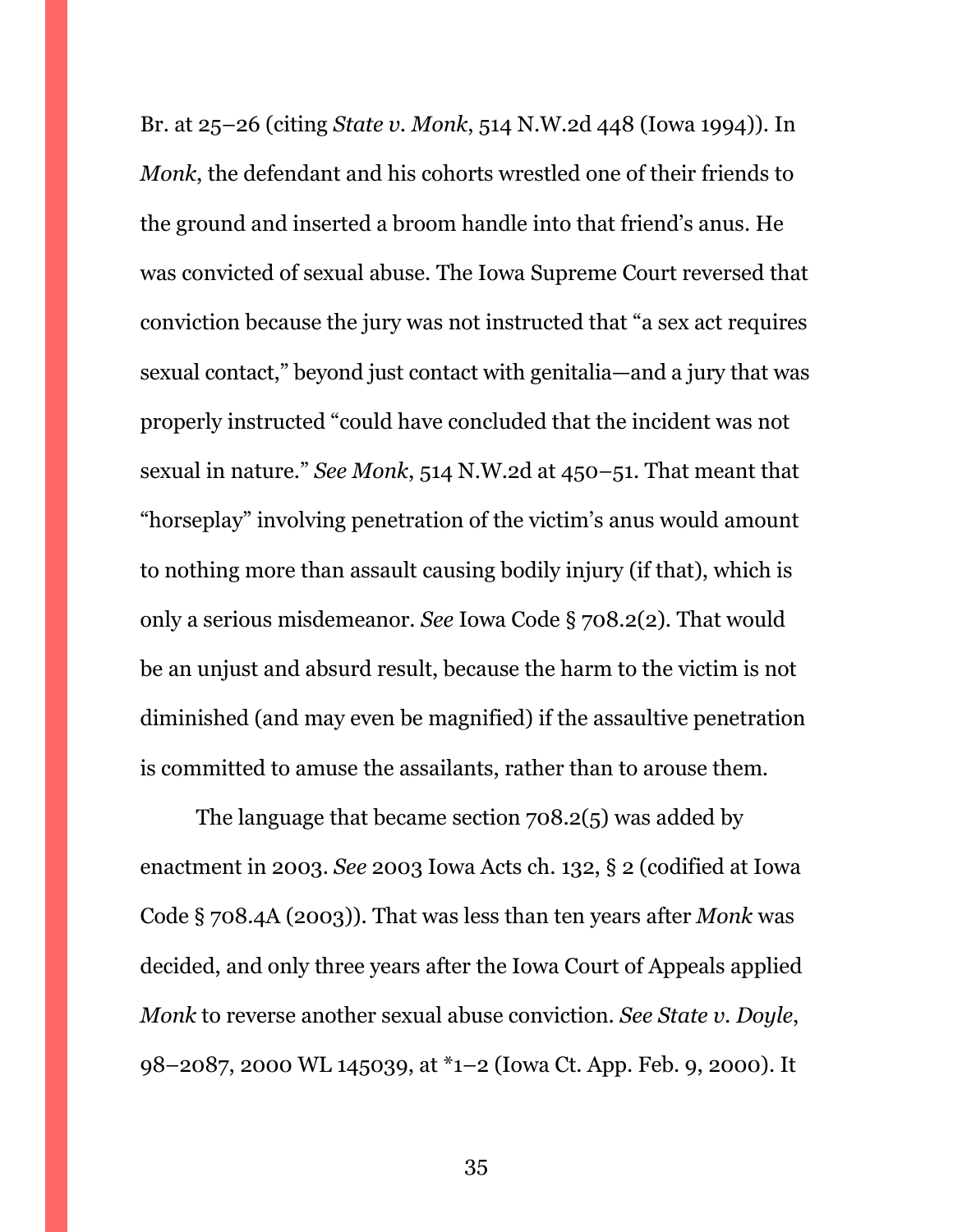Br. at 25–26 (citing *State v. Monk*, 514 N.W.2d 448 (Iowa 1994)). In *Monk*, the defendant and his cohorts wrestled one of their friends to the ground and inserted a broom handle into that friend's anus. He was convicted of sexual abuse. The Iowa Supreme Court reversed that conviction because the jury was not instructed that "a sex act requires sexual contact," beyond just contact with genitalia—and a jury that was properly instructed "could have concluded that the incident was not sexual in nature." *See Monk*, 514 N.W.2d at 450–51. That meant that "horseplay" involving penetration of the victim's anus would amount to nothing more than assault causing bodily injury (if that), which is only a serious misdemeanor. *See* Iowa Code § 708.2(2). That would be an unjust and absurd result, because the harm to the victim is not diminished (and may even be magnified) if the assaultive penetration is committed to amuse the assailants, rather than to arouse them.

The language that became section 708.2(5) was added by enactment in 2003. *See* 2003 Iowa Acts ch. 132, § 2 (codified at Iowa Code § 708.4A (2003)). That was less than ten years after *Monk* was decided, and only three years after the Iowa Court of Appeals applied *Monk* to reverse another sexual abuse conviction. *See State v. Doyle*, 98–2087, 2000 WL 145039, at \*1–2 (Iowa Ct. App. Feb. 9, 2000). It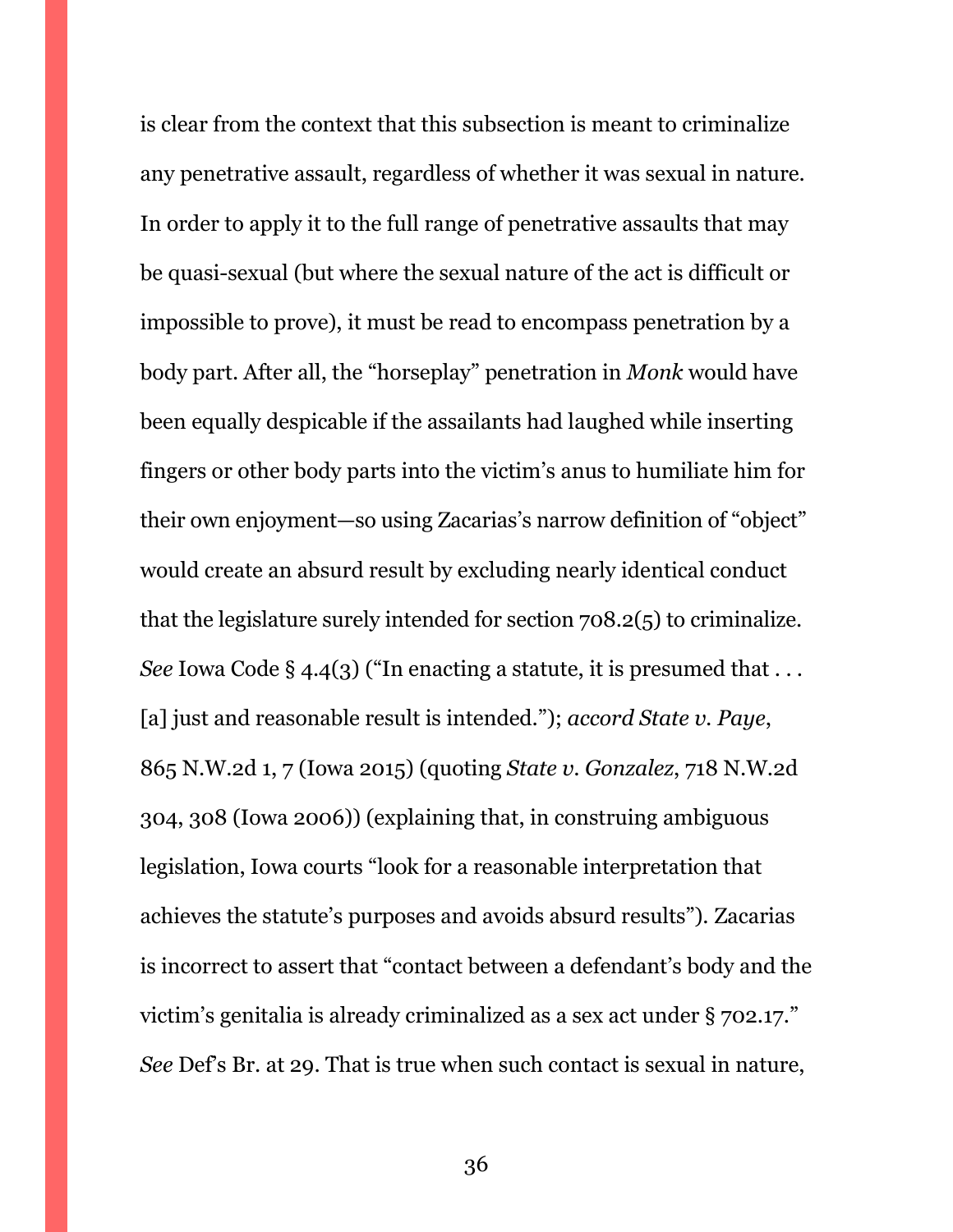is clear from the context that this subsection is meant to criminalize any penetrative assault, regardless of whether it was sexual in nature. In order to apply it to the full range of penetrative assaults that may be quasi-sexual (but where the sexual nature of the act is difficult or impossible to prove), it must be read to encompass penetration by a body part. After all, the "horseplay" penetration in *Monk* would have been equally despicable if the assailants had laughed while inserting fingers or other body parts into the victim's anus to humiliate him for their own enjoyment—so using Zacarias's narrow definition of "object" would create an absurd result by excluding nearly identical conduct that the legislature surely intended for section 708.2(5) to criminalize. *See* Iowa Code § 4.4(3) ("In enacting a statute, it is presumed that  $\dots$ [a] just and reasonable result is intended."); *accord State v. Paye*, 865 N.W.2d 1, 7 (Iowa 2015) (quoting *State v. Gonzalez*, 718 N.W.2d 304, 308 (Iowa 2006)) (explaining that, in construing ambiguous legislation, Iowa courts "look for a reasonable interpretation that achieves the statute's purposes and avoids absurd results"). Zacarias is incorrect to assert that "contact between a defendant's body and the victim's genitalia is already criminalized as a sex act under § 702.17." *See* Def's Br. at 29. That is true when such contact is sexual in nature,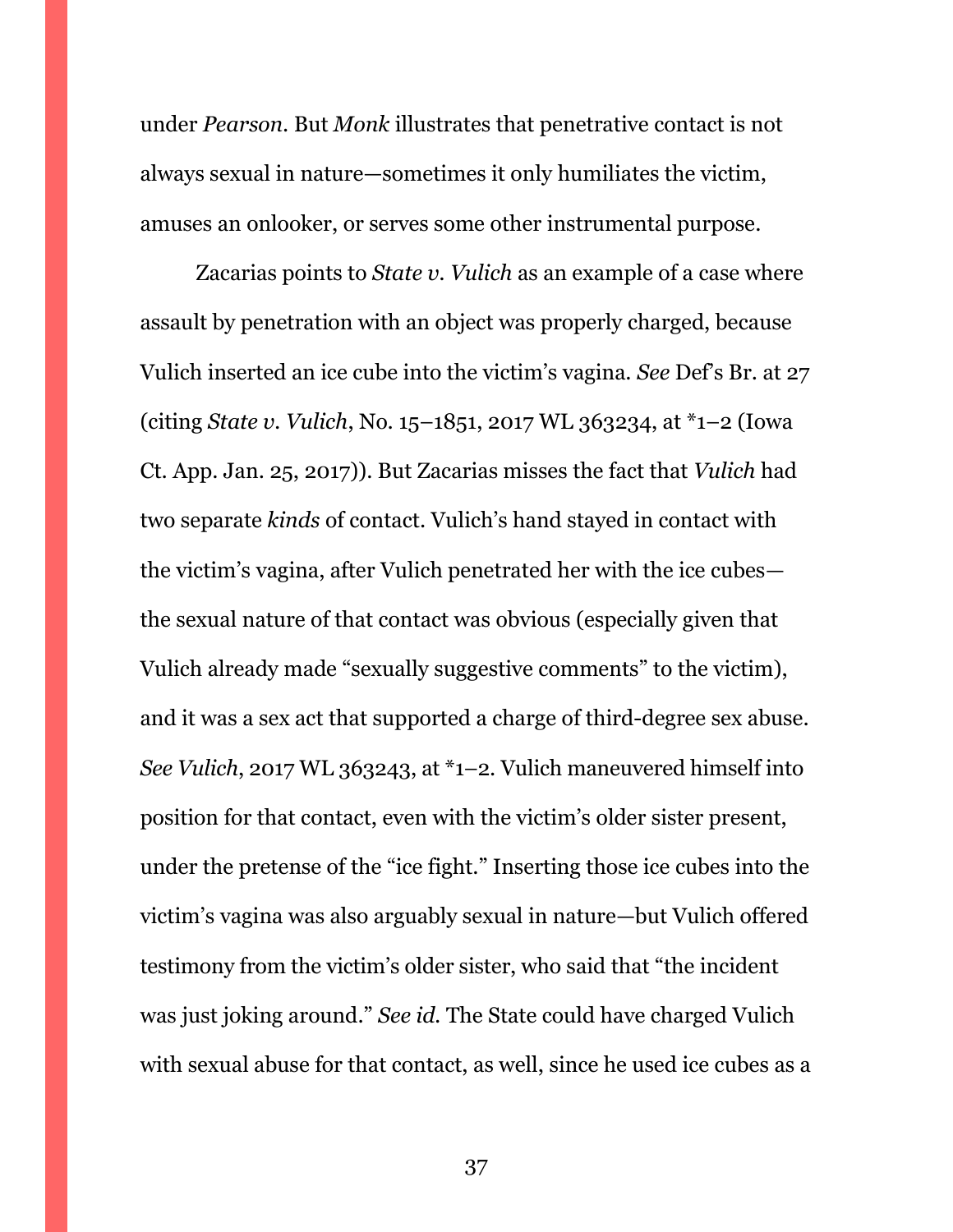under *Pearson*. But *Monk* illustrates that penetrative contact is not always sexual in nature—sometimes it only humiliates the victim, amuses an onlooker, or serves some other instrumental purpose.

Zacarias points to *State v. Vulich* as an example of a case where assault by penetration with an object was properly charged, because Vulich inserted an ice cube into the victim's vagina. *See* Def's Br. at 27 (citing *State v. Vulich*, No. 15–1851, 2017 WL 363234, at \*1–2 (Iowa Ct. App. Jan. 25, 2017)). But Zacarias misses the fact that *Vulich* had two separate *kinds* of contact. Vulich's hand stayed in contact with the victim's vagina, after Vulich penetrated her with the ice cubes the sexual nature of that contact was obvious (especially given that Vulich already made "sexually suggestive comments" to the victim), and it was a sex act that supported a charge of third-degree sex abuse. *See Vulich*, 2017 WL 363243, at \*1–2. Vulich maneuvered himself into position for that contact, even with the victim's older sister present, under the pretense of the "ice fight." Inserting those ice cubes into the victim's vagina was also arguably sexual in nature—but Vulich offered testimony from the victim's older sister, who said that "the incident was just joking around." *See id.* The State could have charged Vulich with sexual abuse for that contact, as well, since he used ice cubes as a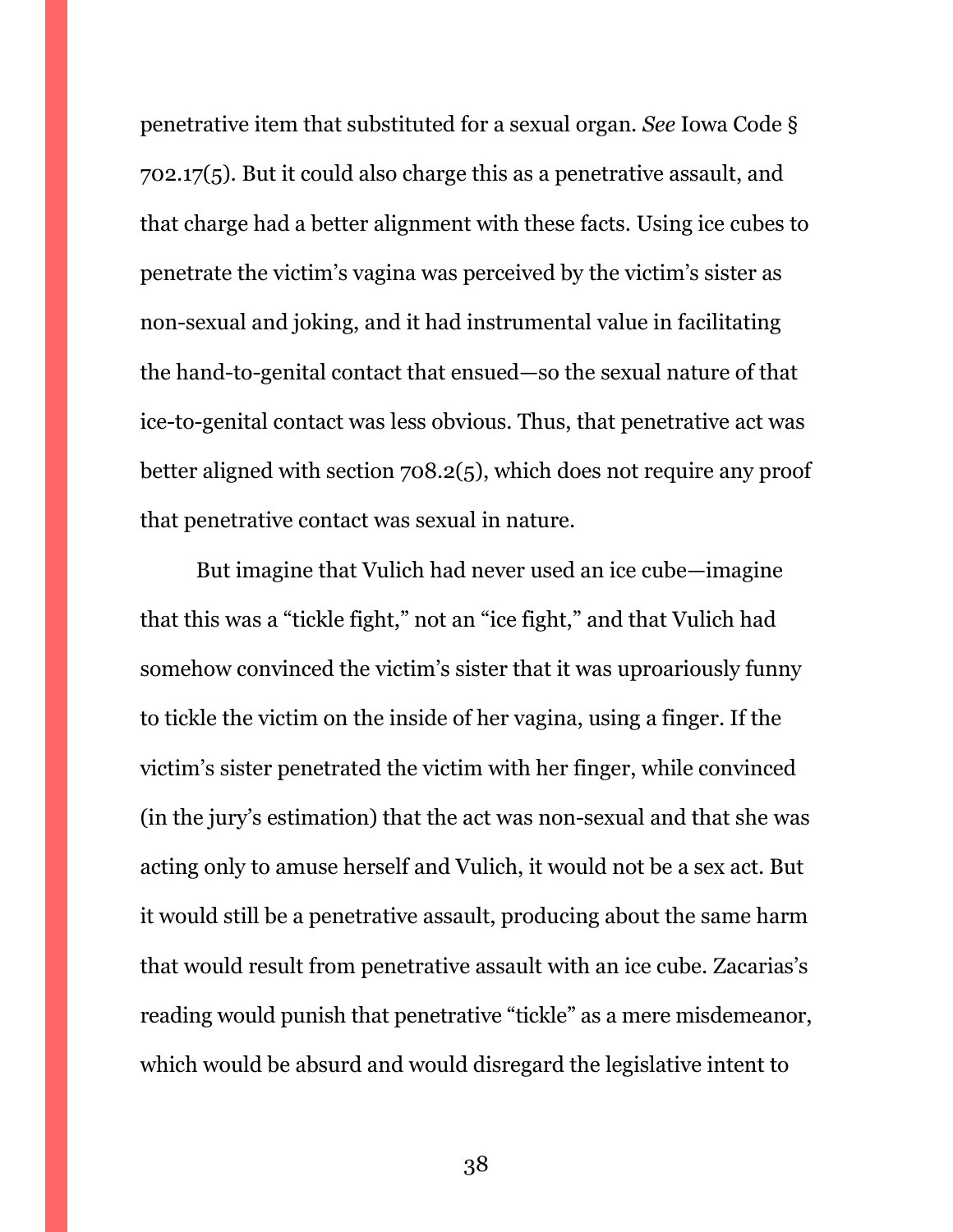penetrative item that substituted for a sexual organ. *See* Iowa Code § 702.17(5). But it could also charge this as a penetrative assault, and that charge had a better alignment with these facts. Using ice cubes to penetrate the victim's vagina was perceived by the victim's sister as non-sexual and joking, and it had instrumental value in facilitating the hand-to-genital contact that ensued—so the sexual nature of that ice-to-genital contact was less obvious. Thus, that penetrative act was better aligned with section 708.2(5), which does not require any proof that penetrative contact was sexual in nature.

But imagine that Vulich had never used an ice cube—imagine that this was a "tickle fight," not an "ice fight," and that Vulich had somehow convinced the victim's sister that it was uproariously funny to tickle the victim on the inside of her vagina, using a finger. If the victim's sister penetrated the victim with her finger, while convinced (in the jury's estimation) that the act was non-sexual and that she was acting only to amuse herself and Vulich, it would not be a sex act. But it would still be a penetrative assault, producing about the same harm that would result from penetrative assault with an ice cube. Zacarias's reading would punish that penetrative "tickle" as a mere misdemeanor, which would be absurd and would disregard the legislative intent to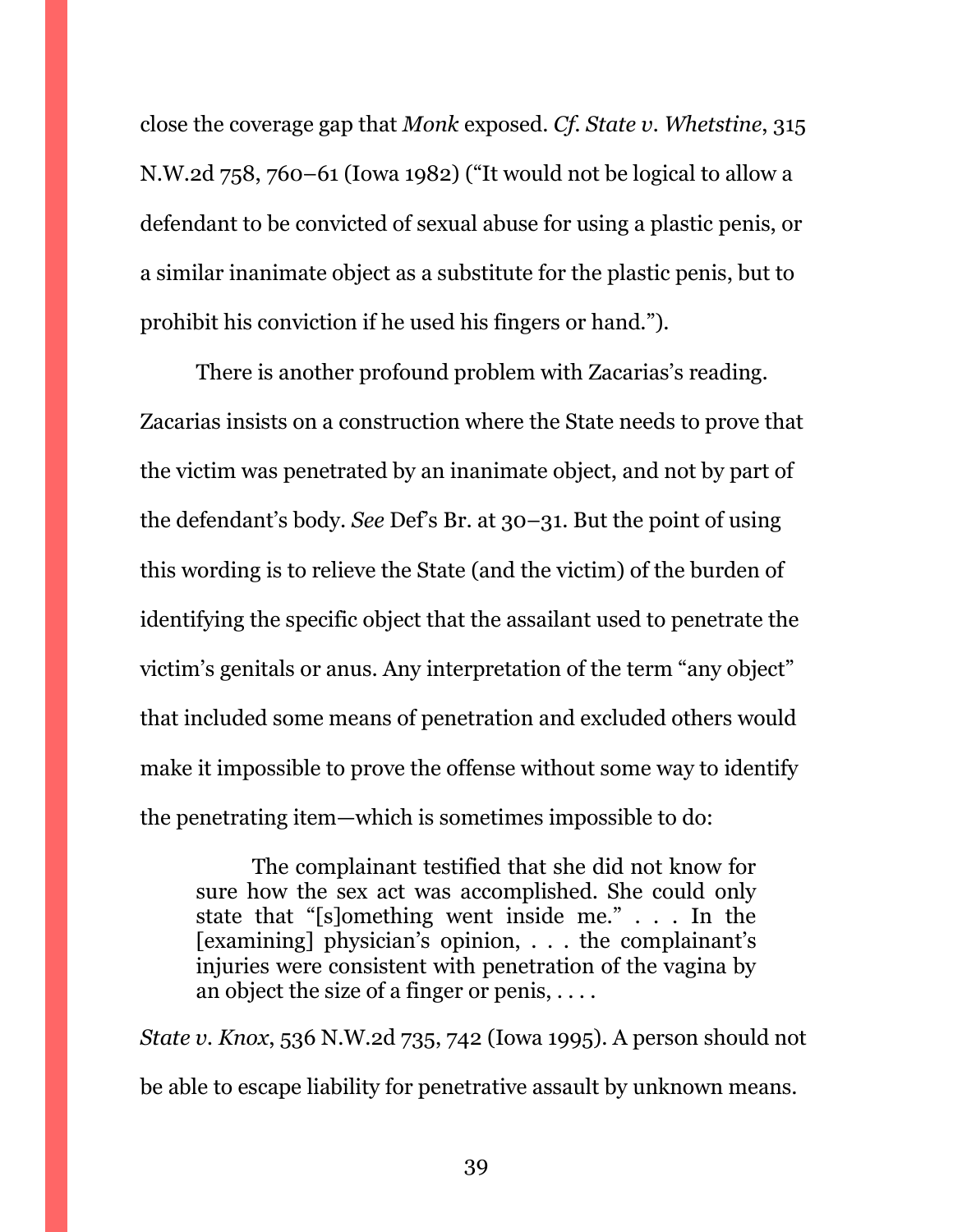close the coverage gap that *Monk* exposed. *Cf. State v. Whetstine*, 315 N.W.2d 758, 760–61 (Iowa 1982) ("It would not be logical to allow a defendant to be convicted of sexual abuse for using a plastic penis, or a similar inanimate object as a substitute for the plastic penis, but to prohibit his conviction if he used his fingers or hand.").

There is another profound problem with Zacarias's reading. Zacarias insists on a construction where the State needs to prove that the victim was penetrated by an inanimate object, and not by part of the defendant's body. *See* Def's Br. at 30–31. But the point of using this wording is to relieve the State (and the victim) of the burden of identifying the specific object that the assailant used to penetrate the victim's genitals or anus. Any interpretation of the term "any object" that included some means of penetration and excluded others would make it impossible to prove the offense without some way to identify the penetrating item—which is sometimes impossible to do:

The complainant testified that she did not know for sure how the sex act was accomplished. She could only state that "[s]omething went inside me." . . . In the [examining] physician's opinion, . . . the complainant's injuries were consistent with penetration of the vagina by an object the size of a finger or penis, . . . .

*State v. Knox*, 536 N.W.2d 735, 742 (Iowa 1995). A person should not be able to escape liability for penetrative assault by unknown means.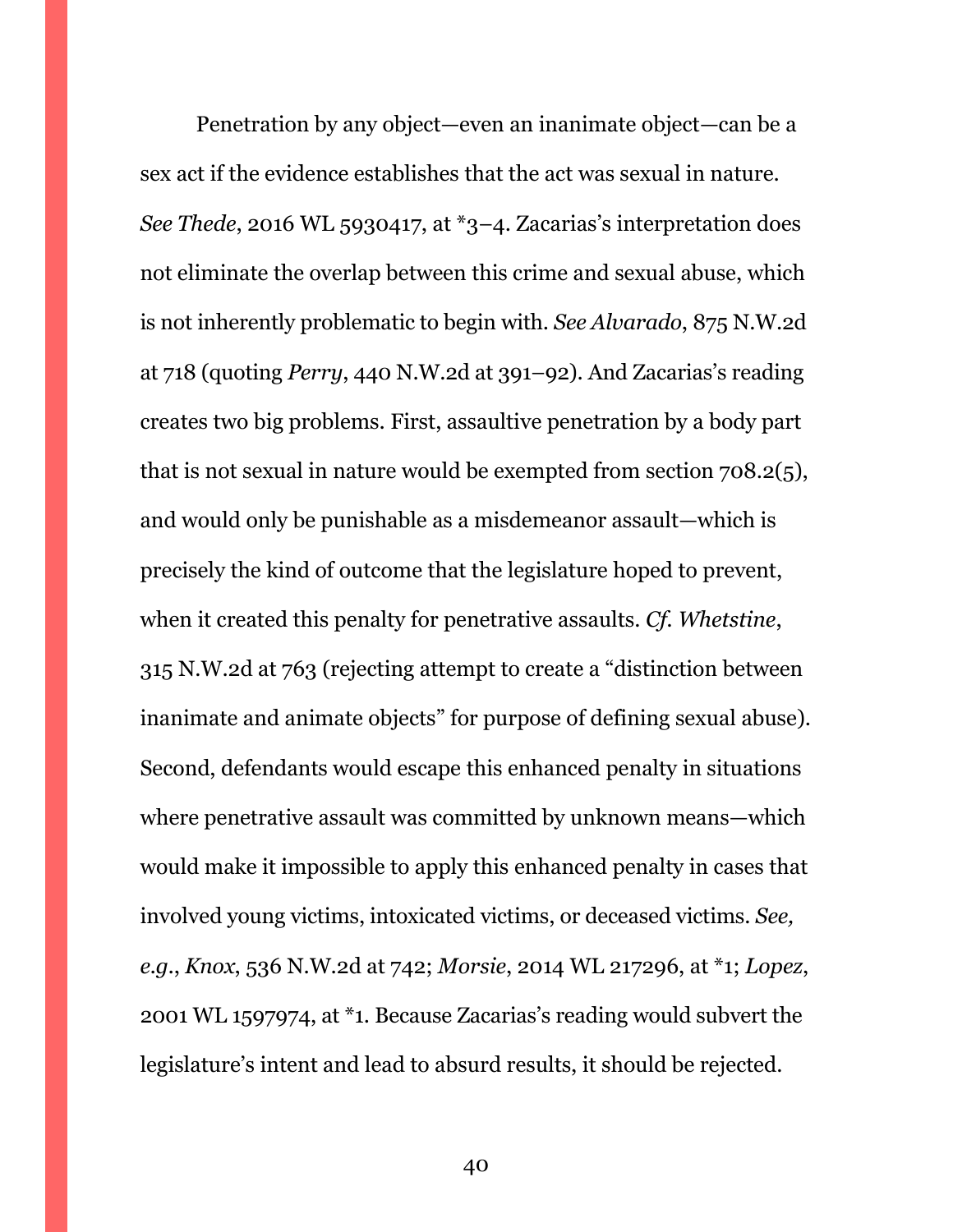Penetration by any object—even an inanimate object—can be a sex act if the evidence establishes that the act was sexual in nature. *See Thede*, 2016 WL 5930417, at \*3–4. Zacarias's interpretation does not eliminate the overlap between this crime and sexual abuse, which is not inherently problematic to begin with. *See Alvarado*, 875 N.W.2d at 718 (quoting *Perry*, 440 N.W.2d at 391–92). And Zacarias's reading creates two big problems. First, assaultive penetration by a body part that is not sexual in nature would be exempted from section 708.2(5), and would only be punishable as a misdemeanor assault—which is precisely the kind of outcome that the legislature hoped to prevent, when it created this penalty for penetrative assaults. *Cf. Whetstine*, 315 N.W.2d at 763 (rejecting attempt to create a "distinction between inanimate and animate objects" for purpose of defining sexual abuse). Second, defendants would escape this enhanced penalty in situations where penetrative assault was committed by unknown means—which would make it impossible to apply this enhanced penalty in cases that involved young victims, intoxicated victims, or deceased victims. *See, e.g.*, *Knox*, 536 N.W.2d at 742; *Morsie*, 2014 WL 217296, at \*1; *Lopez*, 2001 WL 1597974, at \*1. Because Zacarias's reading would subvert the legislature's intent and lead to absurd results, it should be rejected.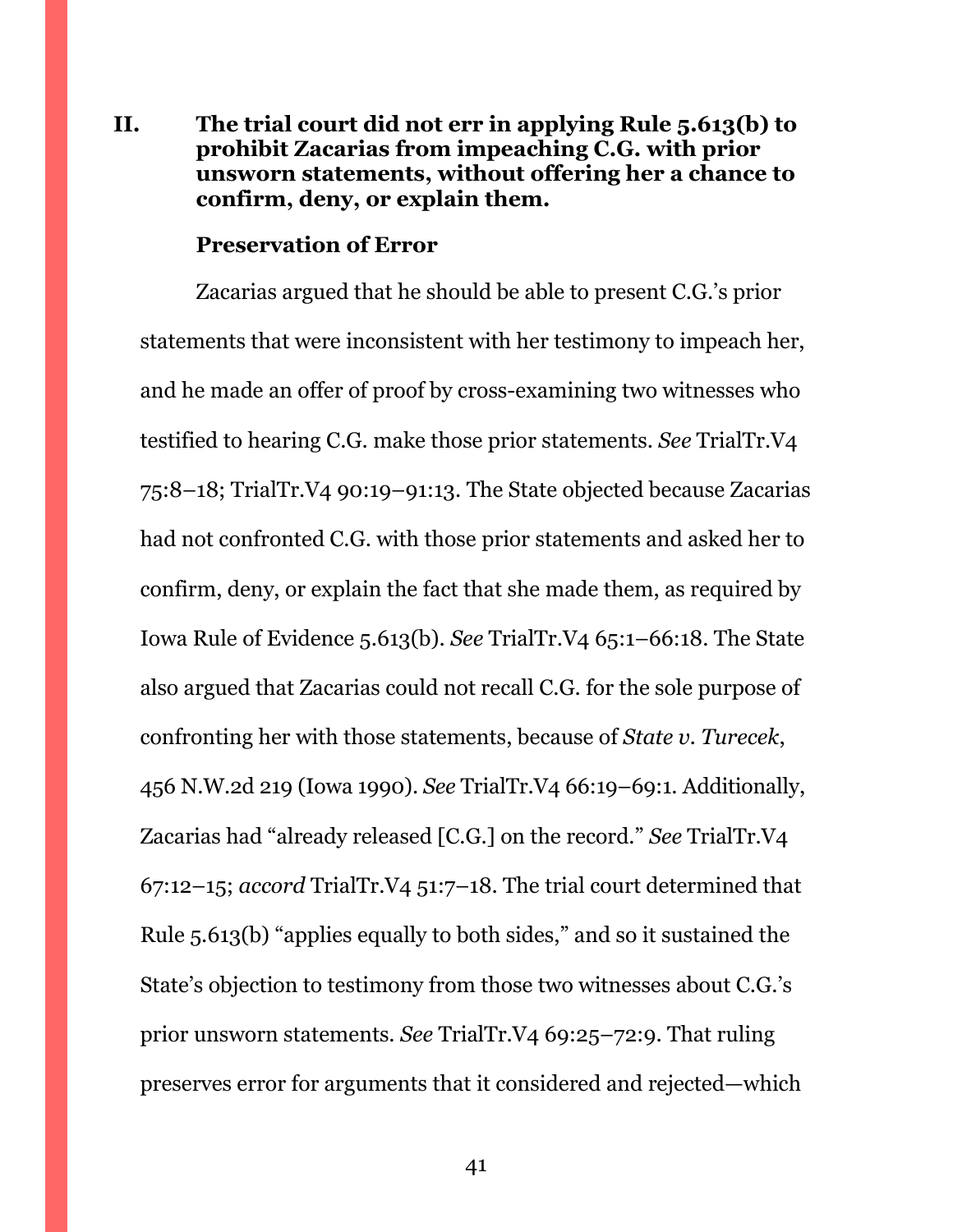# <span id="page-40-0"></span>**II. The trial court did not err in applying Rule 5.613(b) to prohibit Zacarias from impeaching C.G. with prior unsworn statements, without offering her a chance to confirm, deny, or explain them.**

#### **Preservation of Error**

Zacarias argued that he should be able to present C.G.'s prior statements that were inconsistent with her testimony to impeach her, and he made an offer of proof by cross-examining two witnesses who testified to hearing C.G. make those prior statements. *See* TrialTr.V4 75:8–18; TrialTr.V4 90:19–91:13. The State objected because Zacarias had not confronted C.G. with those prior statements and asked her to confirm, deny, or explain the fact that she made them, as required by Iowa Rule of Evidence 5.613(b). *See* TrialTr.V4 65:1–66:18. The State also argued that Zacarias could not recall C.G. for the sole purpose of confronting her with those statements, because of *State v. Turecek*, 456 N.W.2d 219 (Iowa 1990). *See* TrialTr.V4 66:19–69:1. Additionally, Zacarias had "already released [C.G.] on the record." *See* TrialTr.V4 67:12–15; *accord* TrialTr.V4 51:7–18. The trial court determined that Rule 5.613(b) "applies equally to both sides," and so it sustained the State's objection to testimony from those two witnesses about C.G.'s prior unsworn statements. *See* TrialTr.V4 69:25–72:9. That ruling preserves error for arguments that it considered and rejected—which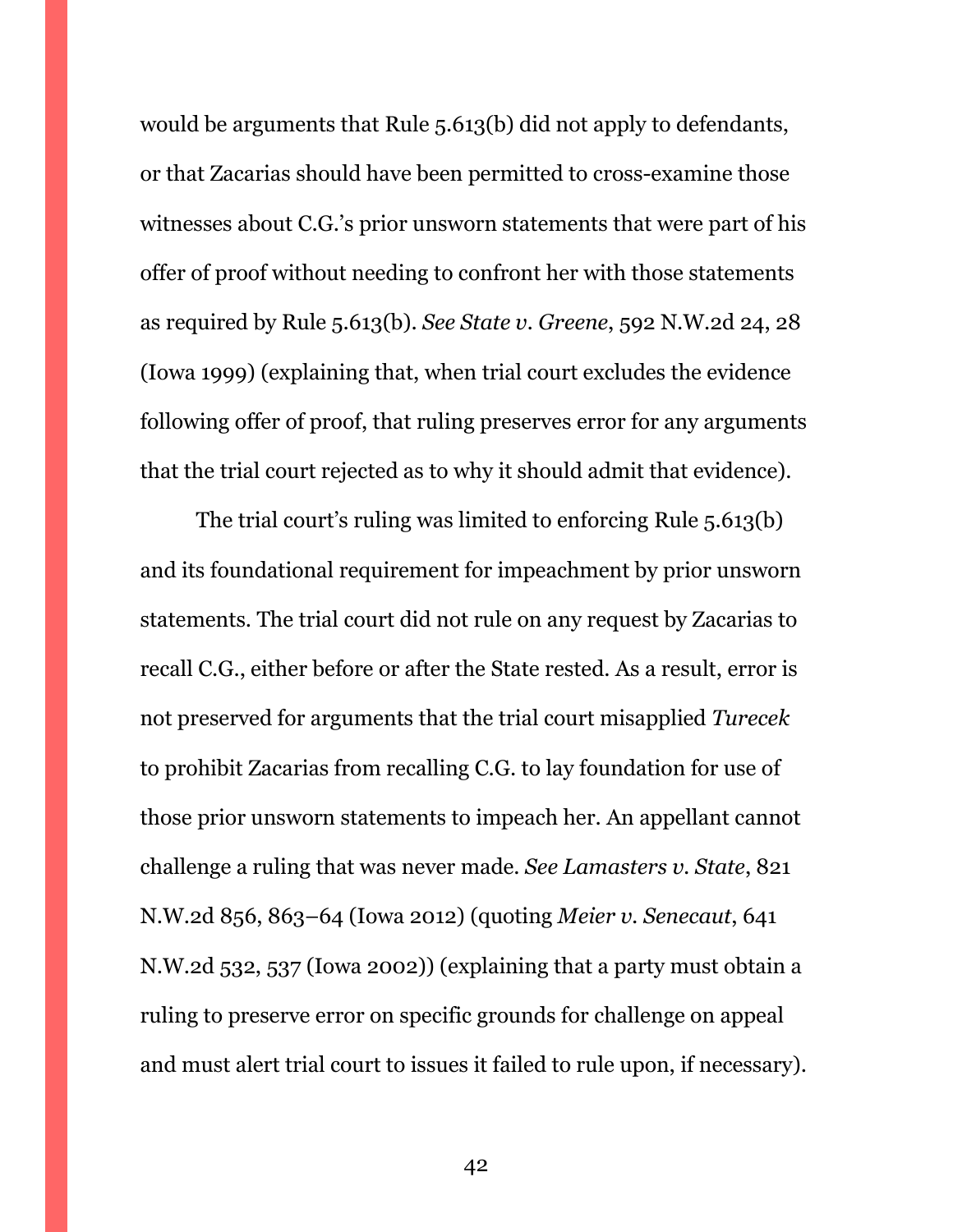would be arguments that Rule 5.613(b) did not apply to defendants, or that Zacarias should have been permitted to cross-examine those witnesses about C.G.'s prior unsworn statements that were part of his offer of proof without needing to confront her with those statements as required by Rule 5.613(b). *See State v. Greene*, 592 N.W.2d 24, 28 (Iowa 1999) (explaining that, when trial court excludes the evidence following offer of proof, that ruling preserves error for any arguments that the trial court rejected as to why it should admit that evidence).

The trial court's ruling was limited to enforcing Rule 5.613(b) and its foundational requirement for impeachment by prior unsworn statements. The trial court did not rule on any request by Zacarias to recall C.G., either before or after the State rested. As a result, error is not preserved for arguments that the trial court misapplied *Turecek* to prohibit Zacarias from recalling C.G. to lay foundation for use of those prior unsworn statements to impeach her. An appellant cannot challenge a ruling that was never made. *See Lamasters v. State*, 821 N.W.2d 856, 863–64 (Iowa 2012) (quoting *Meier v. Senecaut*, 641 N.W.2d 532, 537 (Iowa 2002)) (explaining that a party must obtain a ruling to preserve error on specific grounds for challenge on appeal and must alert trial court to issues it failed to rule upon, if necessary).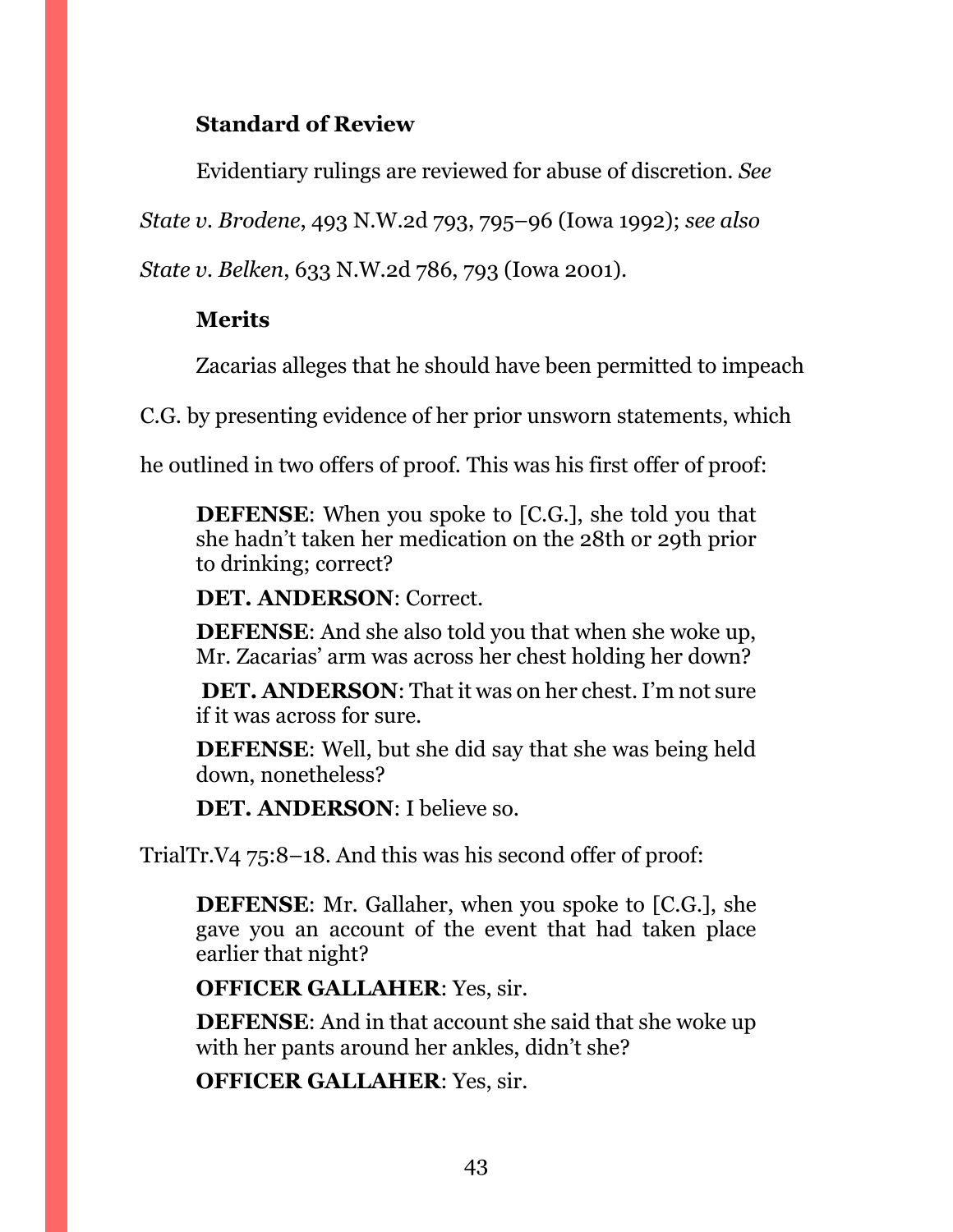# **Standard of Review**

Evidentiary rulings are reviewed for abuse of discretion. *See* 

*State v. Brodene*, 493 N.W.2d 793, 795–96 (Iowa 1992); *see also* 

*State v. Belken*, 633 N.W.2d 786, 793 (Iowa 2001).

# **Merits**

Zacarias alleges that he should have been permitted to impeach

C.G. by presenting evidence of her prior unsworn statements, which

he outlined in two offers of proof. This was his first offer of proof:

**DEFENSE**: When you spoke to [C.G.], she told you that she hadn't taken her medication on the 28th or 29th prior to drinking; correct?

**DET. ANDERSON**: Correct.

**DEFENSE**: And she also told you that when she woke up, Mr. Zacarias' arm was across her chest holding her down?

**DET. ANDERSON**: That it was on her chest. I'm not sure if it was across for sure.

**DEFENSE**: Well, but she did say that she was being held down, nonetheless?

**DET. ANDERSON**: I believe so.

TrialTr.V4 75:8–18. And this was his second offer of proof:

**DEFENSE**: Mr. Gallaher, when you spoke to [C.G.], she gave you an account of the event that had taken place earlier that night?

**OFFICER GALLAHER**: Yes, sir.

**DEFENSE**: And in that account she said that she woke up with her pants around her ankles, didn't she?

**OFFICER GALLAHER**: Yes, sir.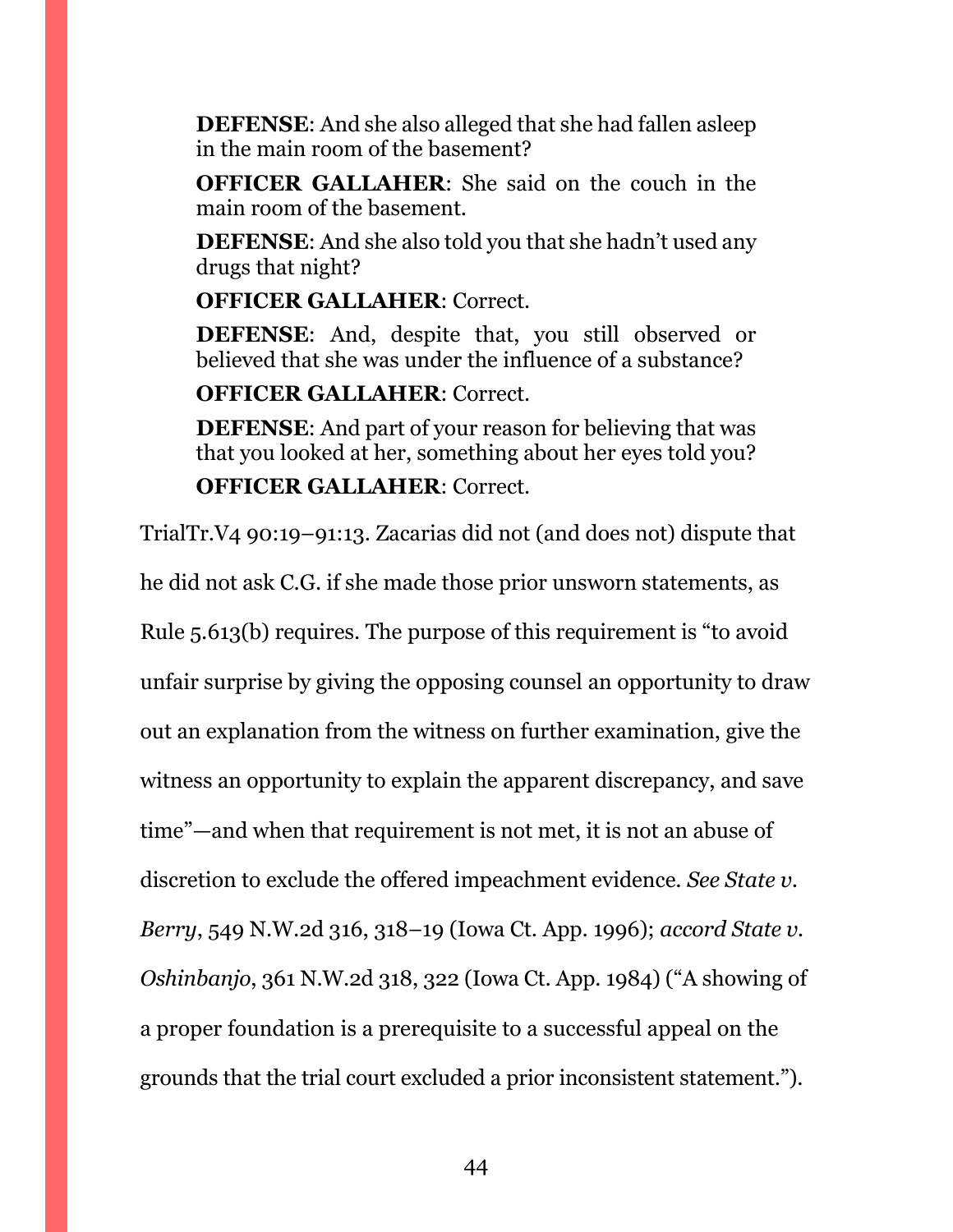**DEFENSE**: And she also alleged that she had fallen asleep in the main room of the basement?

**OFFICER GALLAHER**: She said on the couch in the main room of the basement.

**DEFENSE**: And she also told you that she hadn't used any drugs that night?

**OFFICER GALLAHER**: Correct.

**DEFENSE**: And, despite that, you still observed or believed that she was under the influence of a substance?

# **OFFICER GALLAHER**: Correct.

**DEFENSE**: And part of your reason for believing that was that you looked at her, something about her eyes told you?

# **OFFICER GALLAHER**: Correct.

TrialTr.V4 90:19–91:13. Zacarias did not (and does not) dispute that

he did not ask C.G. if she made those prior unsworn statements, as

Rule 5.613(b) requires. The purpose of this requirement is "to avoid

unfair surprise by giving the opposing counsel an opportunity to draw

out an explanation from the witness on further examination, give the

witness an opportunity to explain the apparent discrepancy, and save

time"—and when that requirement is not met, it is not an abuse of

discretion to exclude the offered impeachment evidence. *See State v.* 

*Berry*, 549 N.W.2d 316, 318–19 (Iowa Ct. App. 1996); *accord State v.* 

*Oshinbanjo*, 361 N.W.2d 318, 322 (Iowa Ct. App. 1984) ("A showing of

a proper foundation is a prerequisite to a successful appeal on the grounds that the trial court excluded a prior inconsistent statement.").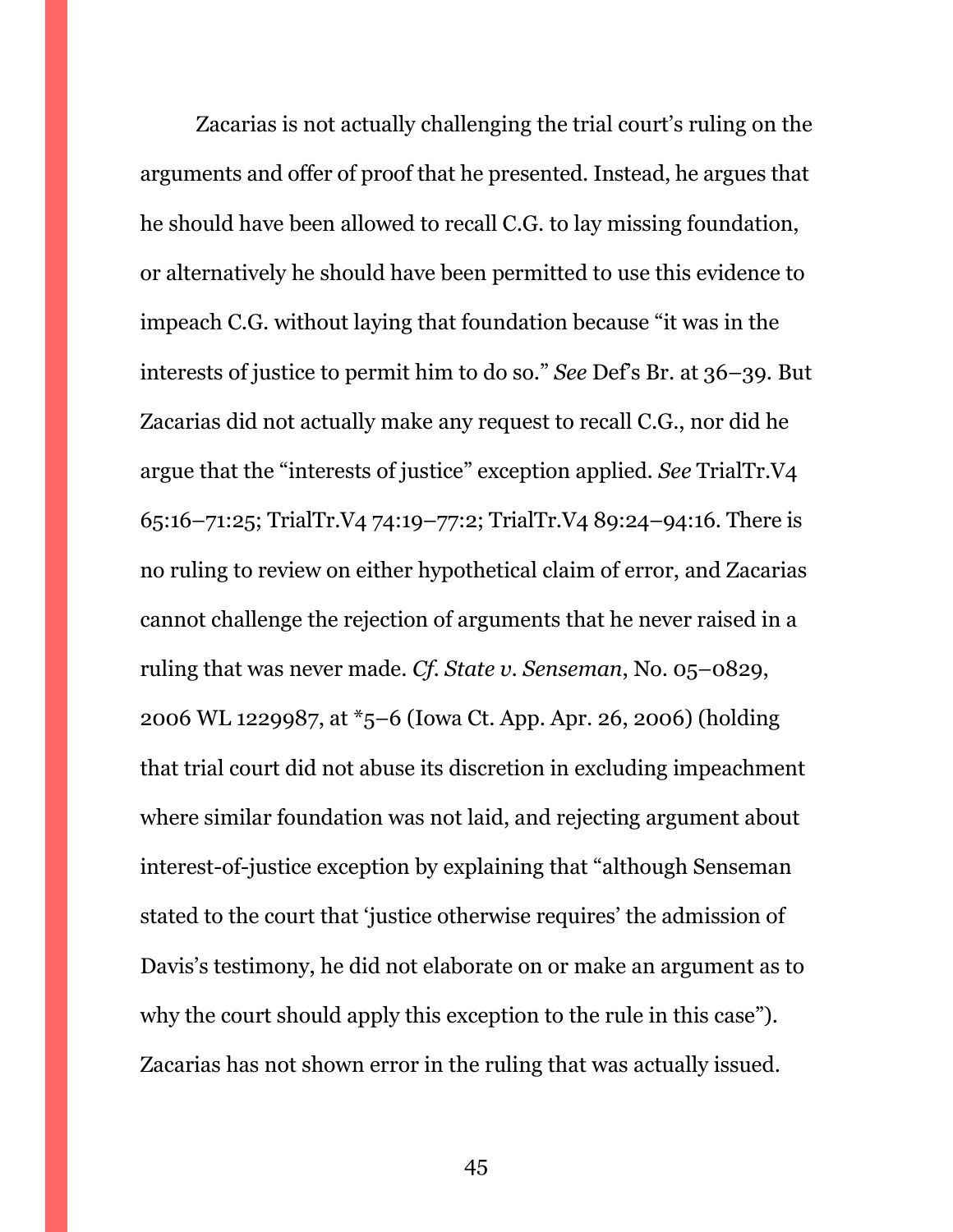Zacarias is not actually challenging the trial court's ruling on the arguments and offer of proof that he presented. Instead, he argues that he should have been allowed to recall C.G. to lay missing foundation, or alternatively he should have been permitted to use this evidence to impeach C.G. without laying that foundation because "it was in the interests of justice to permit him to do so." *See* Def's Br. at 36–39. But Zacarias did not actually make any request to recall C.G., nor did he argue that the "interests of justice" exception applied. *See* TrialTr.V4 65:16–71:25; TrialTr.V4 74:19–77:2; TrialTr.V4 89:24–94:16. There is no ruling to review on either hypothetical claim of error, and Zacarias cannot challenge the rejection of arguments that he never raised in a ruling that was never made. *Cf. State v. Senseman*, No. 05–0829, 2006 WL 1229987, at \*5–6 (Iowa Ct. App. Apr. 26, 2006) (holding that trial court did not abuse its discretion in excluding impeachment where similar foundation was not laid, and rejecting argument about interest-of-justice exception by explaining that "although Senseman stated to the court that 'justice otherwise requires' the admission of Davis's testimony, he did not elaborate on or make an argument as to why the court should apply this exception to the rule in this case"). Zacarias has not shown error in the ruling that was actually issued.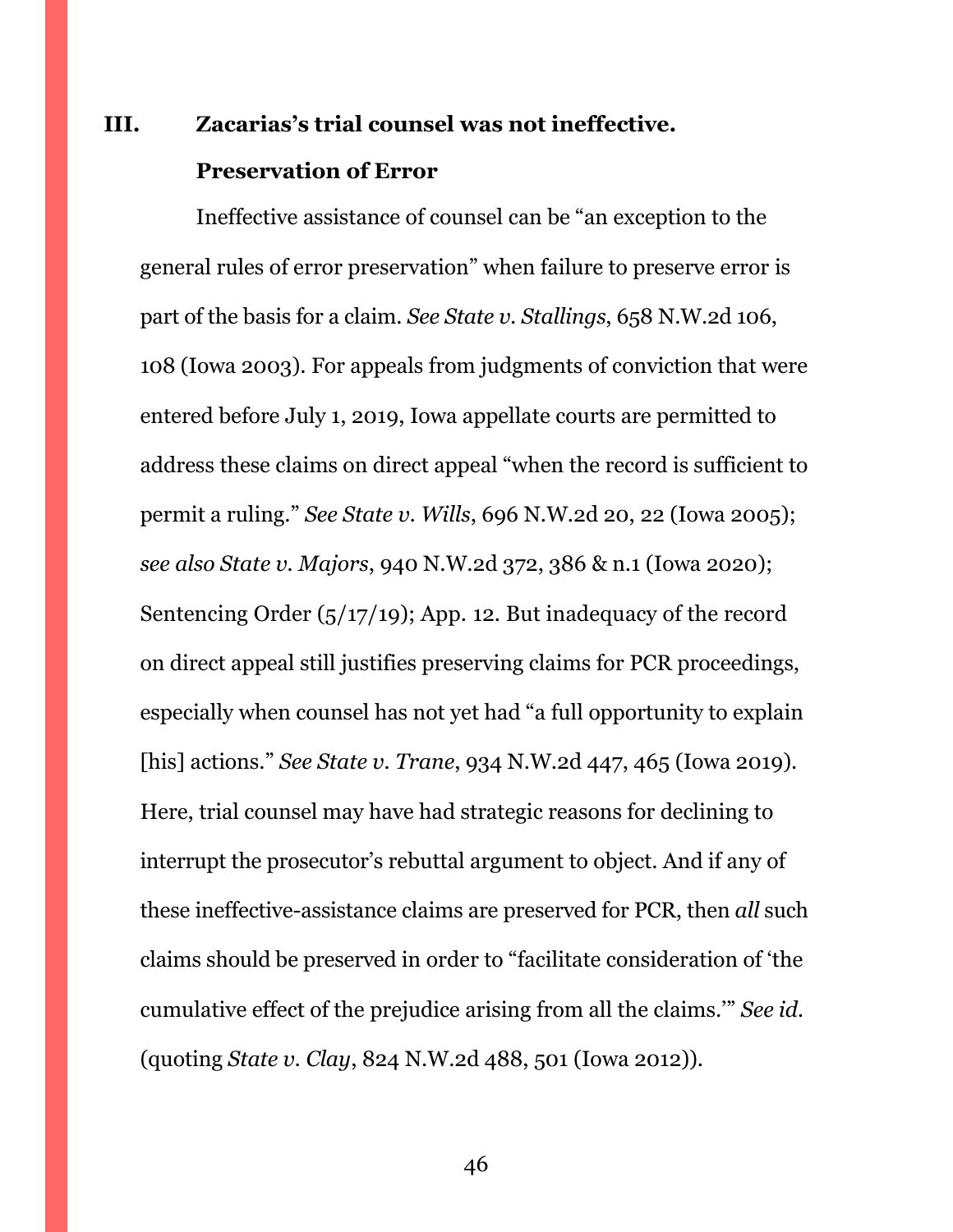# <span id="page-45-0"></span>**III. Zacarias's trial counsel was not ineffective. Preservation of Error**

Ineffective assistance of counsel can be "an exception to the general rules of error preservation" when failure to preserve error is part of the basis for a claim. *See State v. Stallings*, 658 N.W.2d 106, 108 (Iowa 2003). For appeals from judgments of conviction that were entered before July 1, 2019, Iowa appellate courts are permitted to address these claims on direct appeal "when the record is sufficient to permit a ruling." *See State v. Wills*, 696 N.W.2d 20, 22 (Iowa 2005); *see also State v. Majors*, 940 N.W.2d 372, 386 & n.1 (Iowa 2020); Sentencing Order (5/17/19); App. 12. But inadequacy of the record on direct appeal still justifies preserving claims for PCR proceedings, especially when counsel has not yet had "a full opportunity to explain [his] actions." *See State v. Trane*, 934 N.W.2d 447, 465 (Iowa 2019). Here, trial counsel may have had strategic reasons for declining to interrupt the prosecutor's rebuttal argument to object. And if any of these ineffective-assistance claims are preserved for PCR, then *all* such claims should be preserved in order to "facilitate consideration of 'the cumulative effect of the prejudice arising from all the claims.'" *See id.* (quoting *State v. Clay*, 824 N.W.2d 488, 501 (Iowa 2012)).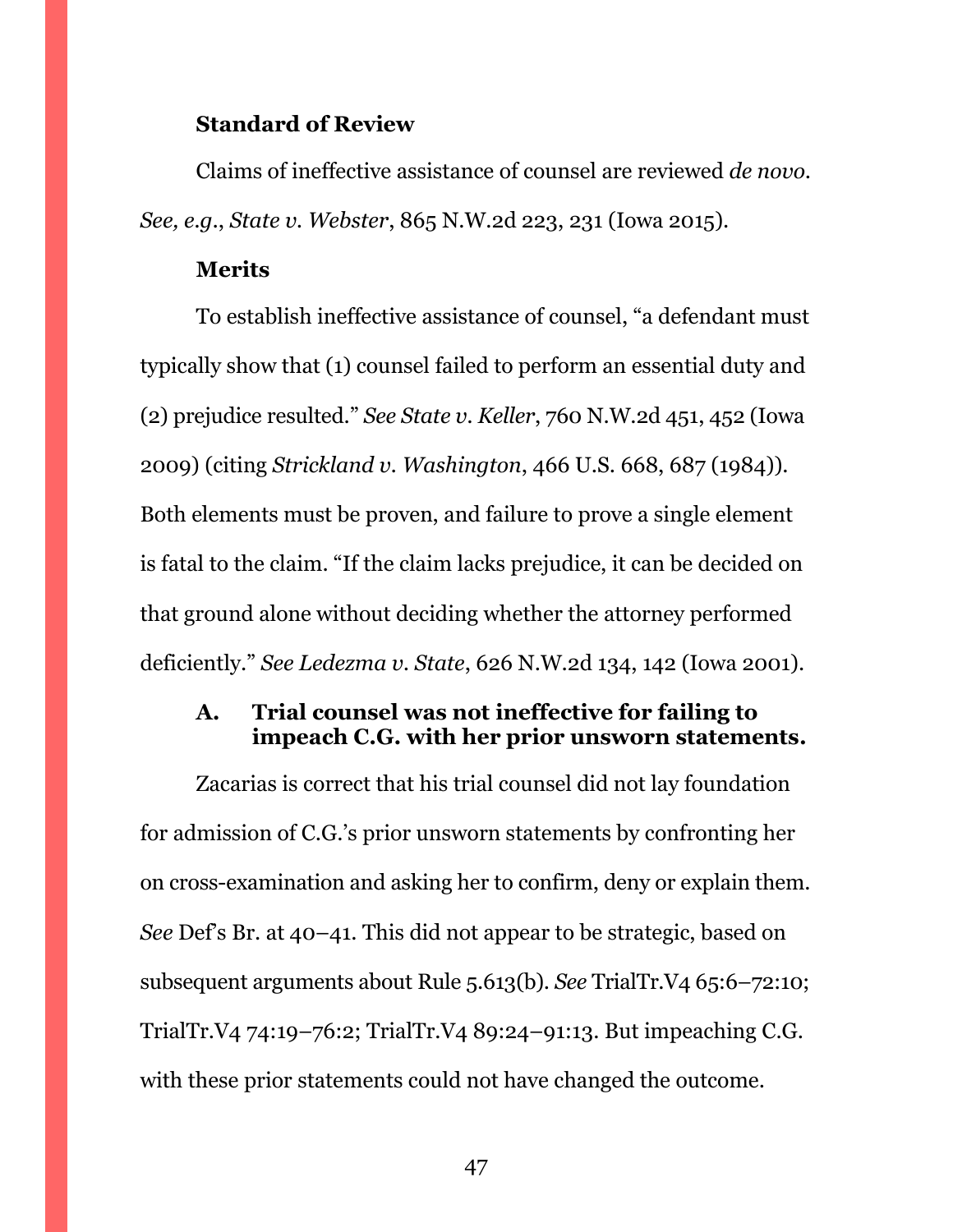#### **Standard of Review**

Claims of ineffective assistance of counsel are reviewed *de novo*. *See, e.g.*, *State v. Webster*, 865 N.W.2d 223, 231 (Iowa 2015).

#### **Merits**

To establish ineffective assistance of counsel, "a defendant must typically show that (1) counsel failed to perform an essential duty and (2) prejudice resulted." *See State v. Keller*, 760 N.W.2d 451, 452 (Iowa 2009) (citing *Strickland v. Washington*, 466 U.S. 668, 687 (1984)). Both elements must be proven, and failure to prove a single element is fatal to the claim. "If the claim lacks prejudice, it can be decided on that ground alone without deciding whether the attorney performed deficiently." *See Ledezma v. State*, 626 N.W.2d 134, 142 (Iowa 2001).

## <span id="page-46-0"></span>**A. Trial counsel was not ineffective for failing to impeach C.G. with her prior unsworn statements.**

Zacarias is correct that his trial counsel did not lay foundation for admission of C.G.'s prior unsworn statements by confronting her on cross-examination and asking her to confirm, deny or explain them. *See* Def's Br. at 40–41. This did not appear to be strategic, based on subsequent arguments about Rule 5.613(b). *See* TrialTr.V4 65:6–72:10; TrialTr.V4 74:19–76:2; TrialTr.V4 89:24–91:13. But impeaching C.G. with these prior statements could not have changed the outcome.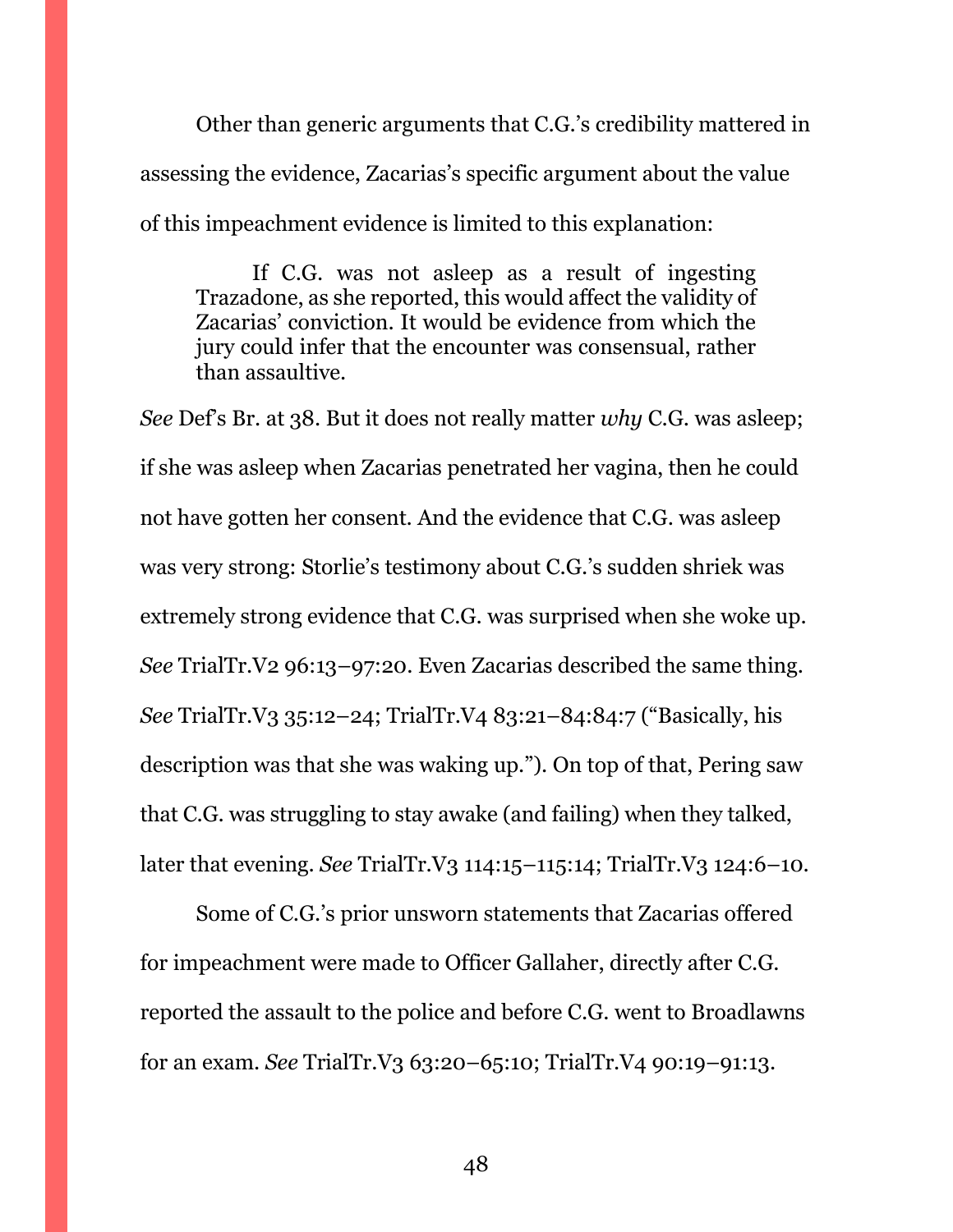Other than generic arguments that C.G.'s credibility mattered in assessing the evidence, Zacarias's specific argument about the value of this impeachment evidence is limited to this explanation:

If C.G. was not asleep as a result of ingesting Trazadone, as she reported, this would affect the validity of Zacarias' conviction. It would be evidence from which the jury could infer that the encounter was consensual, rather than assaultive.

*See* Def's Br. at 38. But it does not really matter *why* C.G. was asleep; if she was asleep when Zacarias penetrated her vagina, then he could not have gotten her consent. And the evidence that C.G. was asleep was very strong: Storlie's testimony about C.G.'s sudden shriek was extremely strong evidence that C.G. was surprised when she woke up. *See* TrialTr.V2 96:13–97:20. Even Zacarias described the same thing. *See* TrialTr.V3 35:12–24; TrialTr.V4 83:21–84:84:7 ("Basically, his description was that she was waking up."). On top of that, Pering saw that C.G. was struggling to stay awake (and failing) when they talked, later that evening. *See* TrialTr.V3 114:15–115:14; TrialTr.V3 124:6–10.

Some of C.G.'s prior unsworn statements that Zacarias offered for impeachment were made to Officer Gallaher, directly after C.G. reported the assault to the police and before C.G. went to Broadlawns for an exam. *See* TrialTr.V3 63:20–65:10; TrialTr.V4 90:19–91:13.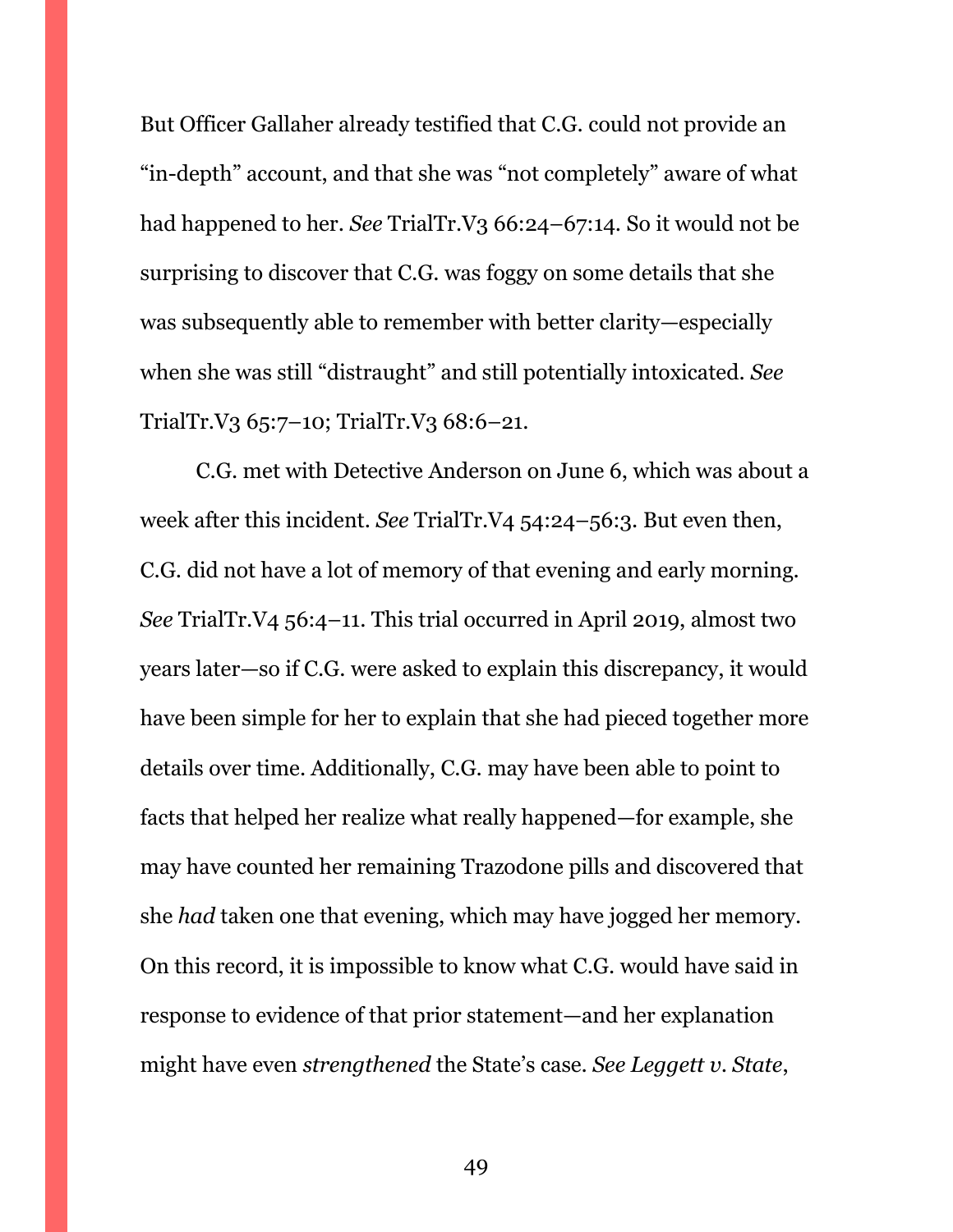But Officer Gallaher already testified that C.G. could not provide an "in-depth" account, and that she was "not completely" aware of what had happened to her. *See* TrialTr.V3 66:24–67:14. So it would not be surprising to discover that C.G. was foggy on some details that she was subsequently able to remember with better clarity—especially when she was still "distraught" and still potentially intoxicated. *See*  TrialTr.V3 65:7–10; TrialTr.V3 68:6–21.

C.G. met with Detective Anderson on June 6, which was about a week after this incident. *See* TrialTr.V4 54:24–56:3. But even then, C.G. did not have a lot of memory of that evening and early morning. *See* TrialTr.V4 56:4–11. This trial occurred in April 2019, almost two years later—so if C.G. were asked to explain this discrepancy, it would have been simple for her to explain that she had pieced together more details over time. Additionally, C.G. may have been able to point to facts that helped her realize what really happened—for example, she may have counted her remaining Trazodone pills and discovered that she *had* taken one that evening, which may have jogged her memory. On this record, it is impossible to know what C.G. would have said in response to evidence of that prior statement—and her explanation might have even *strengthened* the State's case. *See Leggett v. State*,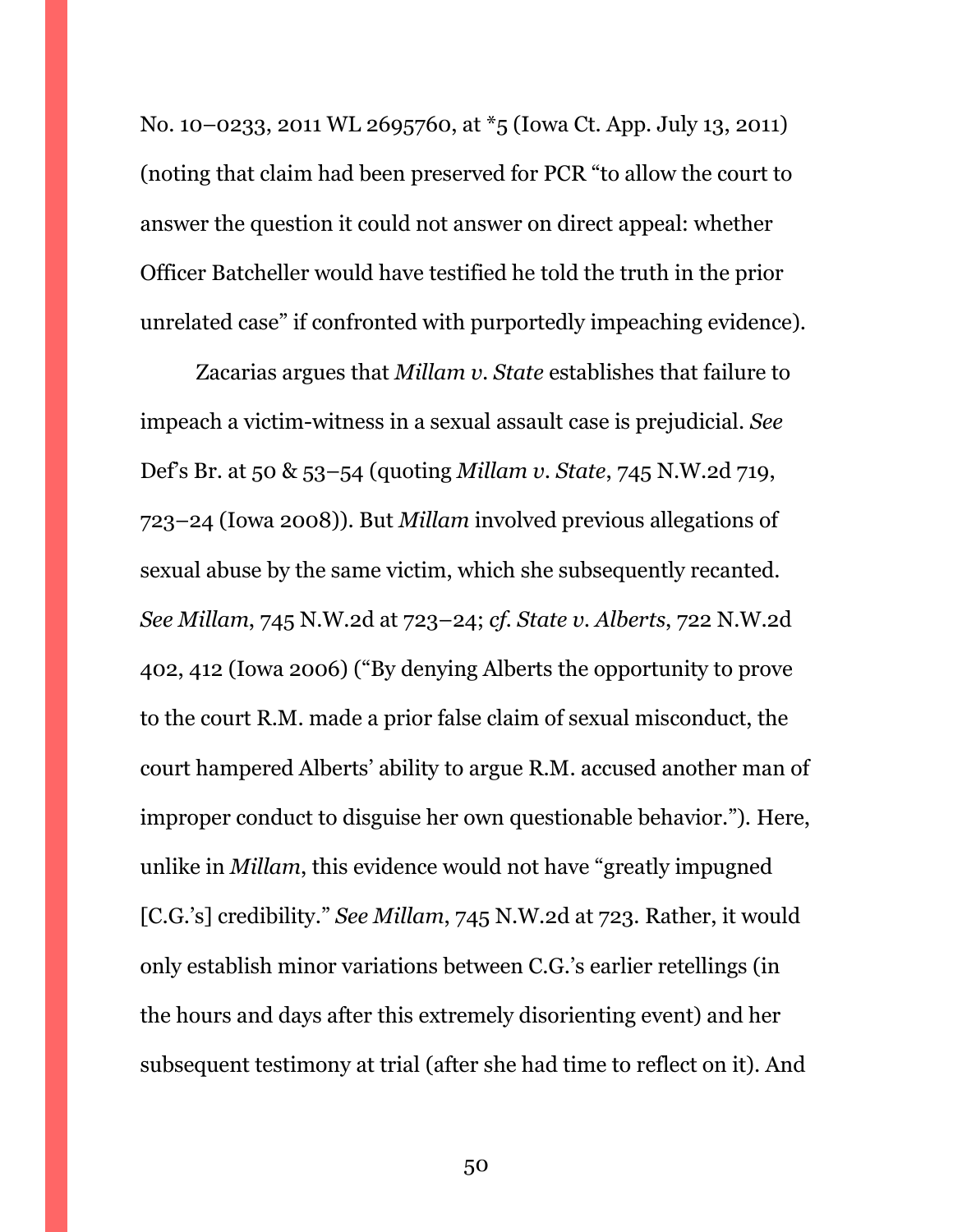No. 10–0233, 2011 WL 2695760, at \*5 (Iowa Ct. App. July 13, 2011) (noting that claim had been preserved for PCR "to allow the court to answer the question it could not answer on direct appeal: whether Officer Batcheller would have testified he told the truth in the prior unrelated case" if confronted with purportedly impeaching evidence).

Zacarias argues that *Millam v. State* establishes that failure to impeach a victim-witness in a sexual assault case is prejudicial. *See*  Def's Br. at 50 & 53–54 (quoting *Millam v. State*, 745 N.W.2d 719, 723–24 (Iowa 2008)). But *Millam* involved previous allegations of sexual abuse by the same victim, which she subsequently recanted. *See Millam*, 745 N.W.2d at 723–24; *cf. State v. Alberts*, 722 N.W.2d 402, 412 (Iowa 2006) ("By denying Alberts the opportunity to prove to the court R.M. made a prior false claim of sexual misconduct, the court hampered Alberts' ability to argue R.M. accused another man of improper conduct to disguise her own questionable behavior."). Here, unlike in *Millam*, this evidence would not have "greatly impugned [C.G.'s] credibility." *See Millam*, 745 N.W.2d at 723. Rather, it would only establish minor variations between C.G.'s earlier retellings (in the hours and days after this extremely disorienting event) and her subsequent testimony at trial (after she had time to reflect on it). And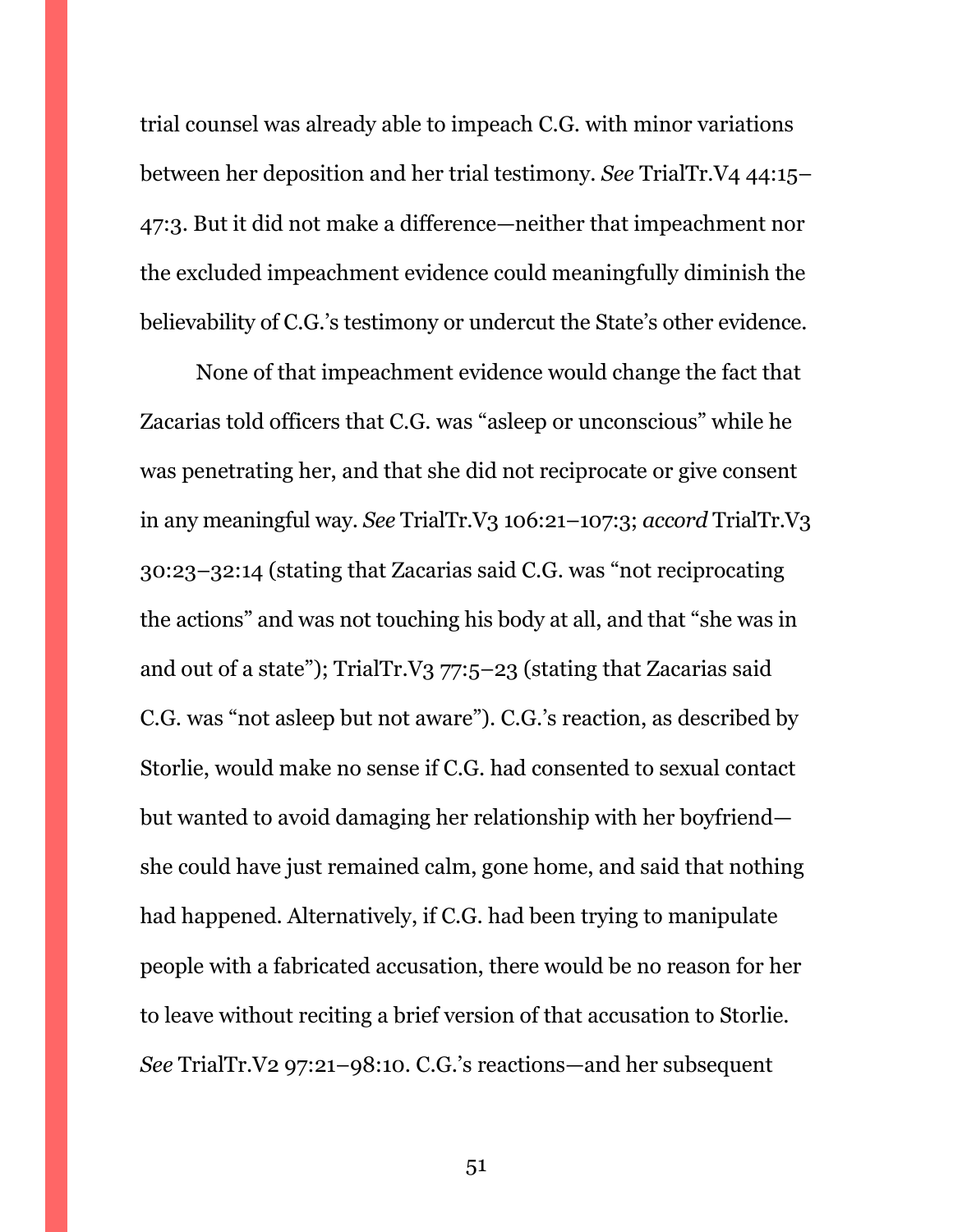trial counsel was already able to impeach C.G. with minor variations between her deposition and her trial testimony. *See* TrialTr.V4 44:15– 47:3. But it did not make a difference—neither that impeachment nor the excluded impeachment evidence could meaningfully diminish the believability of C.G.'s testimony or undercut the State's other evidence.

None of that impeachment evidence would change the fact that Zacarias told officers that C.G. was "asleep or unconscious" while he was penetrating her, and that she did not reciprocate or give consent in any meaningful way. *See* TrialTr.V3 106:21–107:3; *accord* TrialTr.V3 30:23–32:14 (stating that Zacarias said C.G. was "not reciprocating the actions" and was not touching his body at all, and that "she was in and out of a state"); TrialTr.V3 77:5–23 (stating that Zacarias said C.G. was "not asleep but not aware"). C.G.'s reaction, as described by Storlie, would make no sense if C.G. had consented to sexual contact but wanted to avoid damaging her relationship with her boyfriend she could have just remained calm, gone home, and said that nothing had happened. Alternatively, if C.G. had been trying to manipulate people with a fabricated accusation, there would be no reason for her to leave without reciting a brief version of that accusation to Storlie. *See* TrialTr.V2 97:21–98:10. C.G.'s reactions—and her subsequent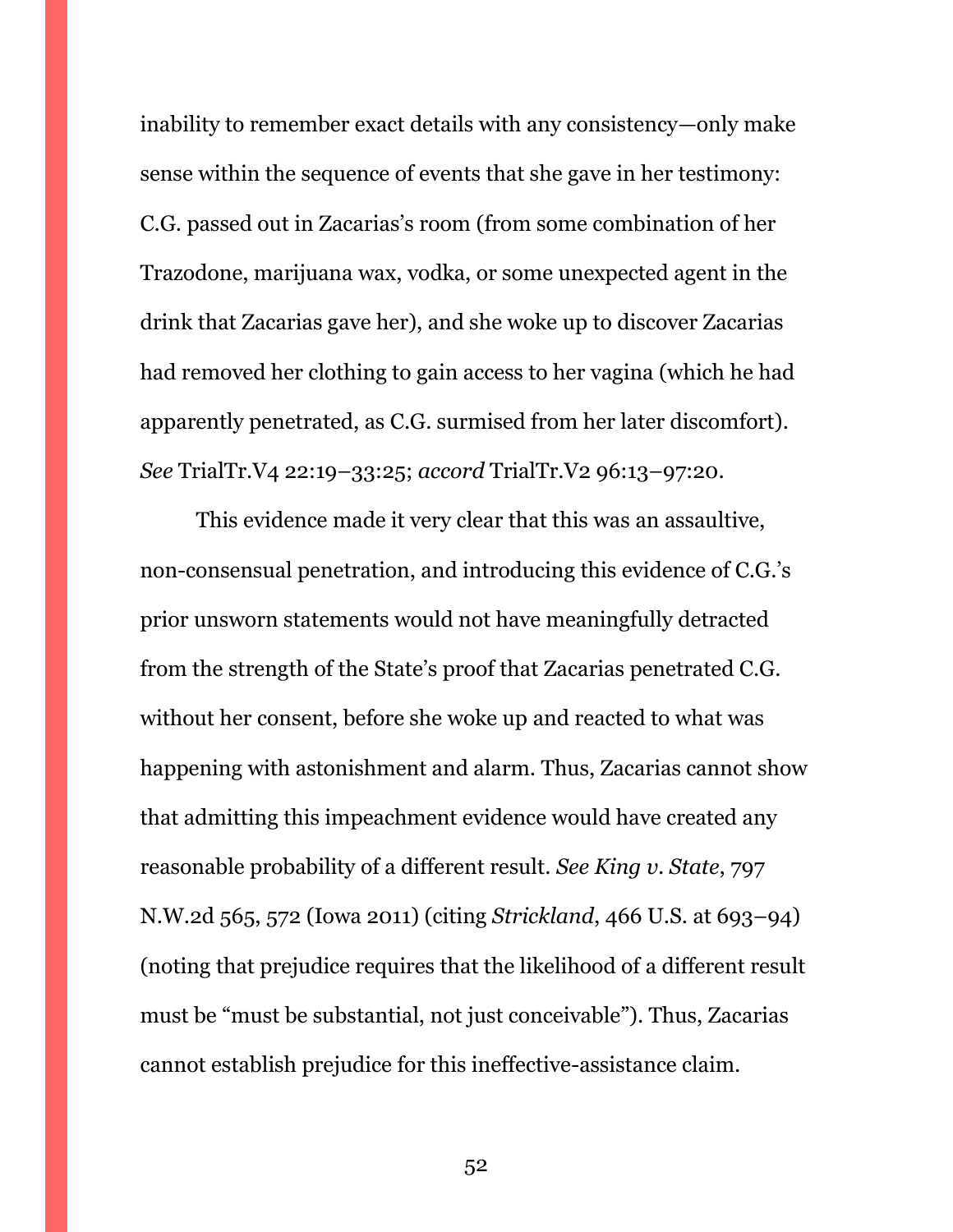inability to remember exact details with any consistency—only make sense within the sequence of events that she gave in her testimony: C.G. passed out in Zacarias's room (from some combination of her Trazodone, marijuana wax, vodka, or some unexpected agent in the drink that Zacarias gave her), and she woke up to discover Zacarias had removed her clothing to gain access to her vagina (which he had apparently penetrated, as C.G. surmised from her later discomfort). *See* TrialTr.V4 22:19–33:25; *accord* TrialTr.V2 96:13–97:20.

This evidence made it very clear that this was an assaultive, non-consensual penetration, and introducing this evidence of C.G.'s prior unsworn statements would not have meaningfully detracted from the strength of the State's proof that Zacarias penetrated C.G. without her consent, before she woke up and reacted to what was happening with astonishment and alarm. Thus, Zacarias cannot show that admitting this impeachment evidence would have created any reasonable probability of a different result. *See King v. State*, 797 N.W.2d 565, 572 (Iowa 2011) (citing *Strickland*, 466 U.S. at 693–94) (noting that prejudice requires that the likelihood of a different result must be "must be substantial, not just conceivable"). Thus, Zacarias cannot establish prejudice for this ineffective-assistance claim.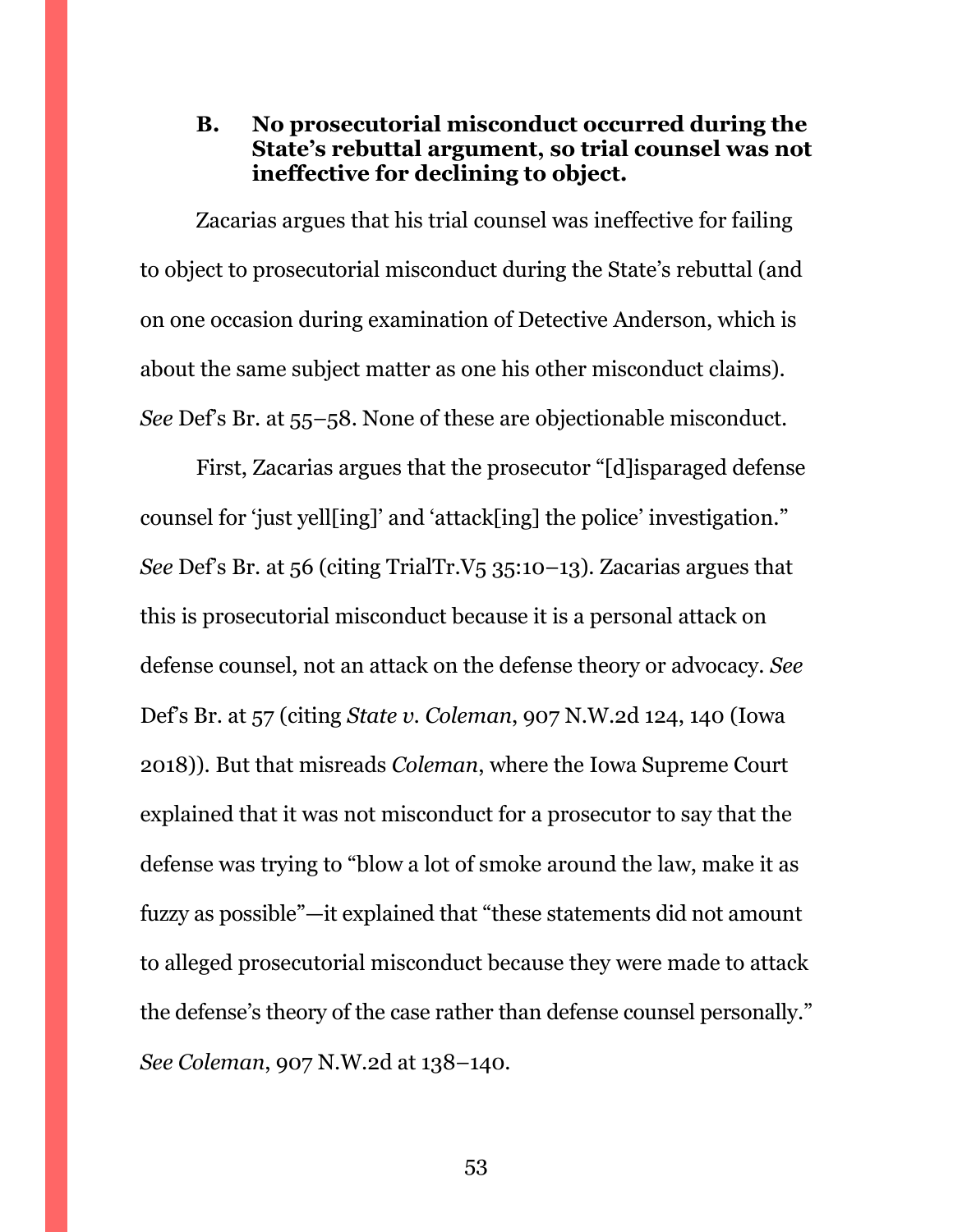<span id="page-52-0"></span>**B. No prosecutorial misconduct occurred during the State's rebuttal argument, so trial counsel was not ineffective for declining to object.**

Zacarias argues that his trial counsel was ineffective for failing to object to prosecutorial misconduct during the State's rebuttal (and on one occasion during examination of Detective Anderson, which is about the same subject matter as one his other misconduct claims). *See* Def's Br. at 55–58. None of these are objectionable misconduct.

First, Zacarias argues that the prosecutor "[d]isparaged defense counsel for 'just yell[ing]' and 'attack[ing] the police' investigation." *See* Def's Br. at 56 (citing TrialTr.V5 35:10–13). Zacarias argues that this is prosecutorial misconduct because it is a personal attack on defense counsel, not an attack on the defense theory or advocacy. *See*  Def's Br. at 57 (citing *State v. Coleman*, 907 N.W.2d 124, 140 (Iowa 2018)). But that misreads *Coleman*, where the Iowa Supreme Court explained that it was not misconduct for a prosecutor to say that the defense was trying to "blow a lot of smoke around the law, make it as fuzzy as possible"—it explained that "these statements did not amount to alleged prosecutorial misconduct because they were made to attack the defense's theory of the case rather than defense counsel personally." *See Coleman*, 907 N.W.2d at 138–140.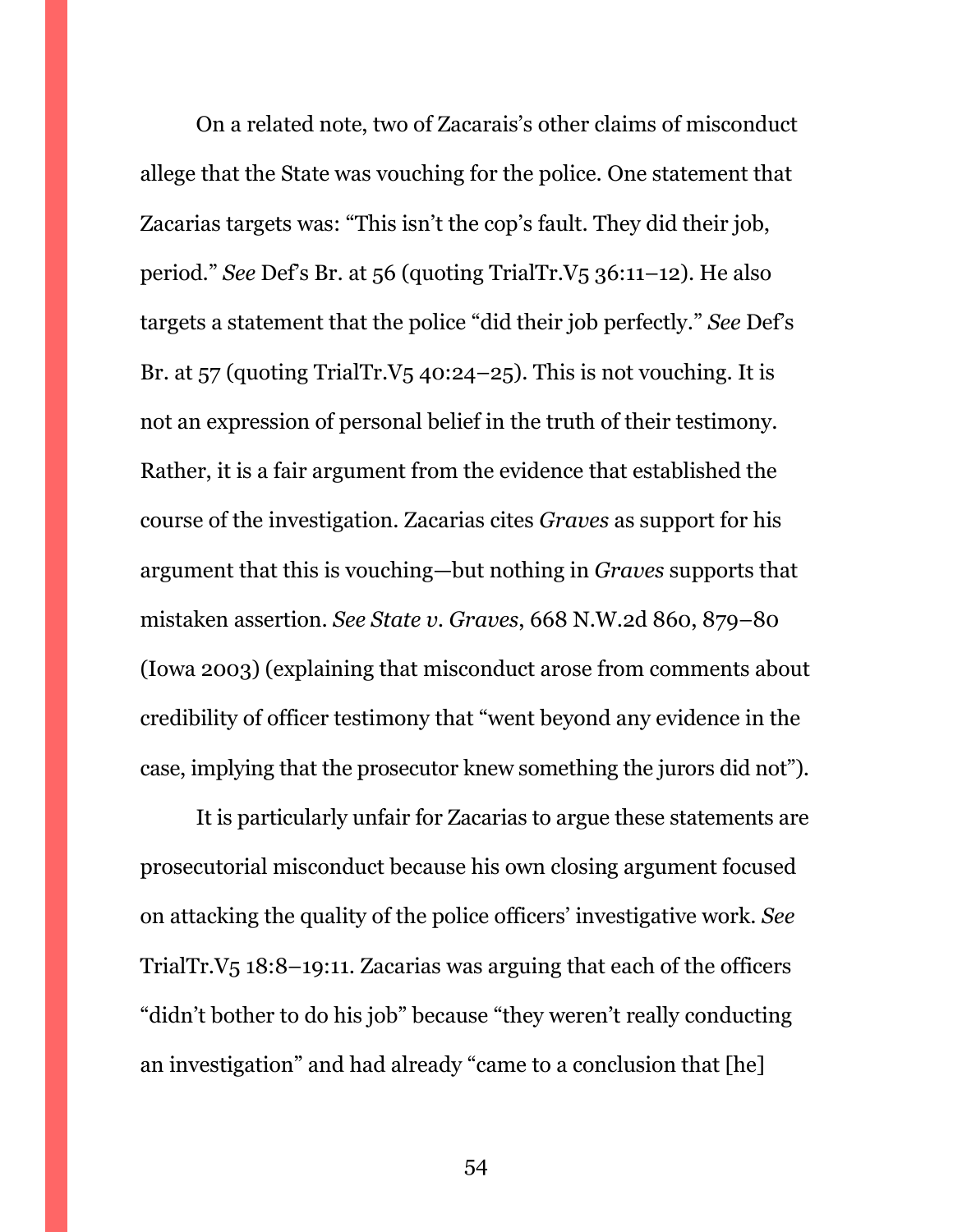On a related note, two of Zacarais's other claims of misconduct allege that the State was vouching for the police. One statement that Zacarias targets was: "This isn't the cop's fault. They did their job, period." *See* Def's Br. at 56 (quoting TrialTr.V5 36:11–12). He also targets a statement that the police "did their job perfectly." *See* Def's Br. at  $57$  (quoting TrialTr.V $5$  40:24–25). This is not vouching. It is not an expression of personal belief in the truth of their testimony. Rather, it is a fair argument from the evidence that established the course of the investigation. Zacarias cites *Graves* as support for his argument that this is vouching—but nothing in *Graves* supports that mistaken assertion. *See State v. Graves*, 668 N.W.2d 860, 879–80 (Iowa 2003) (explaining that misconduct arose from comments about credibility of officer testimony that "went beyond any evidence in the case, implying that the prosecutor knew something the jurors did not").

It is particularly unfair for Zacarias to argue these statements are prosecutorial misconduct because his own closing argument focused on attacking the quality of the police officers' investigative work. *See*  TrialTr.V5 18:8–19:11. Zacarias was arguing that each of the officers "didn't bother to do his job" because "they weren't really conducting an investigation" and had already "came to a conclusion that [he]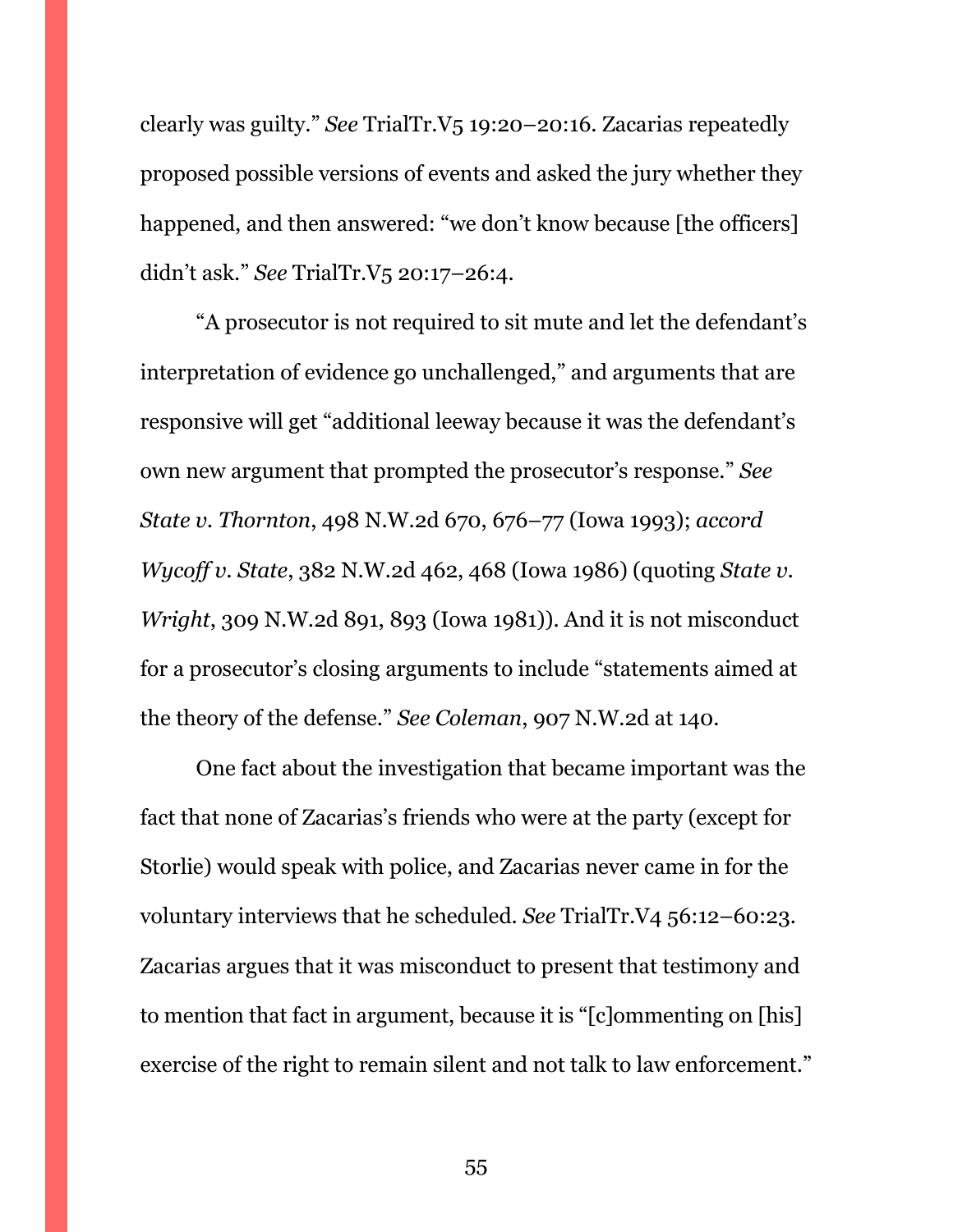clearly was guilty." *See* TrialTr.V5 19:20–20:16. Zacarias repeatedly proposed possible versions of events and asked the jury whether they happened, and then answered: "we don't know because [the officers] didn't ask." *See* TrialTr.V5 20:17–26:4.

"A prosecutor is not required to sit mute and let the defendant's interpretation of evidence go unchallenged," and arguments that are responsive will get "additional leeway because it was the defendant's own new argument that prompted the prosecutor's response." *See State v. Thornton*, 498 N.W.2d 670, 676–77 (Iowa 1993); *accord Wycoff v. State*, 382 N.W.2d 462, 468 (Iowa 1986) (quoting *State v. Wright*, 309 N.W.2d 891, 893 (Iowa 1981)). And it is not misconduct for a prosecutor's closing arguments to include "statements aimed at the theory of the defense." *See Coleman*, 907 N.W.2d at 140.

One fact about the investigation that became important was the fact that none of Zacarias's friends who were at the party (except for Storlie) would speak with police, and Zacarias never came in for the voluntary interviews that he scheduled. *See* TrialTr.V4 56:12–60:23. Zacarias argues that it was misconduct to present that testimony and to mention that fact in argument, because it is "[c]ommenting on [his] exercise of the right to remain silent and not talk to law enforcement."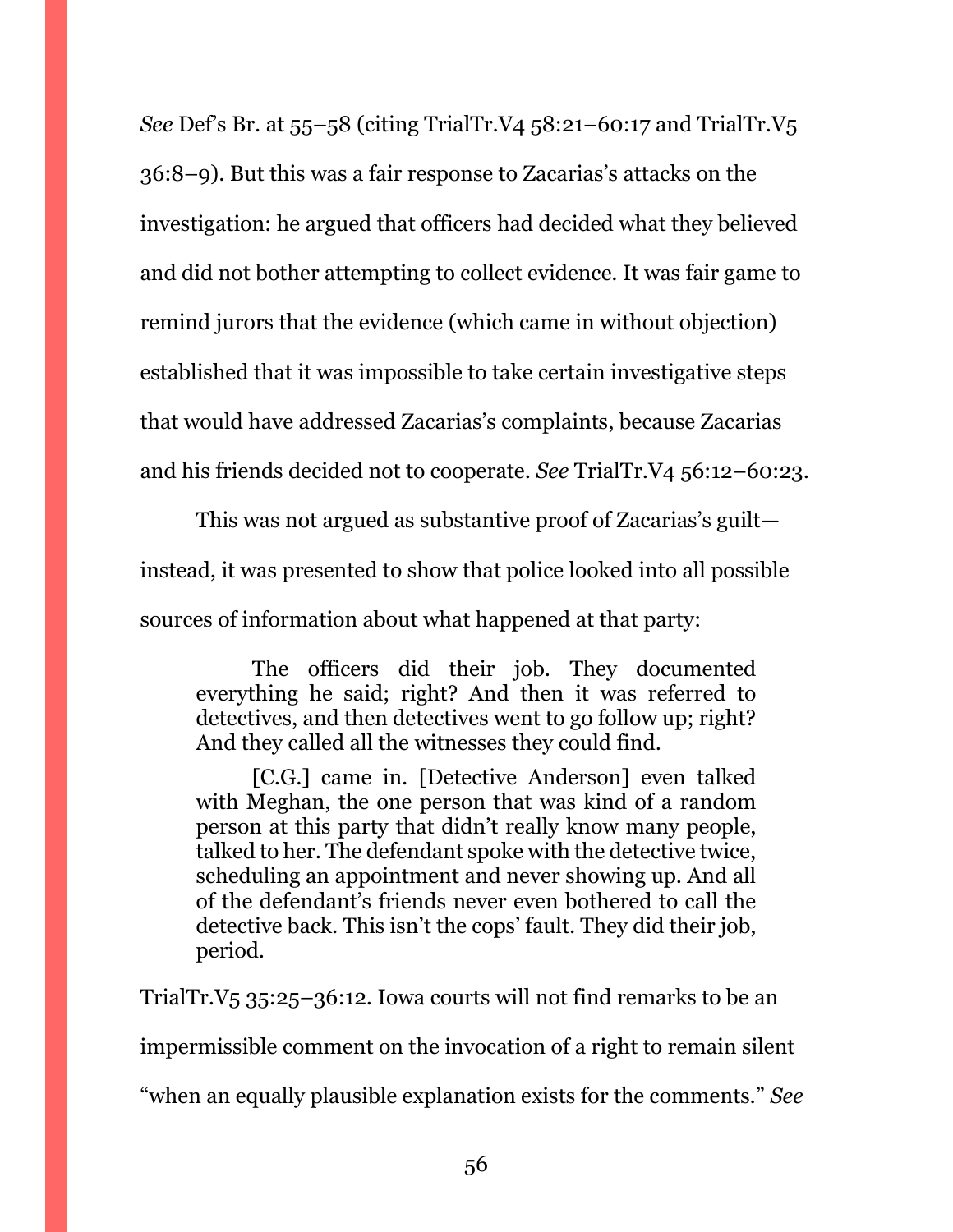*See* Def's Br. at 55–58 (citing TrialTr.V4 58:21–60:17 and TrialTr.V5 36:8–9). But this was a fair response to Zacarias's attacks on the investigation: he argued that officers had decided what they believed and did not bother attempting to collect evidence. It was fair game to remind jurors that the evidence (which came in without objection) established that it was impossible to take certain investigative steps that would have addressed Zacarias's complaints, because Zacarias and his friends decided not to cooperate. *See* TrialTr.V4 56:12–60:23.

This was not argued as substantive proof of Zacarias's guilt instead, it was presented to show that police looked into all possible sources of information about what happened at that party:

The officers did their job. They documented everything he said; right? And then it was referred to detectives, and then detectives went to go follow up; right? And they called all the witnesses they could find.

[C.G.] came in. [Detective Anderson] even talked with Meghan, the one person that was kind of a random person at this party that didn't really know many people, talked to her. The defendant spoke with the detective twice, scheduling an appointment and never showing up. And all of the defendant's friends never even bothered to call the detective back. This isn't the cops' fault. They did their job, period.

TrialTr.V5 35:25–36:12. Iowa courts will not find remarks to be an impermissible comment on the invocation of a right to remain silent "when an equally plausible explanation exists for the comments." *See*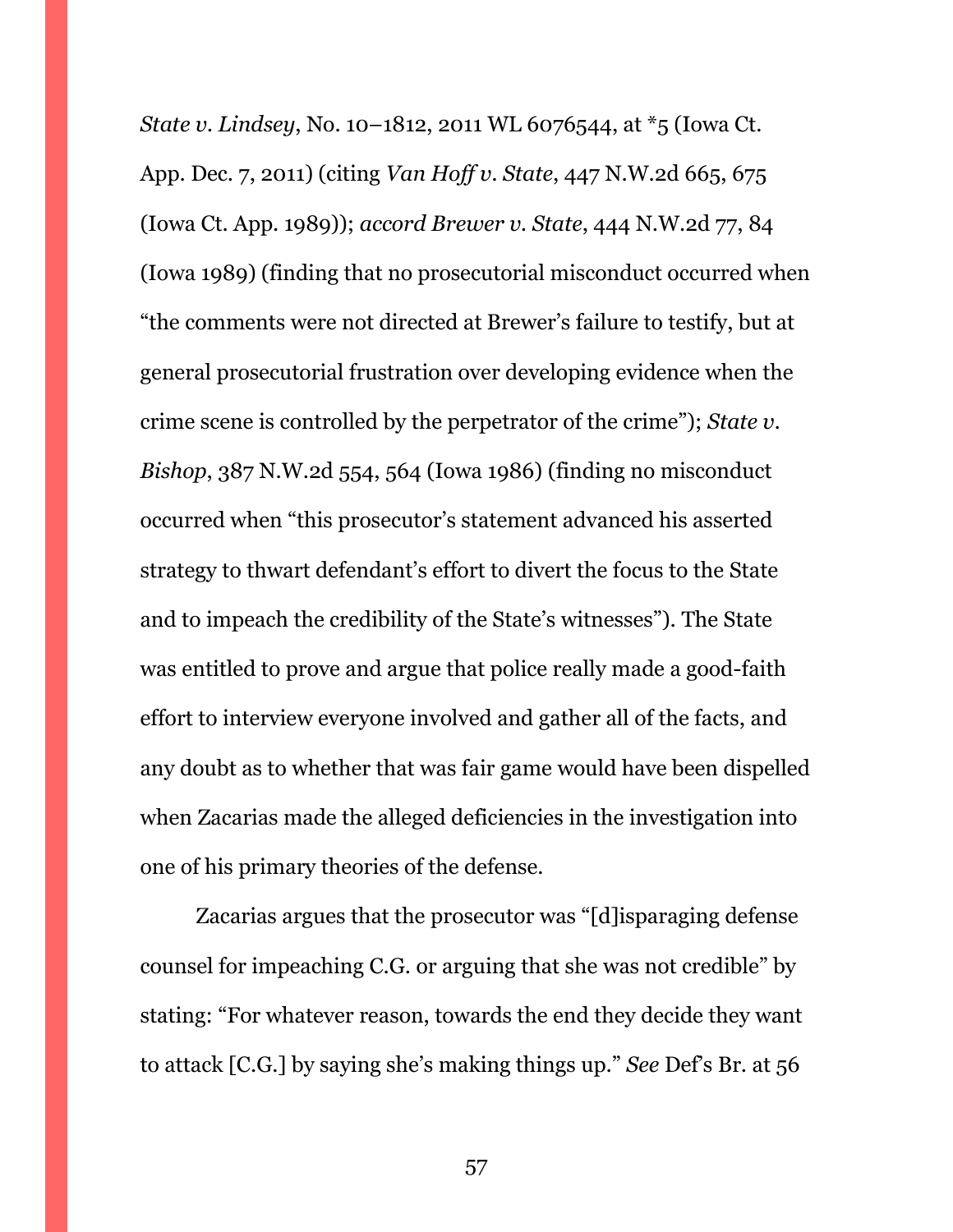*State v. Lindsey*, No. 10–1812, 2011 WL 6076544, at \*5 (Iowa Ct. App. Dec. 7, 2011) (citing *Van Hoff v. State*, 447 N.W.2d 665, 675 (Iowa Ct. App. 1989)); *accord Brewer v. State*, 444 N.W.2d 77, 84 (Iowa 1989) (finding that no prosecutorial misconduct occurred when "the comments were not directed at Brewer's failure to testify, but at general prosecutorial frustration over developing evidence when the crime scene is controlled by the perpetrator of the crime"); *State v. Bishop*, 387 N.W.2d 554, 564 (Iowa 1986) (finding no misconduct occurred when "this prosecutor's statement advanced his asserted strategy to thwart defendant's effort to divert the focus to the State and to impeach the credibility of the State's witnesses"). The State was entitled to prove and argue that police really made a good-faith effort to interview everyone involved and gather all of the facts, and any doubt as to whether that was fair game would have been dispelled when Zacarias made the alleged deficiencies in the investigation into one of his primary theories of the defense.

Zacarias argues that the prosecutor was "[d]isparaging defense counsel for impeaching C.G. or arguing that she was not credible" by stating: "For whatever reason, towards the end they decide they want to attack [C.G.] by saying she's making things up." *See* Def's Br. at 56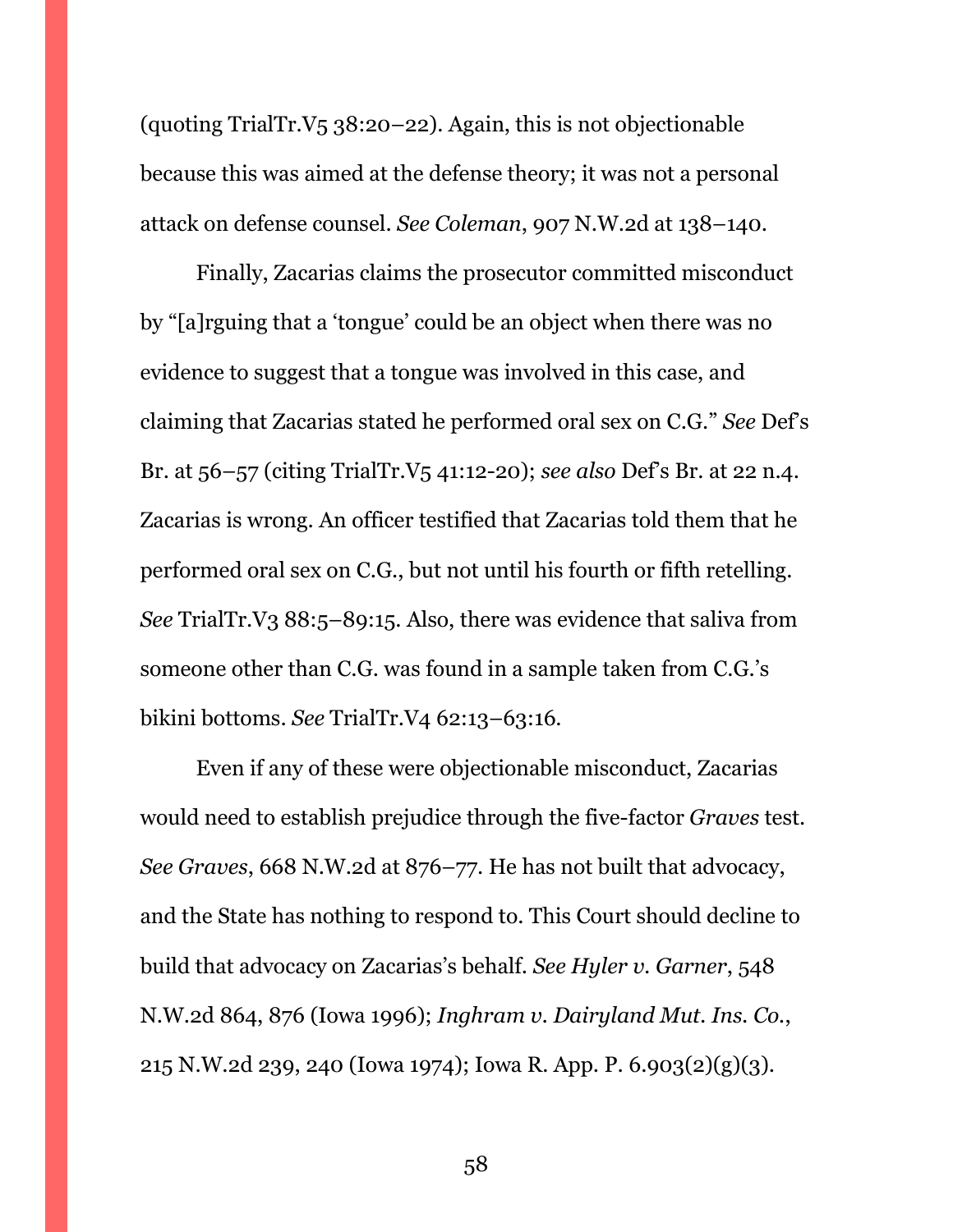(quoting TrialTr.V5 38:20–22). Again, this is not objectionable because this was aimed at the defense theory; it was not a personal attack on defense counsel. *See Coleman*, 907 N.W.2d at 138–140.

Finally, Zacarias claims the prosecutor committed misconduct by "[a]rguing that a 'tongue' could be an object when there was no evidence to suggest that a tongue was involved in this case, and claiming that Zacarias stated he performed oral sex on C.G." *See* Def's Br. at 56–57 (citing TrialTr.V5 41:12-20); *see also* Def's Br. at 22 n.4. Zacarias is wrong. An officer testified that Zacarias told them that he performed oral sex on C.G., but not until his fourth or fifth retelling. *See* TrialTr.V3 88:5–89:15. Also, there was evidence that saliva from someone other than C.G. was found in a sample taken from C.G.'s bikini bottoms. *See* TrialTr.V4 62:13–63:16.

Even if any of these were objectionable misconduct, Zacarias would need to establish prejudice through the five-factor *Graves* test. *See Graves*, 668 N.W.2d at 876–77. He has not built that advocacy, and the State has nothing to respond to. This Court should decline to build that advocacy on Zacarias's behalf. *See Hyler v. Garner*, 548 N.W.2d 864, 876 (Iowa 1996); *Inghram v. Dairyland Mut. Ins. Co.*, 215 N.W.2d 239, 240 (Iowa 1974); Iowa R. App. P. 6.903(2)(g)(3).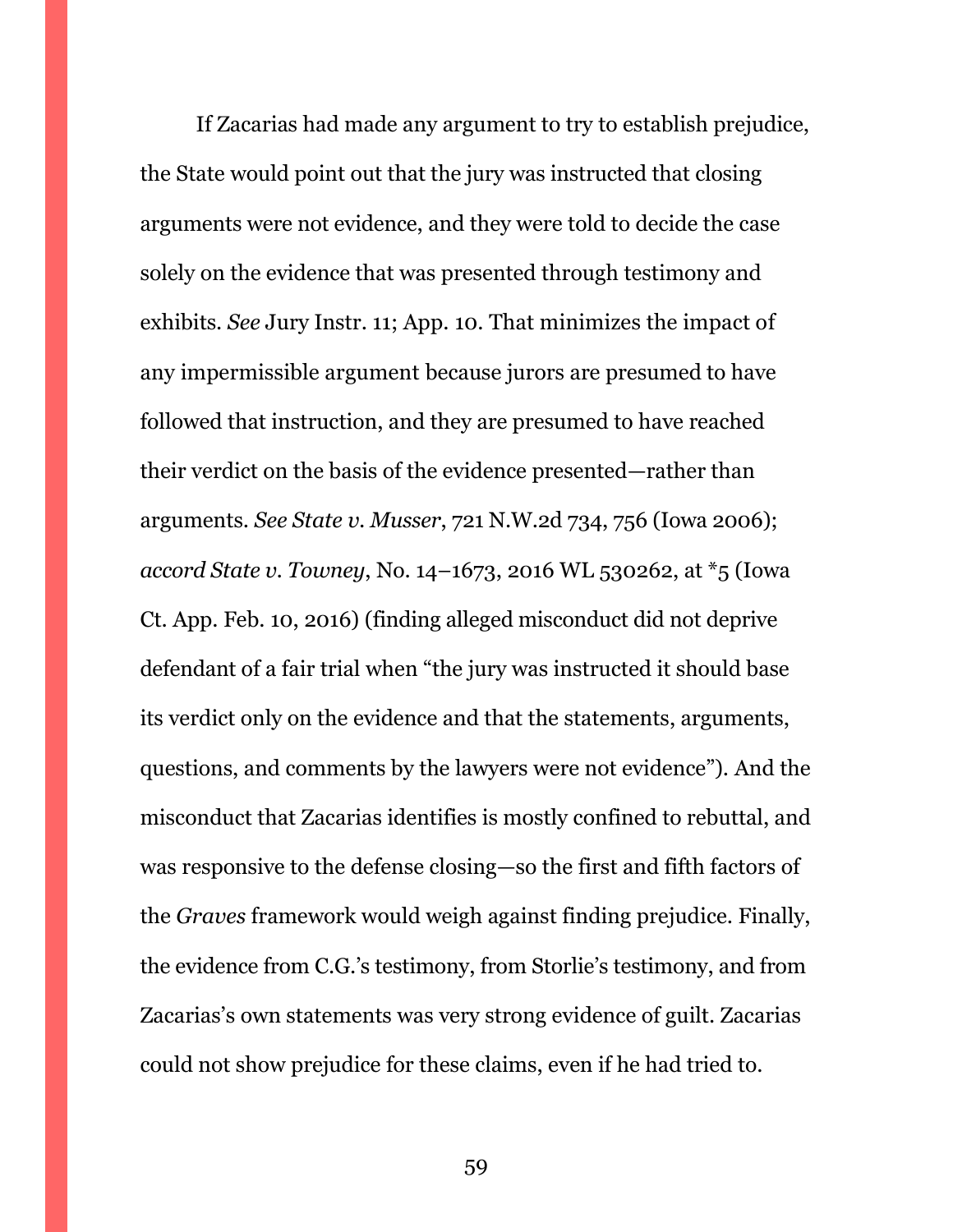If Zacarias had made any argument to try to establish prejudice, the State would point out that the jury was instructed that closing arguments were not evidence, and they were told to decide the case solely on the evidence that was presented through testimony and exhibits. *See* Jury Instr. 11; App. 10. That minimizes the impact of any impermissible argument because jurors are presumed to have followed that instruction, and they are presumed to have reached their verdict on the basis of the evidence presented—rather than arguments. *See State v. Musser*, 721 N.W.2d 734, 756 (Iowa 2006); *accord State v. Towney*, No. 14–1673, 2016 WL 530262, at \*5 (Iowa Ct. App. Feb. 10, 2016) (finding alleged misconduct did not deprive defendant of a fair trial when "the jury was instructed it should base its verdict only on the evidence and that the statements, arguments, questions, and comments by the lawyers were not evidence"). And the misconduct that Zacarias identifies is mostly confined to rebuttal, and was responsive to the defense closing—so the first and fifth factors of the *Graves* framework would weigh against finding prejudice. Finally, the evidence from C.G.'s testimony, from Storlie's testimony, and from Zacarias's own statements was very strong evidence of guilt. Zacarias could not show prejudice for these claims, even if he had tried to.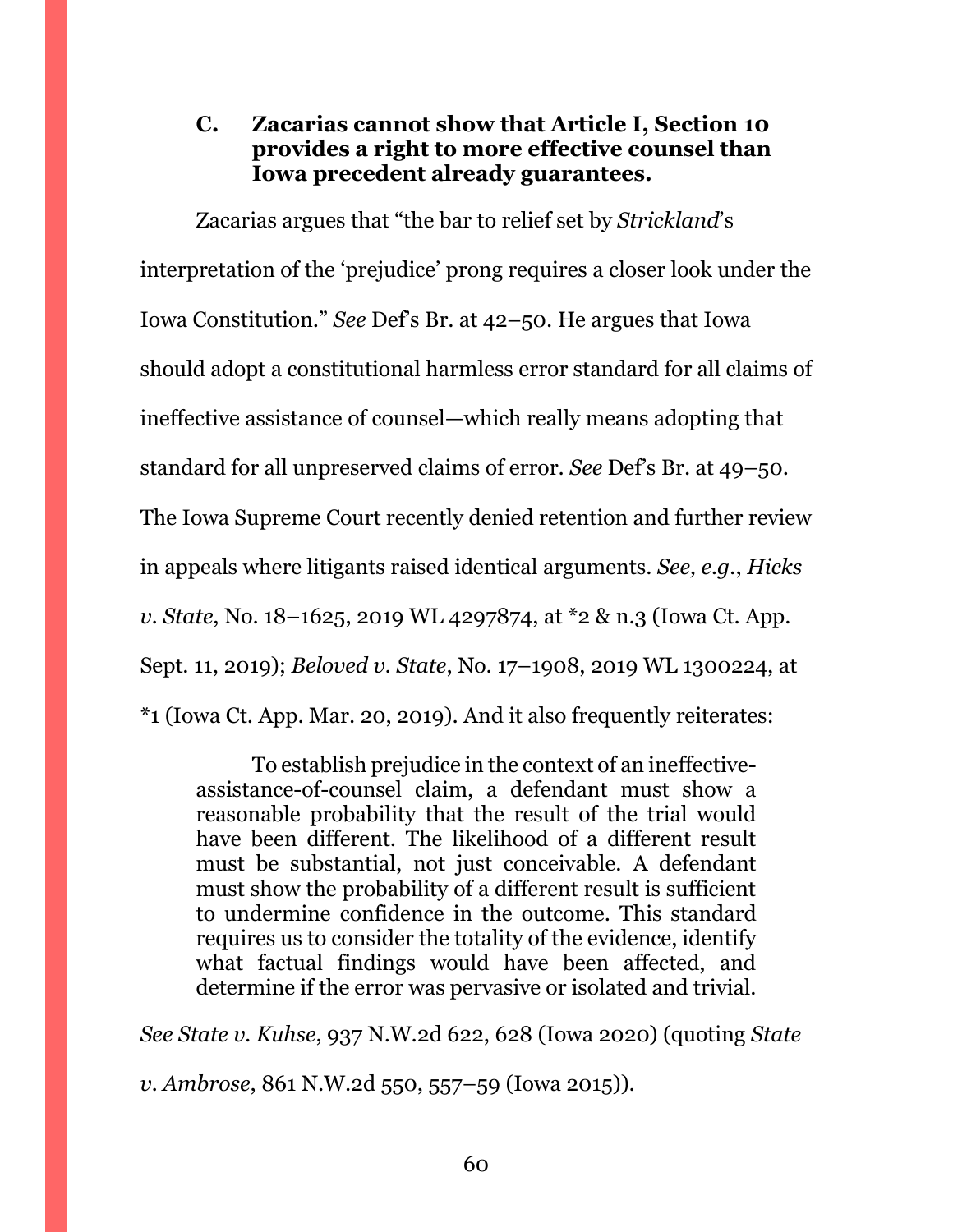# <span id="page-59-0"></span>**C. Zacarias cannot show that Article I, Section 10 provides a right to more effective counsel than Iowa precedent already guarantees.**

Zacarias argues that "the bar to relief set by *Strickland*'s interpretation of the 'prejudice' prong requires a closer look under the Iowa Constitution." *See* Def's Br. at 42–50. He argues that Iowa should adopt a constitutional harmless error standard for all claims of ineffective assistance of counsel—which really means adopting that standard for all unpreserved claims of error. *See* Def's Br. at 49–50. The Iowa Supreme Court recently denied retention and further review in appeals where litigants raised identical arguments. *See, e.g.*, *Hicks v. State*, No. 18–1625, 2019 WL 4297874, at \*2 & n.3 (Iowa Ct. App. Sept. 11, 2019); *Beloved v. State*, No. 17–1908, 2019 WL 1300224, at \*1 (Iowa Ct. App. Mar. 20, 2019). And it also frequently reiterates:

To establish prejudice in the context of an ineffectiveassistance-of-counsel claim, a defendant must show a reasonable probability that the result of the trial would have been different. The likelihood of a different result must be substantial, not just conceivable. A defendant must show the probability of a different result is sufficient to undermine confidence in the outcome. This standard requires us to consider the totality of the evidence, identify what factual findings would have been affected, and determine if the error was pervasive or isolated and trivial.

*See State v. Kuhse*, 937 N.W.2d 622, 628 (Iowa 2020) (quoting *State* 

*v. Ambrose*, 861 N.W.2d 550, 557–59 (Iowa 2015)).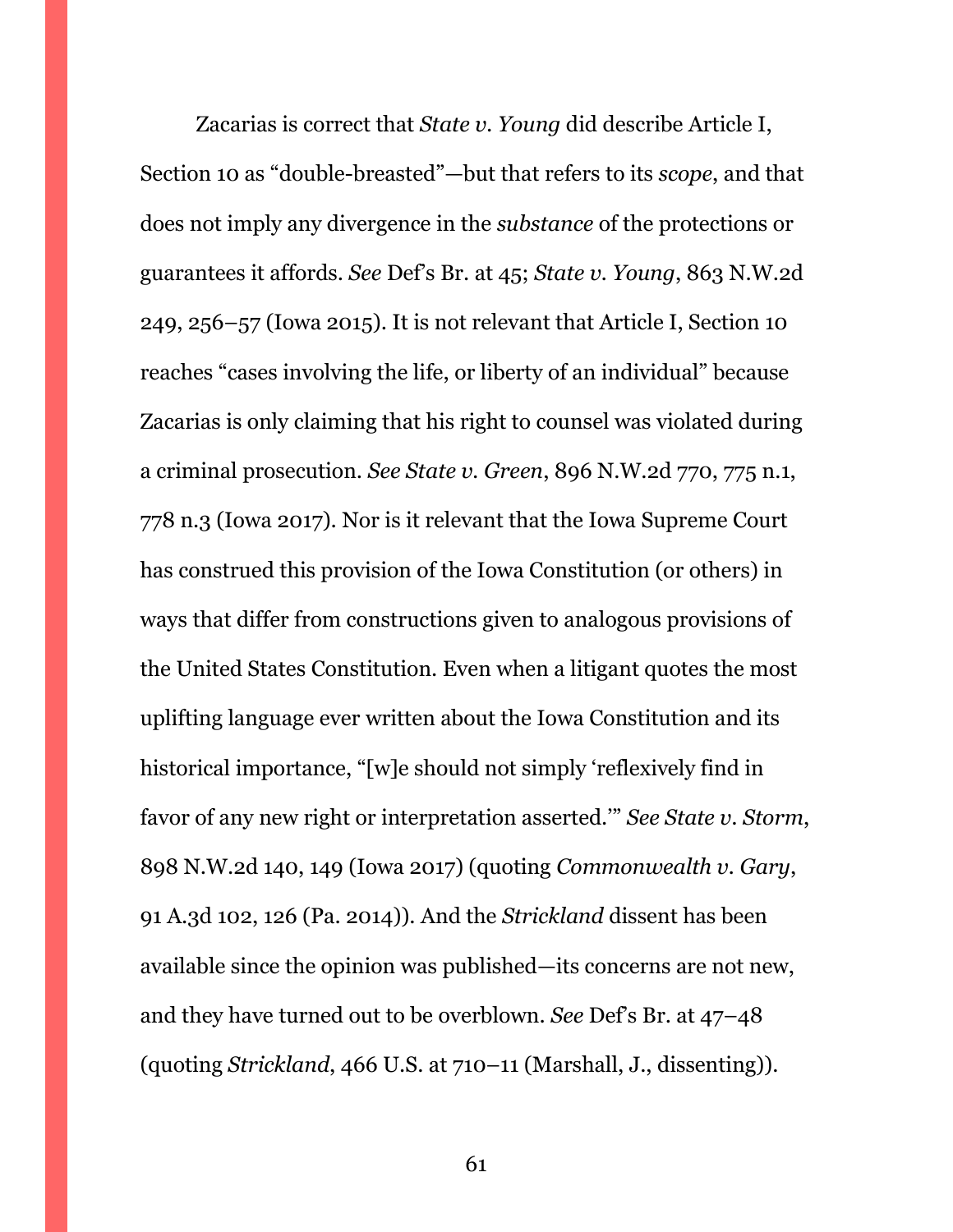Zacarias is correct that *State v. Young* did describe Article I, Section 10 as "double-breasted"—but that refers to its *scope*, and that does not imply any divergence in the *substance* of the protections or guarantees it affords. *See* Def's Br. at 45; *State v. Young*, 863 N.W.2d 249, 256–57 (Iowa 2015). It is not relevant that Article I, Section 10 reaches "cases involving the life, or liberty of an individual" because Zacarias is only claiming that his right to counsel was violated during a criminal prosecution. *See State v. Green*, 896 N.W.2d 770, 775 n.1, 778 n.3 (Iowa 2017). Nor is it relevant that the Iowa Supreme Court has construed this provision of the Iowa Constitution (or others) in ways that differ from constructions given to analogous provisions of the United States Constitution. Even when a litigant quotes the most uplifting language ever written about the Iowa Constitution and its historical importance, "[w]e should not simply 'reflexively find in favor of any new right or interpretation asserted.'" *See State v. Storm*, 898 N.W.2d 140, 149 (Iowa 2017) (quoting *Commonwealth v. Gary*, 91 A.3d 102, 126 (Pa. 2014)). And the *Strickland* dissent has been available since the opinion was published—its concerns are not new, and they have turned out to be overblown. *See* Def's Br. at 47–48 (quoting *Strickland*, 466 U.S. at 710–11 (Marshall, J., dissenting)).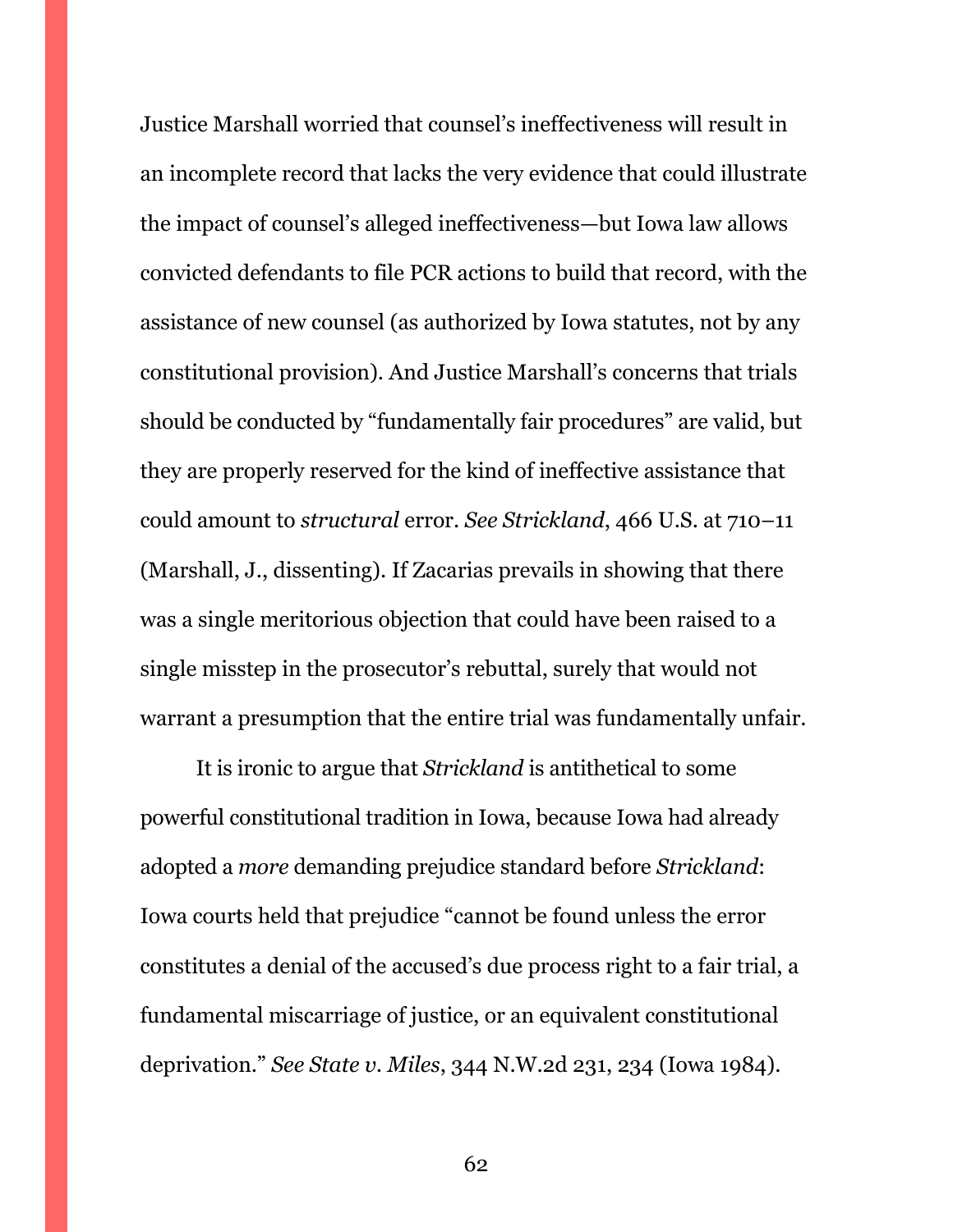Justice Marshall worried that counsel's ineffectiveness will result in an incomplete record that lacks the very evidence that could illustrate the impact of counsel's alleged ineffectiveness—but Iowa law allows convicted defendants to file PCR actions to build that record, with the assistance of new counsel (as authorized by Iowa statutes, not by any constitutional provision). And Justice Marshall's concerns that trials should be conducted by "fundamentally fair procedures" are valid, but they are properly reserved for the kind of ineffective assistance that could amount to *structural* error. *See Strickland*, 466 U.S. at 710–11 (Marshall, J., dissenting). If Zacarias prevails in showing that there was a single meritorious objection that could have been raised to a single misstep in the prosecutor's rebuttal, surely that would not warrant a presumption that the entire trial was fundamentally unfair.

It is ironic to argue that *Strickland* is antithetical to some powerful constitutional tradition in Iowa, because Iowa had already adopted a *more* demanding prejudice standard before *Strickland*: Iowa courts held that prejudice "cannot be found unless the error constitutes a denial of the accused's due process right to a fair trial, a fundamental miscarriage of justice, or an equivalent constitutional deprivation." *See State v. Miles*, 344 N.W.2d 231, 234 (Iowa 1984).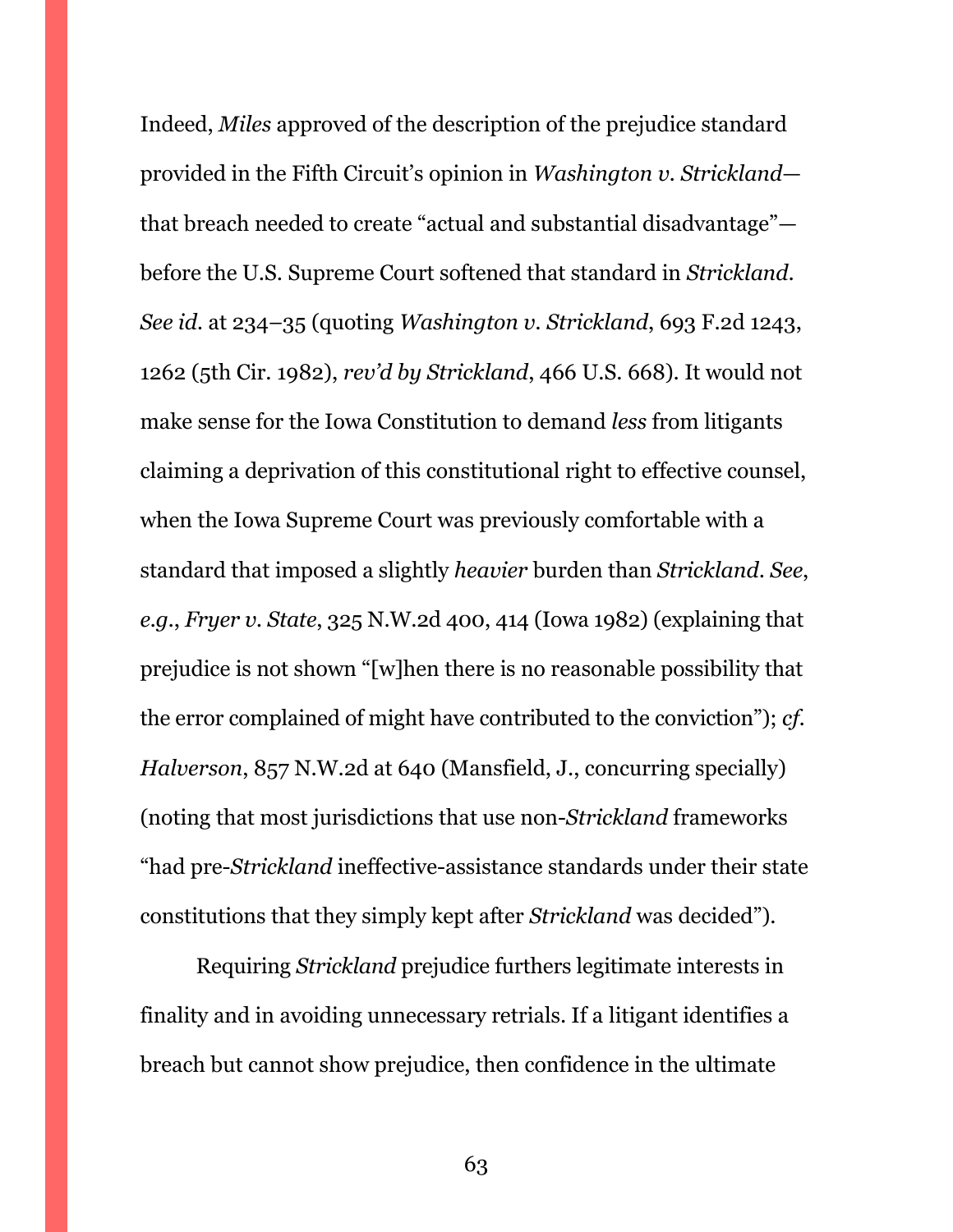Indeed, *Miles* approved of the description of the prejudice standard provided in the Fifth Circuit's opinion in *Washington v. Strickland* that breach needed to create "actual and substantial disadvantage" before the U.S. Supreme Court softened that standard in *Strickland*. *See id.* at 234–35 (quoting *Washington v. Strickland*, 693 F.2d 1243, 1262 (5th Cir. 1982), *rev'd by Strickland*, 466 U.S. 668). It would not make sense for the Iowa Constitution to demand *less* from litigants claiming a deprivation of this constitutional right to effective counsel, when the Iowa Supreme Court was previously comfortable with a standard that imposed a slightly *heavier* burden than *Strickland*. *See*, *e.g.*, *Fryer v. State*, 325 N.W.2d 400, 414 (Iowa 1982) (explaining that prejudice is not shown "[w]hen there is no reasonable possibility that the error complained of might have contributed to the conviction"); *cf. Halverson*, 857 N.W.2d at 640 (Mansfield, J., concurring specially) (noting that most jurisdictions that use non-*Strickland* frameworks "had pre-*Strickland* ineffective-assistance standards under their state constitutions that they simply kept after *Strickland* was decided").

Requiring *Strickland* prejudice furthers legitimate interests in finality and in avoiding unnecessary retrials. If a litigant identifies a breach but cannot show prejudice, then confidence in the ultimate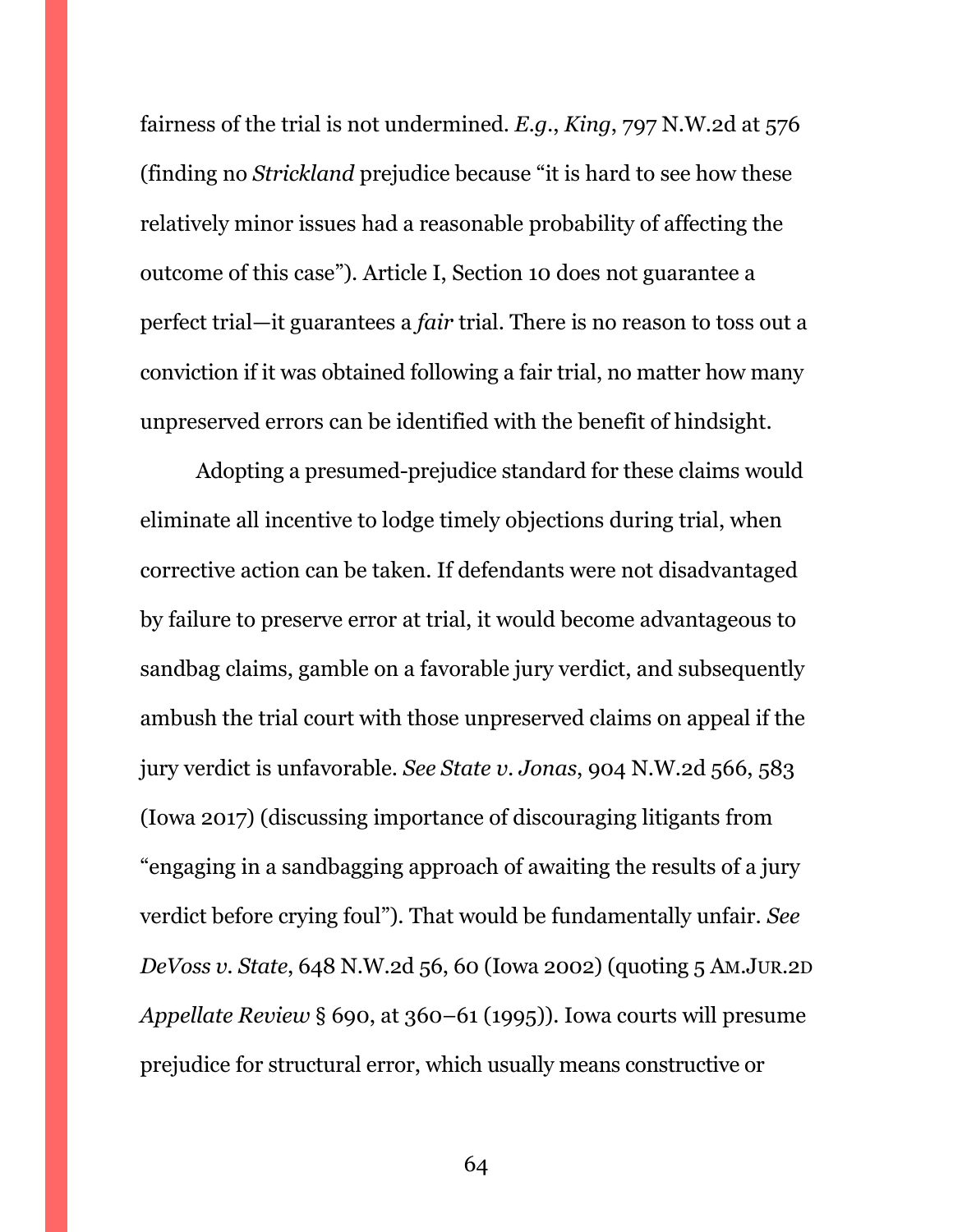fairness of the trial is not undermined. *E.g.*, *King*, 797 N.W.2d at 576 (finding no *Strickland* prejudice because "it is hard to see how these relatively minor issues had a reasonable probability of affecting the outcome of this case"). Article I, Section 10 does not guarantee a perfect trial—it guarantees a *fair* trial. There is no reason to toss out a conviction if it was obtained following a fair trial, no matter how many unpreserved errors can be identified with the benefit of hindsight.

Adopting a presumed-prejudice standard for these claims would eliminate all incentive to lodge timely objections during trial, when corrective action can be taken. If defendants were not disadvantaged by failure to preserve error at trial, it would become advantageous to sandbag claims, gamble on a favorable jury verdict, and subsequently ambush the trial court with those unpreserved claims on appeal if the jury verdict is unfavorable. *See State v. Jonas*, 904 N.W.2d 566, 583 (Iowa 2017) (discussing importance of discouraging litigants from "engaging in a sandbagging approach of awaiting the results of a jury verdict before crying foul"). That would be fundamentally unfair. *See DeVoss v. State*, 648 N.W.2d 56, 60 (Iowa 2002) (quoting 5 AM.JUR.2D *Appellate Review* § 690, at 360–61 (1995)). Iowa courts will presume prejudice for structural error, which usually means constructive or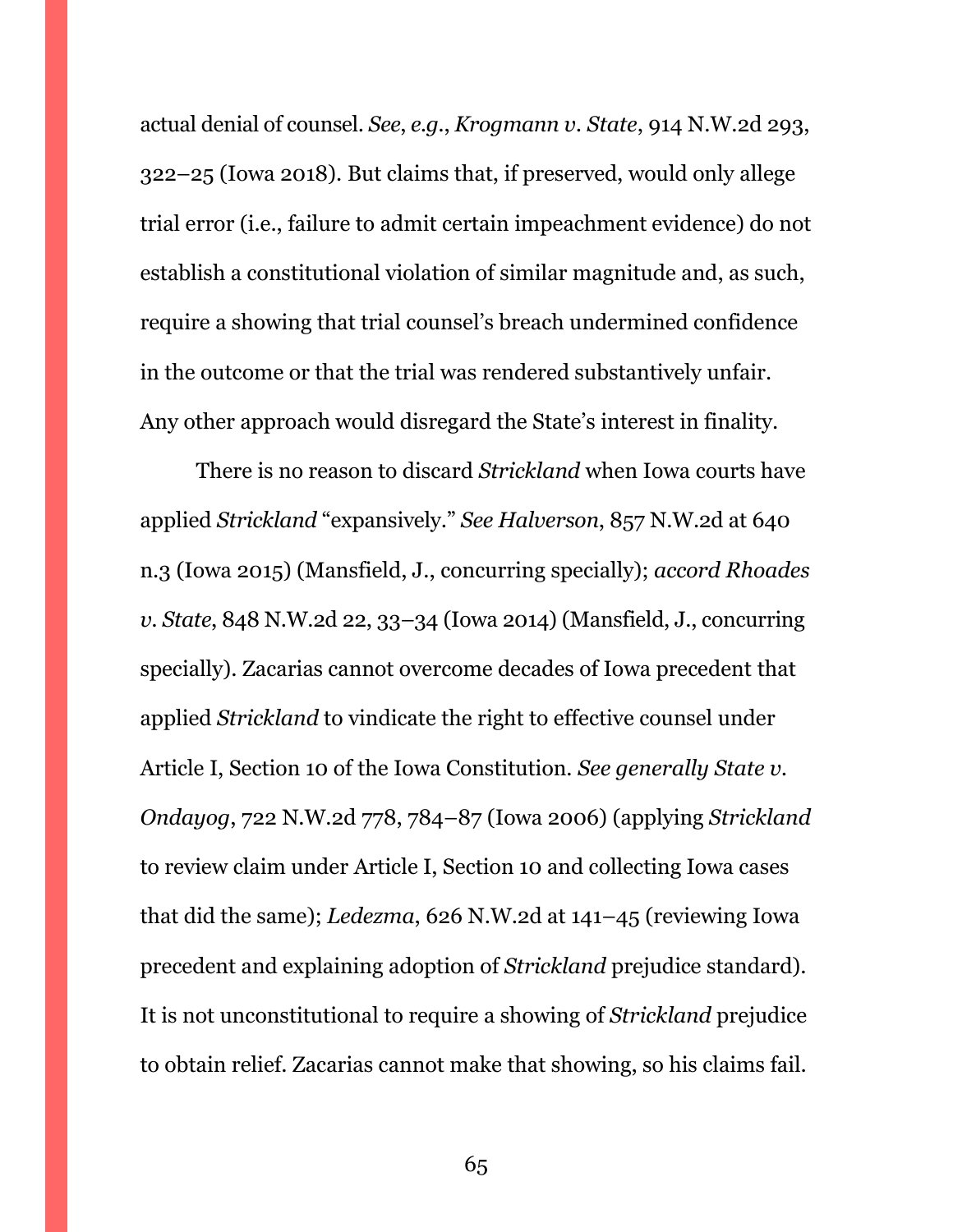actual denial of counsel. *See*, *e.g.*, *Krogmann v. State*, 914 N.W.2d 293, 322–25 (Iowa 2018). But claims that, if preserved, would only allege trial error (i.e., failure to admit certain impeachment evidence) do not establish a constitutional violation of similar magnitude and, as such, require a showing that trial counsel's breach undermined confidence in the outcome or that the trial was rendered substantively unfair. Any other approach would disregard the State's interest in finality.

There is no reason to discard *Strickland* when Iowa courts have applied *Strickland* "expansively." *See Halverson*, 857 N.W.2d at 640 n.3 (Iowa 2015) (Mansfield, J., concurring specially); *accord Rhoades v. State*, 848 N.W.2d 22, 33–34 (Iowa 2014) (Mansfield, J., concurring specially). Zacarias cannot overcome decades of Iowa precedent that applied *Strickland* to vindicate the right to effective counsel under Article I, Section 10 of the Iowa Constitution. *See generally State v. Ondayog*, 722 N.W.2d 778, 784–87 (Iowa 2006) (applying *Strickland*  to review claim under Article I, Section 10 and collecting Iowa cases that did the same); *Ledezma*, 626 N.W.2d at 141–45 (reviewing Iowa precedent and explaining adoption of *Strickland* prejudice standard). It is not unconstitutional to require a showing of *Strickland* prejudice to obtain relief. Zacarias cannot make that showing, so his claims fail.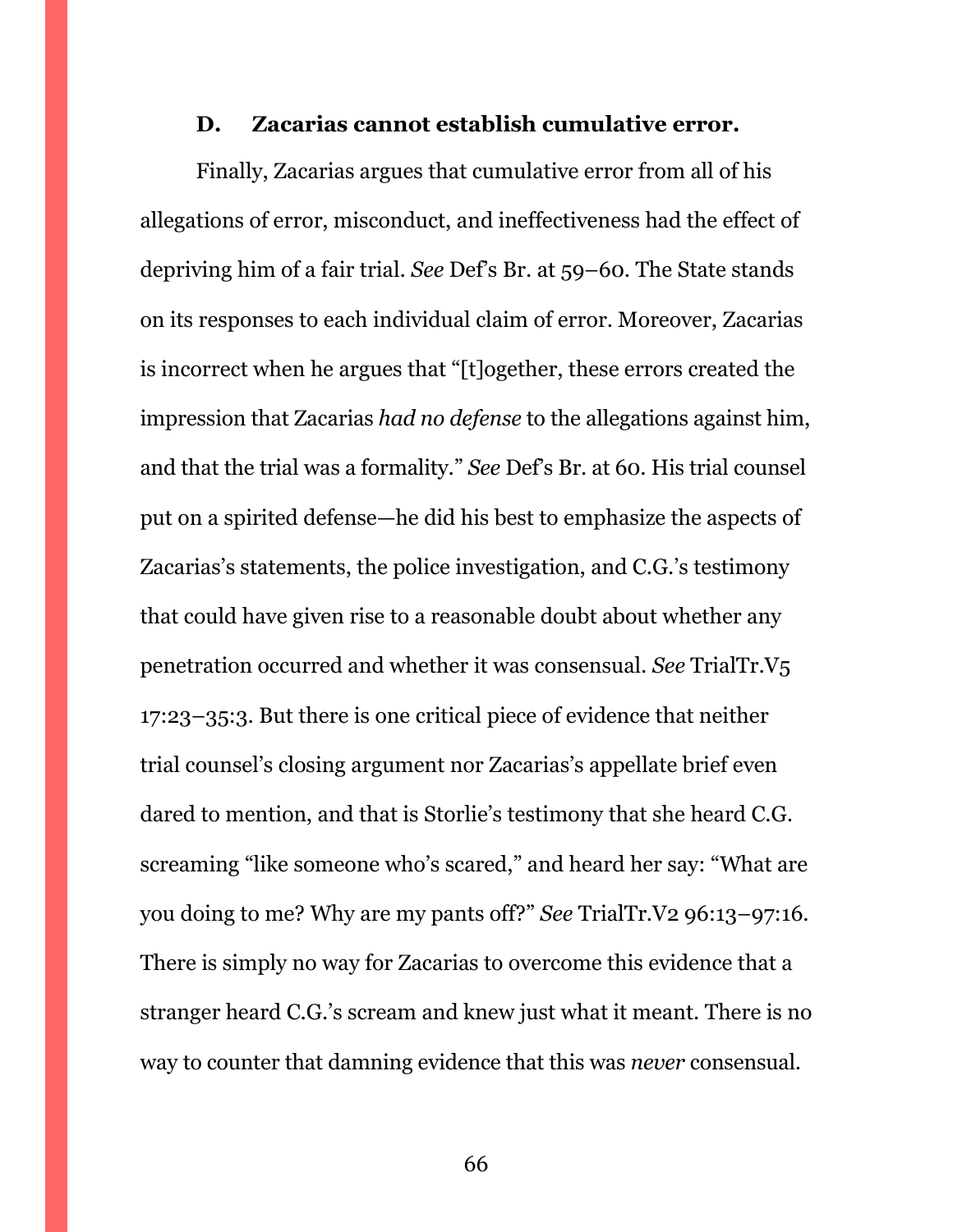#### **D. Zacarias cannot establish cumulative error.**

<span id="page-65-0"></span>Finally, Zacarias argues that cumulative error from all of his allegations of error, misconduct, and ineffectiveness had the effect of depriving him of a fair trial. *See* Def's Br. at 59–60. The State stands on its responses to each individual claim of error. Moreover, Zacarias is incorrect when he argues that "[t]ogether, these errors created the impression that Zacarias *had no defense* to the allegations against him, and that the trial was a formality." *See* Def's Br. at 60. His trial counsel put on a spirited defense—he did his best to emphasize the aspects of Zacarias's statements, the police investigation, and C.G.'s testimony that could have given rise to a reasonable doubt about whether any penetration occurred and whether it was consensual. *See* TrialTr.V5 17:23–35:3. But there is one critical piece of evidence that neither trial counsel's closing argument nor Zacarias's appellate brief even dared to mention, and that is Storlie's testimony that she heard C.G. screaming "like someone who's scared," and heard her say: "What are you doing to me? Why are my pants off?" *See* TrialTr.V2 96:13–97:16. There is simply no way for Zacarias to overcome this evidence that a stranger heard C.G.'s scream and knew just what it meant. There is no way to counter that damning evidence that this was *never* consensual.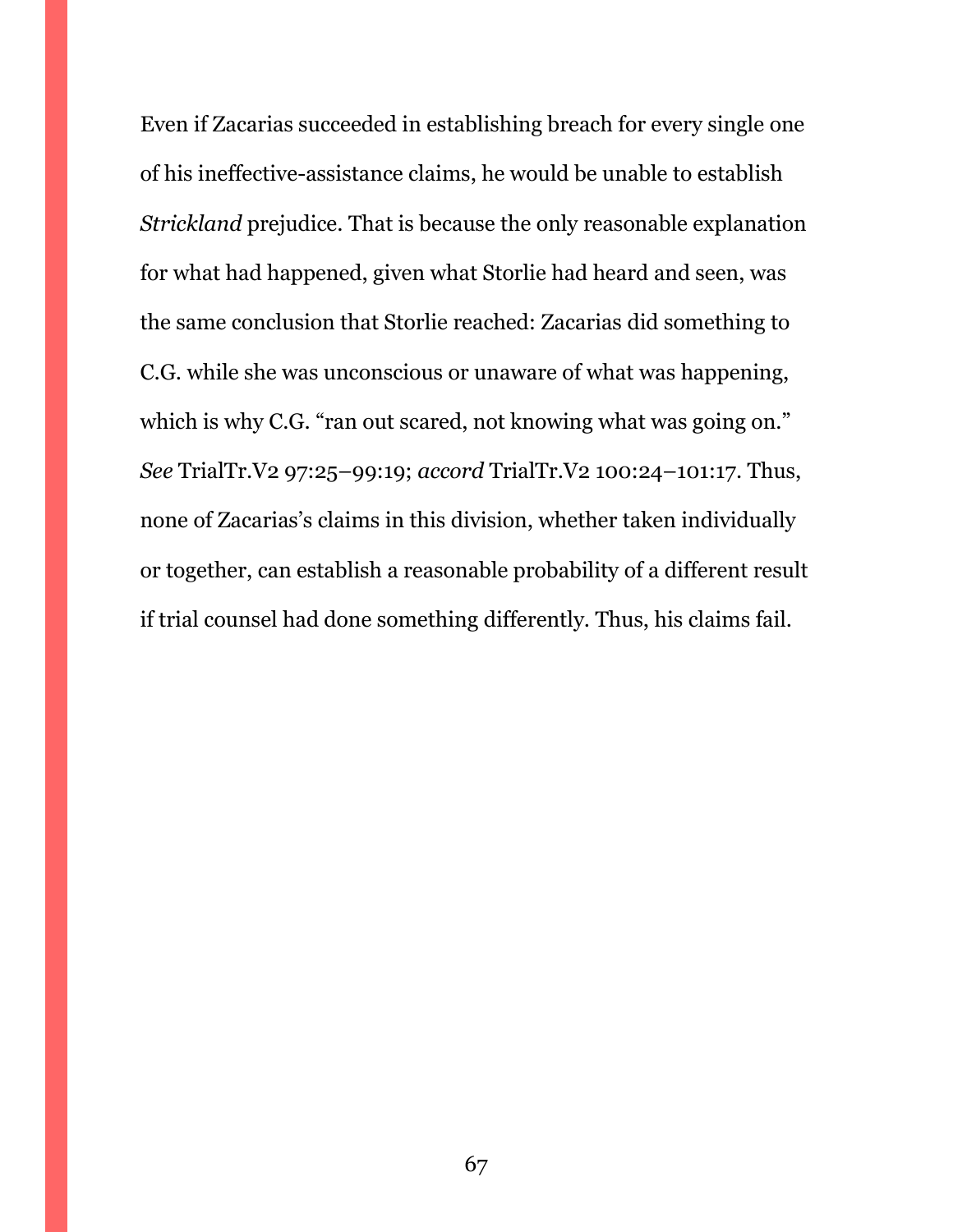Even if Zacarias succeeded in establishing breach for every single one of his ineffective-assistance claims, he would be unable to establish *Strickland* prejudice. That is because the only reasonable explanation for what had happened, given what Storlie had heard and seen, was the same conclusion that Storlie reached: Zacarias did something to C.G. while she was unconscious or unaware of what was happening, which is why C.G. "ran out scared, not knowing what was going on." *See* TrialTr.V2 97:25–99:19; *accord* TrialTr.V2 100:24–101:17. Thus, none of Zacarias's claims in this division, whether taken individually or together, can establish a reasonable probability of a different result if trial counsel had done something differently. Thus, his claims fail.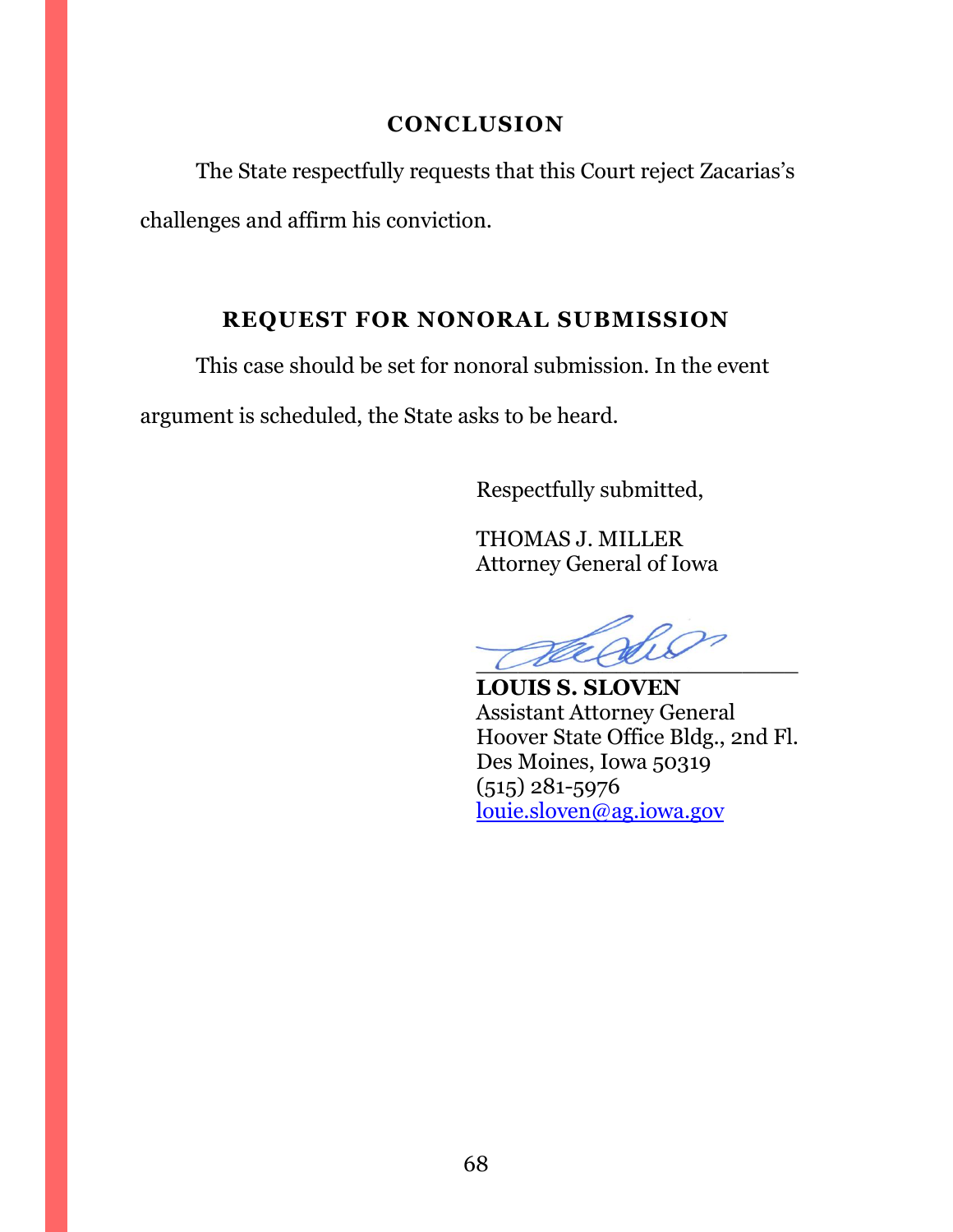# **CONCLUSION**

<span id="page-67-0"></span>The State respectfully requests that this Court reject Zacarias's challenges and affirm his conviction.

# **REQUEST FOR NONORAL SUBMISSION**

<span id="page-67-1"></span>This case should be set for nonoral submission. In the event

argument is scheduled, the State asks to be heard.

Respectfully submitted,

THOMAS J. MILLER Attorney General of Iowa

 $\sqrt{u\alpha}$ 

**LOUIS S. SLOVEN** Assistant Attorney General Hoover State Office Bldg., 2nd Fl. Des Moines, Iowa 50319 (515) 281-5976 [louie.sloven@ag.iowa.gov](mailto:louie.sloven@ag.iowa.gov)